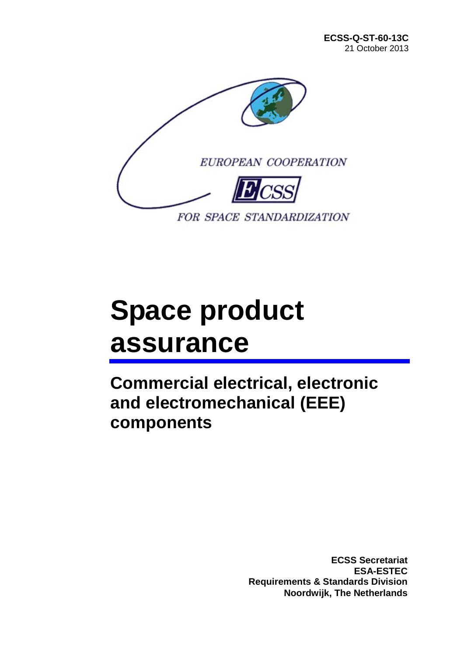

# **Space product assurance**

**Commercial electrical, electronic and electromechanical (EEE) components**

> **ECSS Secretariat ESA-ESTEC Requirements & Standards Division Noordwijk, The Netherlands**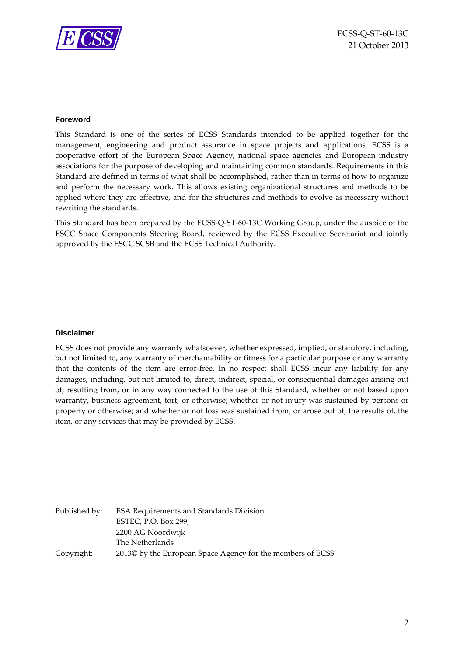

#### **Foreword**

This Standard is one of the series of ECSS Standards intended to be applied together for the management, engineering and product assurance in space projects and applications. ECSS is a cooperative effort of the European Space Agency, national space agencies and European industry associations for the purpose of developing and maintaining common standards. Requirements in this Standard are defined in terms of what shall be accomplished, rather than in terms of how to organize and perform the necessary work. This allows existing organizational structures and methods to be applied where they are effective, and for the structures and methods to evolve as necessary without rewriting the standards.

This Standard has been prepared by the ECSS-Q-ST-60-13C Working Group, under the auspice of the ESCC Space Components Steering Board, reviewed by the ECSS Executive Secretariat and jointly approved by the ESCC SCSB and the ECSS Technical Authority.

#### **Disclaimer**

ECSS does not provide any warranty whatsoever, whether expressed, implied, or statutory, including, but not limited to, any warranty of merchantability or fitness for a particular purpose or any warranty that the contents of the item are error-free. In no respect shall ECSS incur any liability for any damages, including, but not limited to, direct, indirect, special, or consequential damages arising out of, resulting from, or in any way connected to the use of this Standard, whether or not based upon warranty, business agreement, tort, or otherwise; whether or not injury was sustained by persons or property or otherwise; and whether or not loss was sustained from, or arose out of, the results of, the item, or any services that may be provided by ECSS.

| Published by: | <b>ESA Requirements and Standards Division</b>             |
|---------------|------------------------------------------------------------|
|               | ESTEC. P.O. Box 299.                                       |
|               | 2200 AG Noordwijk                                          |
|               | The Netherlands                                            |
| Copyright:    | 2013© by the European Space Agency for the members of ECSS |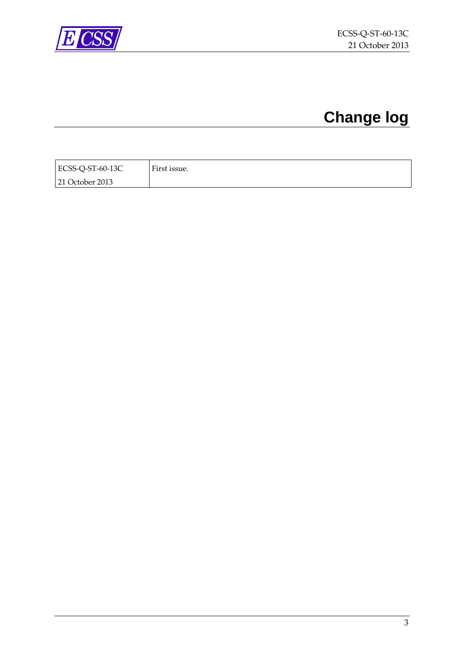<span id="page-2-0"></span>

# **Change log**

| ECSS-Q-ST-60-13C | First issue. |
|------------------|--------------|
| 21 October 2013  |              |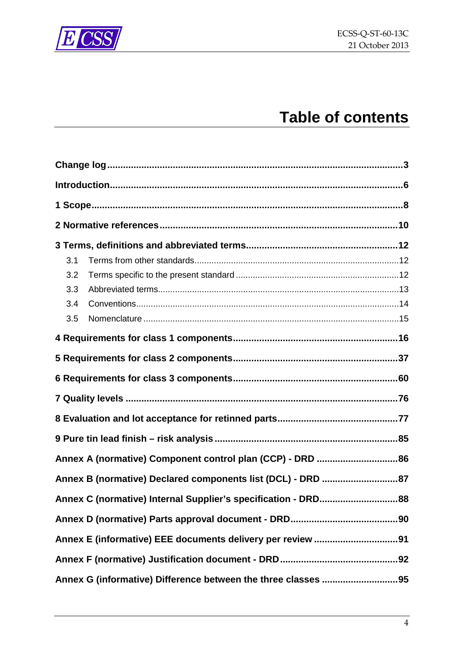

# **Table of contents**

| 3.1 |                                                               |
|-----|---------------------------------------------------------------|
| 3.2 |                                                               |
| 3.3 |                                                               |
| 3.4 |                                                               |
| 3.5 |                                                               |
|     |                                                               |
|     |                                                               |
|     |                                                               |
|     |                                                               |
|     |                                                               |
|     |                                                               |
|     |                                                               |
|     | Annex B (normative) Declared components list (DCL) - DRD 87   |
|     | Annex C (normative) Internal Supplier's specification - DRD88 |
|     |                                                               |
|     |                                                               |
|     |                                                               |
|     |                                                               |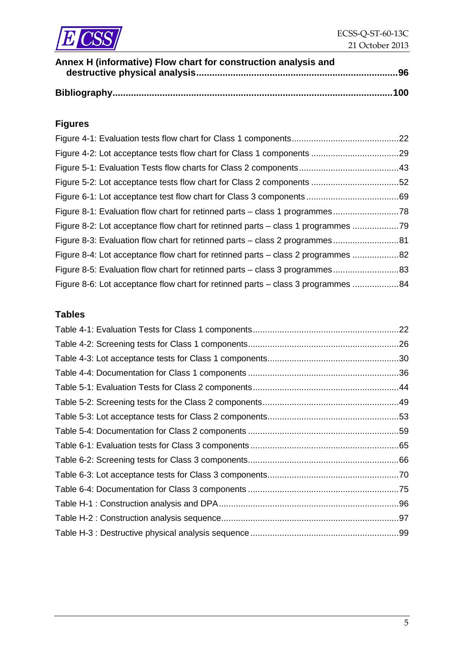

| Annex H (informative) Flow chart for construction analysis and |  |
|----------------------------------------------------------------|--|
|                                                                |  |
|                                                                |  |
|                                                                |  |

### **Figures**

| Figure 8-2: Lot acceptance flow chart for retinned parts – class 1 programmes    |  |
|----------------------------------------------------------------------------------|--|
|                                                                                  |  |
| Figure 8-4: Lot acceptance flow chart for retinned parts – class 2 programmes 82 |  |
|                                                                                  |  |
| Figure 8-6: Lot acceptance flow chart for retinned parts – class 3 programmes 84 |  |

#### **Tables**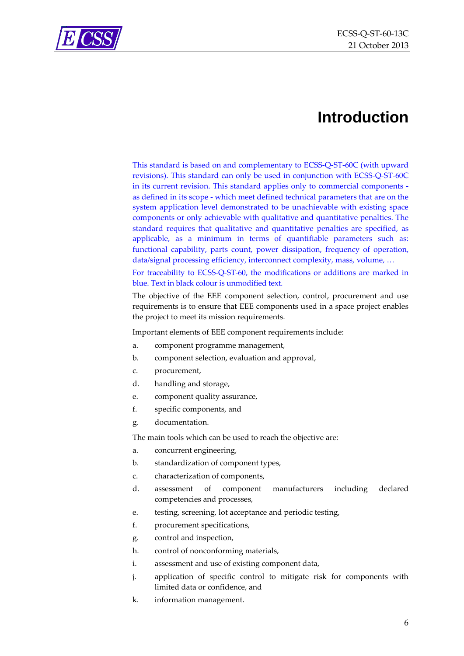<span id="page-5-0"></span>

## **Introduction**

This standard is based on and complementary to ECSS-Q-ST-60C (with upward revisions). This standard can only be used in conjunction with ECSS-Q-ST-60C in its current revision. This standard applies only to commercial components as defined in its scope - which meet defined technical parameters that are on the system application level demonstrated to be unachievable with existing space components or only achievable with qualitative and quantitative penalties. The standard requires that qualitative and quantitative penalties are specified, as applicable, as a minimum in terms of quantifiable parameters such as: functional capability, parts count, power dissipation, frequency of operation, data/signal processing efficiency, interconnect complexity, mass, volume, …

For traceability to ECSS-Q-ST-60, the modifications or additions are marked in blue. Text in black colour is unmodified text.

The objective of the EEE component selection, control, procurement and use requirements is to ensure that EEE components used in a space project enables the project to meet its mission requirements.

Important elements of EEE component requirements include:

- a. component programme management,
- b. component selection, evaluation and approval,
- c. procurement,
- d. handling and storage,
- e. component quality assurance,
- f. specific components, and
- g. documentation.

The main tools which can be used to reach the objective are:

- a. concurrent engineering,
- b. standardization of component types,
- c. characterization of components,
- d. assessment of component manufacturers including declared competencies and processes,
- e. testing, screening, lot acceptance and periodic testing,
- f. procurement specifications,
- g. control and inspection,
- h. control of nonconforming materials,
- i. assessment and use of existing component data,
- j. application of specific control to mitigate risk for components with limited data or confidence, and
- k. information management.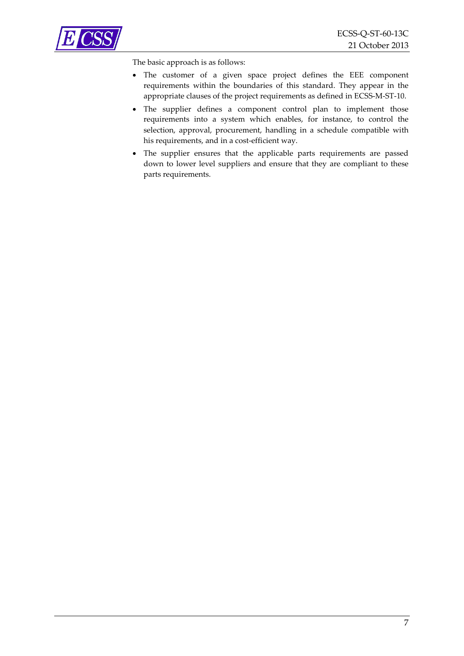

The basic approach is as follows:

- The customer of a given space project defines the EEE component requirements within the boundaries of this standard. They appear in the appropriate clauses of the project requirements as defined in ECSS-M-ST-10.
- The supplier defines a component control plan to implement those requirements into a system which enables, for instance, to control the selection, approval, procurement, handling in a schedule compatible with his requirements, and in a cost-efficient way.
- The supplier ensures that the applicable parts requirements are passed down to lower level suppliers and ensure that they are compliant to these parts requirements.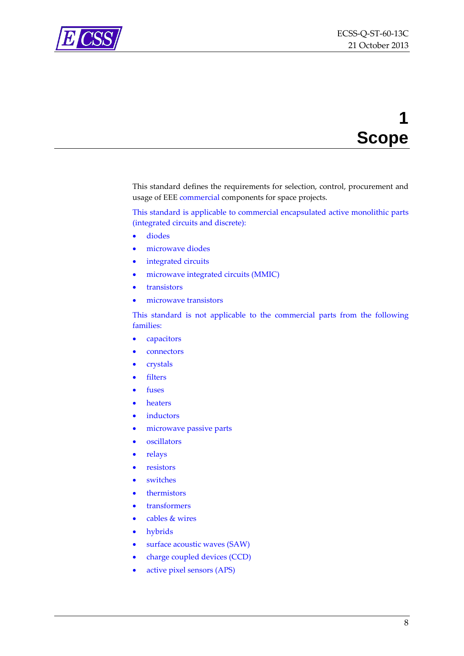

# **1 Scope**

<span id="page-7-0"></span>This standard defines the requirements for selection, control, procurement and usage of EEE commercial components for space projects.

This standard is applicable to commercial encapsulated active monolithic parts (integrated circuits and discrete):

- diodes
- microwave diodes
- integrated circuits
- microwave integrated circuits (MMIC)
- transistors
- microwave transistors

This standard is not applicable to the commercial parts from the following families:

- capacitors
- connectors
- crystals
- filters
- fuses
- heaters
- inductors
- microwave passive parts
- oscillators
- relays
- resistors
- switches
- thermistors
- transformers
- cables & wires
- hybrids
- surface acoustic waves (SAW)
- charge coupled devices (CCD)
- active pixel sensors (APS)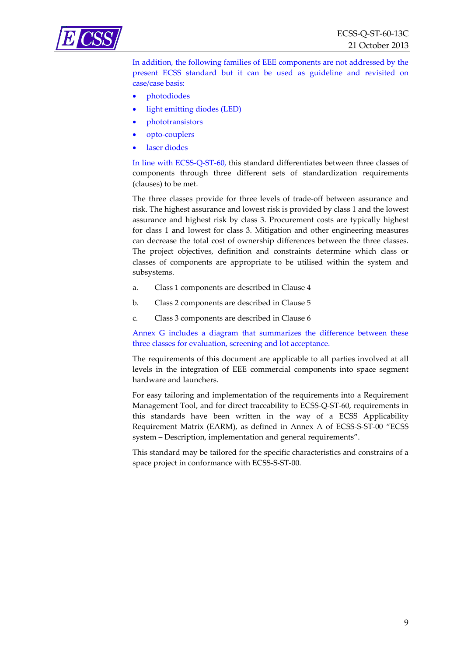

In addition, the following families of EEE components are not addressed by the present ECSS standard but it can be used as guideline and revisited on case/case basis:

- photodiodes
- light emitting diodes (LED)
- phototransistors
- opto-couplers
- laser diodes

In line with ECSS-Q-ST-60, this standard differentiates between three classes of components through three different sets of standardization requirements (clauses) to be met.

The three classes provide for three levels of trade-off between assurance and risk. The highest assurance and lowest risk is provided by class 1 and the lowest assurance and highest risk by class 3. Procurement costs are typically highest for class 1 and lowest for class 3. Mitigation and other engineering measures can decrease the total cost of ownership differences between the three classes. The project objectives, definition and constraints determine which class or classes of components are appropriate to be utilised within the system and subsystems.

- a. Class 1 components are described in Clause 4
- b. Class 2 components are described in Clause 5
- c. Class 3 components are described in Clause 6

[Annex G](#page-94-0) includes a diagram that summarizes the difference between these three classes for evaluation, screening and lot acceptance.

The requirements of this document are applicable to all parties involved at all levels in the integration of EEE commercial components into space segment hardware and launchers.

For easy tailoring and implementation of the requirements into a Requirement Management Tool, and for direct traceability to ECSS-Q-ST-60, requirements in this standards have been written in the way of a ECSS Applicability Requirement Matrix (EARM), as defined in [Annex A](#page-85-1) of ECSS-S-ST-00 "ECSS system – Description, implementation and general requirements".

This standard may be tailored for the specific characteristics and constrains of a space project in conformance with ECSS-S-ST-00.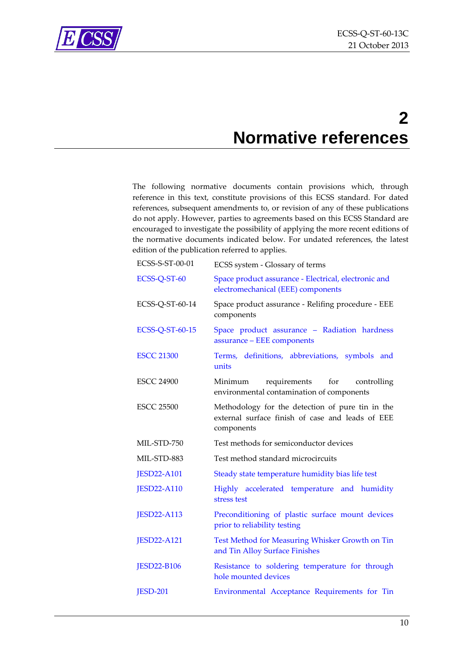

# **2 Normative references**

<span id="page-9-0"></span>The following normative documents contain provisions which, through reference in this text, constitute provisions of this ECSS standard. For dated references, subsequent amendments to, or revision of any of these publications do not apply. However, parties to agreements based on this ECSS Standard are encouraged to investigate the possibility of applying the more recent editions of the normative documents indicated below. For undated references, the latest edition of the publication referred to applies.

| ECSS-S-ST-00-01        | ECSS system - Glossary of terms                                                                                    |
|------------------------|--------------------------------------------------------------------------------------------------------------------|
| ECSS-Q-ST-60           | Space product assurance - Electrical, electronic and<br>electromechanical (EEE) components                         |
| ECSS-Q-ST-60-14        | Space product assurance - Relifing procedure - EEE<br>components                                                   |
| <b>ECSS-Q-ST-60-15</b> | Space product assurance - Radiation hardness<br>assurance - EEE components                                         |
| <b>ESCC 21300</b>      | Terms, definitions, abbreviations, symbols and<br>units                                                            |
| <b>ESCC 24900</b>      | requirements for<br>Minimum<br>controlling<br>environmental contamination of components                            |
| <b>ESCC 25500</b>      | Methodology for the detection of pure tin in the<br>external surface finish of case and leads of EEE<br>components |
| MIL-STD-750            | Test methods for semiconductor devices                                                                             |
| MIL-STD-883            | Test method standard microcircuits                                                                                 |
| <b>JESD22-A101</b>     | Steady state temperature humidity bias life test                                                                   |
| <b>JESD22-A110</b>     | Highly accelerated temperature and humidity<br>stress test                                                         |
| <b>JESD22-A113</b>     | Preconditioning of plastic surface mount devices<br>prior to reliability testing                                   |
| <b>JESD22-A121</b>     | Test Method for Measuring Whisker Growth on Tin<br>and Tin Alloy Surface Finishes                                  |
| <b>JESD22-B106</b>     | Resistance to soldering temperature for through<br>hole mounted devices                                            |
| <b>IESD-201</b>        | Environmental Acceptance Requirements for Tin                                                                      |
|                        |                                                                                                                    |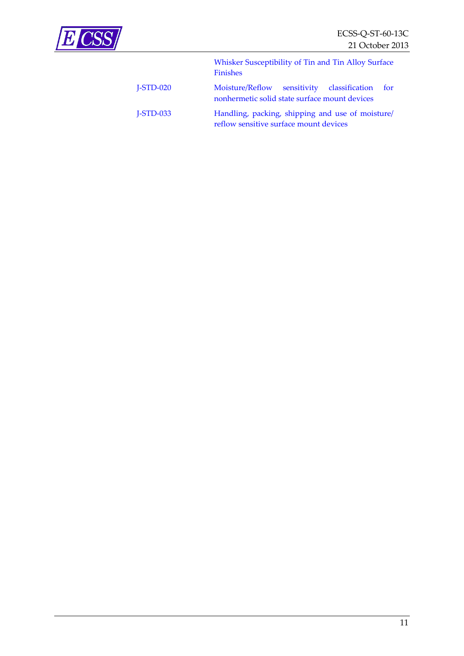

Whisker Susceptibility of Tin and Tin Alloy Surface Finishes

J-STD-020 Moisture/Reflow sensitivity classification for nonhermetic solid state surface mount devices

J-STD-033 Handling, packing, shipping and use of moisture/ reflow sensitive surface mount devices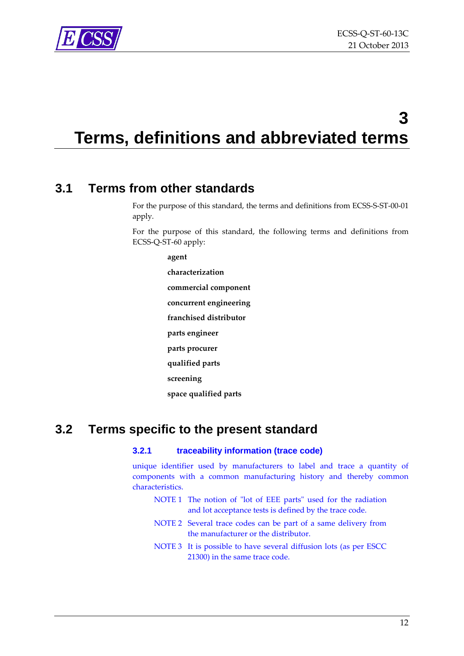

### <span id="page-11-0"></span>**3 Terms, definitions and abbreviated terms**

### <span id="page-11-1"></span>**3.1 Terms from other standards**

For the purpose of this standard, the terms and definitions from ECSS-S-ST-00-01 apply.

For the purpose of this standard, the following terms and definitions from ECSS-Q-ST-60 apply:

> **agent characterization commercial component concurrent engineering franchised distributor parts engineer parts procurer qualified parts screening space qualified parts**

### <span id="page-11-2"></span>**3.2 Terms specific to the present standard**

#### **3.2.1 traceability information (trace code)**

unique identifier used by manufacturers to label and trace a quantity of components with a common manufacturing history and thereby common characteristics.

- NOTE 1 The notion of "lot of EEE parts" used for the radiation and lot acceptance tests is defined by the trace code.
- NOTE 2 Several trace codes can be part of a same delivery from the manufacturer or the distributor.
- NOTE 3 It is possible to have several diffusion lots (as per ESCC 21300) in the same trace code.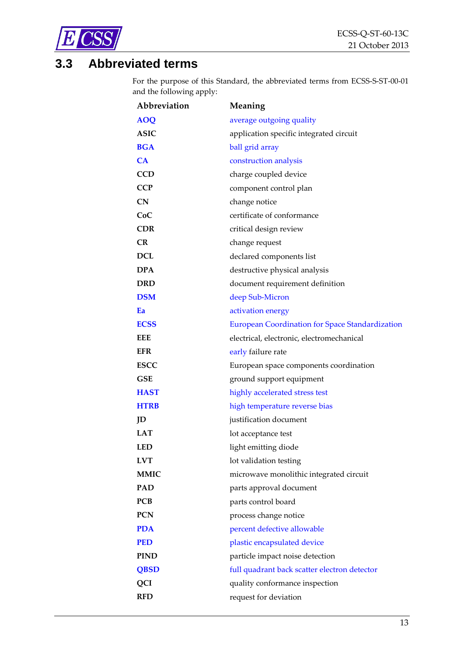

### <span id="page-12-0"></span>**3.3 Abbreviated terms**

For the purpose of this Standard, the abbreviated terms from ECSS-S-ST-00-01 and the following apply:

| Abbreviation | Meaning                                         |
|--------------|-------------------------------------------------|
| <b>AOQ</b>   | average outgoing quality                        |
| <b>ASIC</b>  | application specific integrated circuit         |
| <b>BGA</b>   | ball grid array                                 |
| CA           | construction analysis                           |
| <b>CCD</b>   | charge coupled device                           |
| <b>CCP</b>   | component control plan                          |
| CN           | change notice                                   |
| CoC          | certificate of conformance                      |
| <b>CDR</b>   | critical design review                          |
| CR           | change request                                  |
| <b>DCL</b>   | declared components list                        |
| <b>DPA</b>   | destructive physical analysis                   |
| <b>DRD</b>   | document requirement definition                 |
| <b>DSM</b>   | deep Sub-Micron                                 |
| Ea           | activation energy                               |
| <b>ECSS</b>  | European Coordination for Space Standardization |
| <b>EEE</b>   | electrical, electronic, electromechanical       |
| <b>EFR</b>   | early failure rate                              |
| <b>ESCC</b>  | European space components coordination          |
| <b>GSE</b>   | ground support equipment                        |
| <b>HAST</b>  | highly accelerated stress test                  |
| <b>HTRB</b>  | high temperature reverse bias                   |
| ID           | justification document                          |
| <b>LAT</b>   | lot acceptance test                             |
| <b>LED</b>   | light emitting diode                            |
| <b>LVT</b>   | lot validation testing                          |
| <b>MMIC</b>  | microwave monolithic integrated circuit         |
| <b>PAD</b>   | parts approval document                         |
| <b>PCB</b>   | parts control board                             |
| <b>PCN</b>   | process change notice                           |
| <b>PDA</b>   | percent defective allowable                     |
| <b>PED</b>   | plastic encapsulated device                     |
| <b>PIND</b>  | particle impact noise detection                 |
| <b>QBSD</b>  | full quadrant back scatter electron detector    |
| QCI          | quality conformance inspection                  |
| <b>RFD</b>   | request for deviation                           |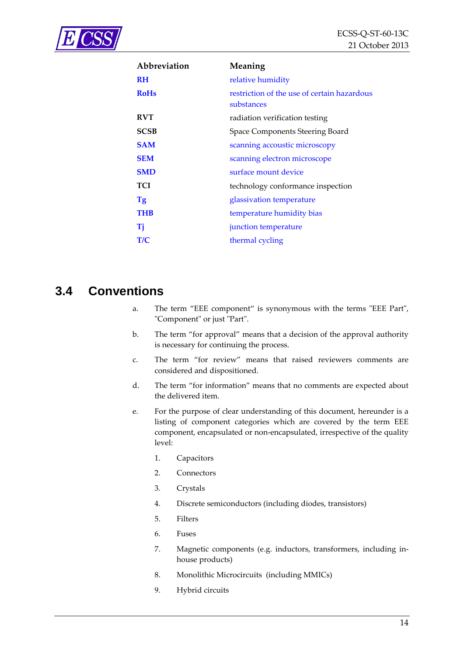

| Abbreviation | Meaning                                                   |
|--------------|-----------------------------------------------------------|
| <b>RH</b>    | relative humidity                                         |
| <b>RoHs</b>  | restriction of the use of certain hazardous<br>substances |
| <b>RVT</b>   | radiation verification testing                            |
| <b>SCSB</b>  | Space Components Steering Board                           |
| <b>SAM</b>   | scanning accoustic microscopy                             |
| <b>SEM</b>   | scanning electron microscope                              |
| <b>SMD</b>   | surface mount device                                      |
| <b>TCI</b>   | technology conformance inspection                         |
| <b>Tg</b>    | glassivation temperature                                  |
| <b>THB</b>   | temperature humidity bias                                 |
| Ti           | junction temperature                                      |
| T/C          | thermal cycling                                           |

### <span id="page-13-0"></span>**3.4 Conventions**

- a. The term "EEE component" is synonymous with the terms "EEE Part", "Component" or just "Part".
- b. The term "for approval" means that a decision of the approval authority is necessary for continuing the process.
- c. The term "for review" means that raised reviewers comments are considered and dispositioned.
- d. The term "for information" means that no comments are expected about the delivered item.
- e. For the purpose of clear understanding of this document, hereunder is a listing of component categories which are covered by the term EEE component, encapsulated or non-encapsulated, irrespective of the quality level:
	- 1. Capacitors
	- 2. Connectors
	- 3. Crystals
	- 4. Discrete semiconductors (including diodes, transistors)
	- 5. Filters
	- 6. Fuses
	- 7. Magnetic components (e.g. inductors, transformers, including inhouse products)
	- 8. Monolithic Microcircuits (including MMICs)
	- 9. Hybrid circuits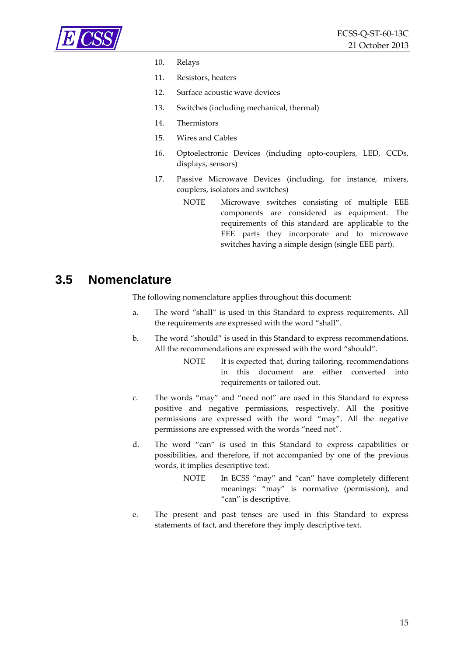

#### 10. Relays

- 11. Resistors, heaters
- 12. Surface acoustic wave devices
- 13. Switches (including mechanical, thermal)
- 14. Thermistors
- 15. Wires and Cables
- 16. Optoelectronic Devices (including opto-couplers, LED, CCDs, displays, sensors)
- 17. Passive Microwave Devices (including, for instance, mixers, couplers, isolators and switches)
	- NOTE Microwave switches consisting of multiple EEE components are considered as equipment. The requirements of this standard are applicable to the EEE parts they incorporate and to microwave switches having a simple design (single EEE part).

#### <span id="page-14-0"></span>**3.5 Nomenclature**

The following nomenclature applies throughout this document:

- a. The word "shall" is used in this Standard to express requirements. All the requirements are expressed with the word "shall".
- b. The word "should" is used in this Standard to express recommendations. All the recommendations are expressed with the word "should".
	- NOTE It is expected that, during tailoring, recommendations in this document are either converted into requirements or tailored out.
- c. The words "may" and "need not" are used in this Standard to express positive and negative permissions, respectively. All the positive permissions are expressed with the word "may". All the negative permissions are expressed with the words "need not".
- d. The word "can" is used in this Standard to express capabilities or possibilities, and therefore, if not accompanied by one of the previous words, it implies descriptive text.
	- NOTE In ECSS "may" and "can" have completely different meanings: "may" is normative (permission), and "can" is descriptive.
- e. The present and past tenses are used in this Standard to express statements of fact, and therefore they imply descriptive text.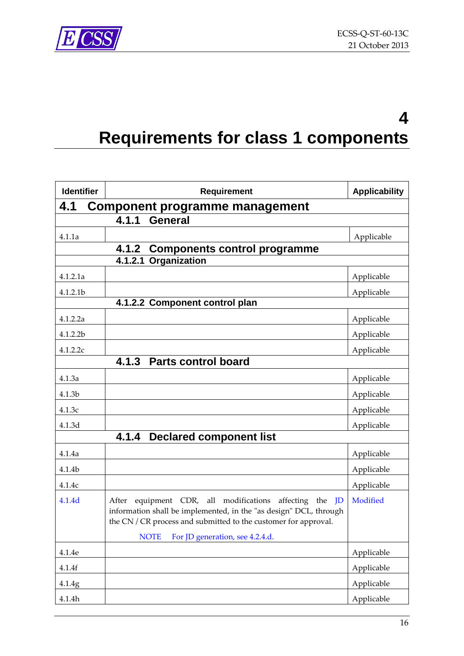

# <span id="page-15-0"></span>**4 Requirements for class 1 components**

| <b>Identifier</b>                            | <b>Requirement</b>                                                                                                                                                                                                                                        | <b>Applicability</b> |
|----------------------------------------------|-----------------------------------------------------------------------------------------------------------------------------------------------------------------------------------------------------------------------------------------------------------|----------------------|
| 4.1<br><b>Component programme management</b> |                                                                                                                                                                                                                                                           |                      |
|                                              | 4.1.1<br><b>General</b>                                                                                                                                                                                                                                   |                      |
| 4.1.1a                                       |                                                                                                                                                                                                                                                           | Applicable           |
|                                              | 4.1.2<br><b>Components control programme</b>                                                                                                                                                                                                              |                      |
|                                              | 4.1.2.1 Organization                                                                                                                                                                                                                                      |                      |
| 4.1.2.1a                                     |                                                                                                                                                                                                                                                           | Applicable           |
| 4.1.2.1b                                     |                                                                                                                                                                                                                                                           | Applicable           |
|                                              | 4.1.2.2 Component control plan                                                                                                                                                                                                                            |                      |
| 4.1.2.2a                                     |                                                                                                                                                                                                                                                           | Applicable           |
| 4.1.2.2b                                     |                                                                                                                                                                                                                                                           | Applicable           |
| 4.1.2.2c                                     |                                                                                                                                                                                                                                                           | Applicable           |
|                                              | 4.1.3<br><b>Parts control board</b>                                                                                                                                                                                                                       |                      |
| 4.1.3a                                       |                                                                                                                                                                                                                                                           | Applicable           |
| 4.1.3b                                       |                                                                                                                                                                                                                                                           | Applicable           |
| 4.1.3c                                       |                                                                                                                                                                                                                                                           | Applicable           |
| 4.1.3d                                       |                                                                                                                                                                                                                                                           | Applicable           |
|                                              | <b>Declared component list</b><br>4.1.4                                                                                                                                                                                                                   |                      |
| 4.1.4a                                       |                                                                                                                                                                                                                                                           | Applicable           |
| 4.1.4b                                       |                                                                                                                                                                                                                                                           | Applicable           |
| 4.1.4c                                       |                                                                                                                                                                                                                                                           | Applicable           |
| 4.1.4d                                       | equipment CDR, all modifications affecting the<br>After<br>- ID<br>information shall be implemented, in the "as design" DCL, through<br>the CN / CR process and submitted to the customer for approval.<br><b>NOTE</b><br>For JD generation, see 4.2.4.d. | Modified             |
| 4.1.4e                                       |                                                                                                                                                                                                                                                           | Applicable           |
| 4.1.4f                                       |                                                                                                                                                                                                                                                           | Applicable           |
| 4.1.4g                                       |                                                                                                                                                                                                                                                           | Applicable           |
| 4.1.4 <sub>h</sub>                           |                                                                                                                                                                                                                                                           | Applicable           |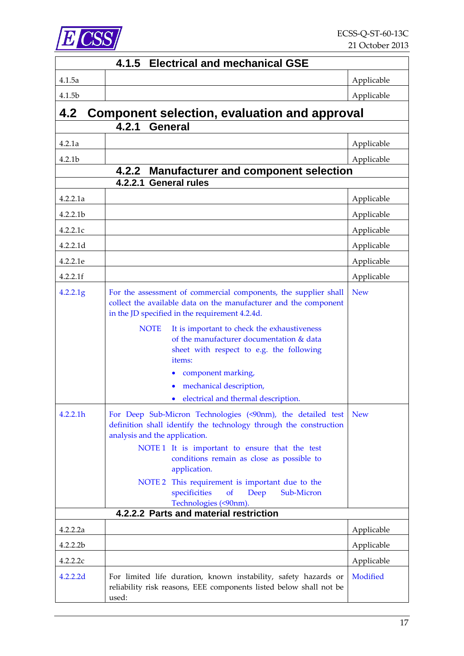

|          | <b>Electrical and mechanical GSE</b><br>4.1.5                                                                                                                                         |            |
|----------|---------------------------------------------------------------------------------------------------------------------------------------------------------------------------------------|------------|
| 4.1.5a   |                                                                                                                                                                                       | Applicable |
| 4.1.5b   |                                                                                                                                                                                       | Applicable |
| 4.2      | Component selection, evaluation and approval                                                                                                                                          |            |
|          | 4.2.1<br><b>General</b>                                                                                                                                                               |            |
| 4.2.1a   |                                                                                                                                                                                       | Applicable |
| 4.2.1b   |                                                                                                                                                                                       | Applicable |
|          | 4.2.2<br><b>Manufacturer and component selection</b>                                                                                                                                  |            |
|          | <b>General rules</b><br>4.2.2.1                                                                                                                                                       |            |
| 4.2.2.1a |                                                                                                                                                                                       | Applicable |
| 4.2.2.1b |                                                                                                                                                                                       | Applicable |
| 4.2.2.1c |                                                                                                                                                                                       | Applicable |
| 4.2.2.1d |                                                                                                                                                                                       | Applicable |
| 4.2.2.1e |                                                                                                                                                                                       | Applicable |
| 4.2.2.1f |                                                                                                                                                                                       | Applicable |
| 4.2.2.1g | For the assessment of commercial components, the supplier shall<br>collect the available data on the manufacturer and the component<br>in the JD specified in the requirement 4.2.4d. | <b>New</b> |
|          | <b>NOTE</b><br>It is important to check the exhaustiveness<br>of the manufacturer documentation & data<br>sheet with respect to e.g. the following<br>items:                          |            |
|          | component marking,                                                                                                                                                                    |            |
|          | mechanical description,<br>$\bullet$                                                                                                                                                  |            |
|          | electrical and thermal description.                                                                                                                                                   |            |
| 4.2.2.1h | For Deep Sub-Micron Technologies (<90nm), the detailed test<br>definition shall identify the technology through the construction<br>analysis and the application.                     | <b>New</b> |
|          | NOTE 1 It is important to ensure that the test<br>conditions remain as close as possible to<br>application.                                                                           |            |
|          | This requirement is important due to the<br>NOTE <sub>2</sub><br>specificities<br>Sub-Micron<br>of<br>Deep<br>Technologies (<90nm).                                                   |            |
|          | 4.2.2.2 Parts and material restriction                                                                                                                                                |            |
| 4.2.2.2a |                                                                                                                                                                                       | Applicable |
| 4.2.2.2b |                                                                                                                                                                                       | Applicable |
| 4.2.2.2c |                                                                                                                                                                                       | Applicable |
| 4.2.2.2d | For limited life duration, known instability, safety hazards or<br>reliability risk reasons, EEE components listed below shall not be<br>used:                                        | Modified   |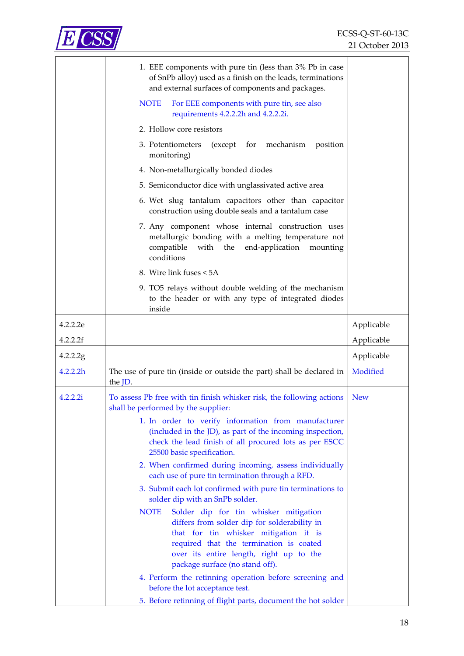

|          | 1. EEE components with pure tin (less than 3% Pb in case<br>of SnPb alloy) used as a finish on the leads, terminations<br>and external surfaces of components and packages.                                                                                            |            |
|----------|------------------------------------------------------------------------------------------------------------------------------------------------------------------------------------------------------------------------------------------------------------------------|------------|
|          | For EEE components with pure tin, see also<br><b>NOTE</b><br>requirements 4.2.2.2h and 4.2.2.2i.                                                                                                                                                                       |            |
|          | 2. Hollow core resistors                                                                                                                                                                                                                                               |            |
|          | 3. Potentiometers<br>(except for mechanism<br>position<br>monitoring)                                                                                                                                                                                                  |            |
|          | 4. Non-metallurgically bonded diodes                                                                                                                                                                                                                                   |            |
|          | 5. Semiconductor dice with unglassivated active area                                                                                                                                                                                                                   |            |
|          | 6. Wet slug tantalum capacitors other than capacitor<br>construction using double seals and a tantalum case                                                                                                                                                            |            |
|          | 7. Any component whose internal construction uses<br>metallurgic bonding with a melting temperature not<br>compatible<br>with the<br>end-application<br>mounting<br>conditions                                                                                         |            |
|          | 8. Wire link fuses < 5A                                                                                                                                                                                                                                                |            |
|          | 9. TO5 relays without double welding of the mechanism<br>to the header or with any type of integrated diodes<br>inside                                                                                                                                                 |            |
| 4.2.2.2e |                                                                                                                                                                                                                                                                        | Applicable |
|          |                                                                                                                                                                                                                                                                        |            |
| 4.2.2.2f |                                                                                                                                                                                                                                                                        | Applicable |
| 4.2.2.2g |                                                                                                                                                                                                                                                                        | Applicable |
| 4.2.2.2h | The use of pure tin (inside or outside the part) shall be declared in<br>the JD.                                                                                                                                                                                       | Modified   |
| 4.2.2.2i | To assess Pb free with tin finish whisker risk, the following actions<br>shall be performed by the supplier:                                                                                                                                                           | <b>New</b> |
|          | 1. In order to verify information from manufacturer<br>(included in the JD), as part of the incoming inspection,<br>check the lead finish of all procured lots as per ESCC<br>25500 basic specification.                                                               |            |
|          | 2. When confirmed during incoming, assess individually<br>each use of pure tin termination through a RFD.                                                                                                                                                              |            |
|          | 3. Submit each lot confirmed with pure tin terminations to<br>solder dip with an SnPb solder.                                                                                                                                                                          |            |
|          | <b>NOTE</b><br>Solder dip for tin whisker mitigation<br>differs from solder dip for solderability in<br>that for tin whisker mitigation it is<br>required that the termination is coated<br>over its entire length, right up to the<br>package surface (no stand off). |            |
|          | 4. Perform the retinning operation before screening and<br>before the lot acceptance test.<br>5. Before retinning of flight parts, document the hot solder                                                                                                             |            |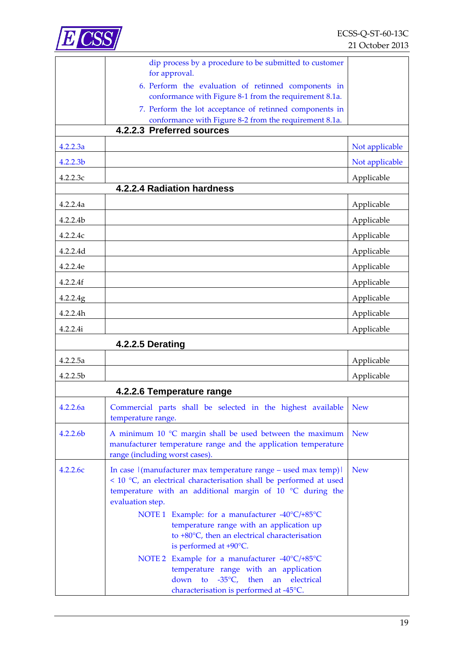

|                      | dip process by a procedure to be submitted to customer<br>for approval.                                                                                                                                                                                                                                                                                                                                                                                                                                                                                                                            |                |
|----------------------|----------------------------------------------------------------------------------------------------------------------------------------------------------------------------------------------------------------------------------------------------------------------------------------------------------------------------------------------------------------------------------------------------------------------------------------------------------------------------------------------------------------------------------------------------------------------------------------------------|----------------|
|                      | 6. Perform the evaluation of retinned components in                                                                                                                                                                                                                                                                                                                                                                                                                                                                                                                                                |                |
|                      | conformance with Figure 8-1 from the requirement 8.1a.                                                                                                                                                                                                                                                                                                                                                                                                                                                                                                                                             |                |
|                      | 7. Perform the lot acceptance of retinned components in                                                                                                                                                                                                                                                                                                                                                                                                                                                                                                                                            |                |
|                      | conformance with Figure 8-2 from the requirement 8.1a.                                                                                                                                                                                                                                                                                                                                                                                                                                                                                                                                             |                |
|                      | 4.2.2.3 Preferred sources                                                                                                                                                                                                                                                                                                                                                                                                                                                                                                                                                                          |                |
| 4.2.2.3a             |                                                                                                                                                                                                                                                                                                                                                                                                                                                                                                                                                                                                    | Not applicable |
| 4.2.2.3 <sub>b</sub> |                                                                                                                                                                                                                                                                                                                                                                                                                                                                                                                                                                                                    | Not applicable |
| 4.2.2.3c             |                                                                                                                                                                                                                                                                                                                                                                                                                                                                                                                                                                                                    | Applicable     |
|                      | 4.2.2.4 Radiation hardness                                                                                                                                                                                                                                                                                                                                                                                                                                                                                                                                                                         |                |
| 4.2.2.4a             |                                                                                                                                                                                                                                                                                                                                                                                                                                                                                                                                                                                                    | Applicable     |
| 4.2.2.4 <sub>b</sub> |                                                                                                                                                                                                                                                                                                                                                                                                                                                                                                                                                                                                    | Applicable     |
| 4.2.2.4c             |                                                                                                                                                                                                                                                                                                                                                                                                                                                                                                                                                                                                    | Applicable     |
| 4.2.2.4d             |                                                                                                                                                                                                                                                                                                                                                                                                                                                                                                                                                                                                    | Applicable     |
| 4.2.2.4e             |                                                                                                                                                                                                                                                                                                                                                                                                                                                                                                                                                                                                    | Applicable     |
| 4.2.2.4f             |                                                                                                                                                                                                                                                                                                                                                                                                                                                                                                                                                                                                    | Applicable     |
| 4.2.2.4g             |                                                                                                                                                                                                                                                                                                                                                                                                                                                                                                                                                                                                    | Applicable     |
| 4.2.2.4h             |                                                                                                                                                                                                                                                                                                                                                                                                                                                                                                                                                                                                    | Applicable     |
| 4.2.2.4i             |                                                                                                                                                                                                                                                                                                                                                                                                                                                                                                                                                                                                    | Applicable     |
|                      | 4.2.2.5 Derating                                                                                                                                                                                                                                                                                                                                                                                                                                                                                                                                                                                   |                |
| 4.2.2.5a             |                                                                                                                                                                                                                                                                                                                                                                                                                                                                                                                                                                                                    | Applicable     |
| 4.2.2.5b             |                                                                                                                                                                                                                                                                                                                                                                                                                                                                                                                                                                                                    | Applicable     |
|                      | 4.2.2.6 Temperature range                                                                                                                                                                                                                                                                                                                                                                                                                                                                                                                                                                          |                |
| 4.2.2.6a             | Commercial parts shall be selected in the highest available<br>temperature range.                                                                                                                                                                                                                                                                                                                                                                                                                                                                                                                  | <b>New</b>     |
| 4.2.2.6b             | A minimum 10 °C margin shall be used between the maximum<br>manufacturer temperature range and the application temperature<br>range (including worst cases).                                                                                                                                                                                                                                                                                                                                                                                                                                       | <b>New</b>     |
| 4.2.2.6c             | In case   (manufacturer max temperature range – used max temp)  <br>$<$ 10 °C, an electrical characterisation shall be performed at used<br>temperature with an additional margin of 10 °C during the<br>evaluation step.<br>NOTE 1 Example: for a manufacturer -40°C/+85°C<br>temperature range with an application up<br>to +80°C, then an electrical characterisation<br>is performed at +90°C.<br>NOTE 2 Example for a manufacturer -40°C/+85°C<br>temperature range with an application<br>then<br>down to<br>$-35^{\circ}$ C,<br>an<br>electrical<br>characterisation is performed at -45°C. | <b>New</b>     |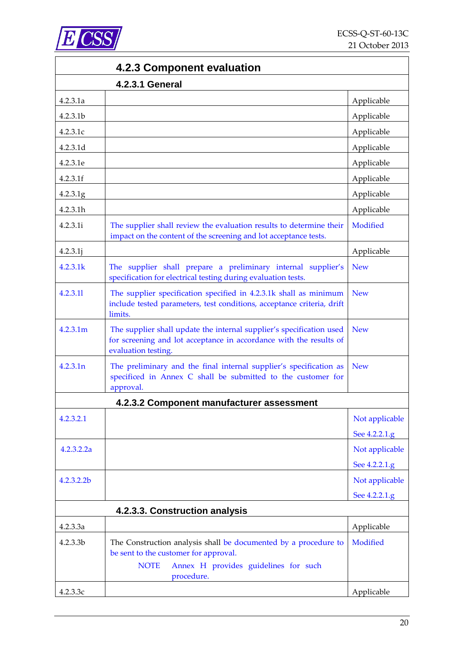|            | <b>4.2.3 Component evaluation</b>                                                                                                                                 |                                 |
|------------|-------------------------------------------------------------------------------------------------------------------------------------------------------------------|---------------------------------|
|            | <b>4.2.3.1 General</b>                                                                                                                                            |                                 |
| 4.2.3.1a   |                                                                                                                                                                   | Applicable                      |
| 4.2.3.1b   |                                                                                                                                                                   | Applicable                      |
| 4.2.3.1c   |                                                                                                                                                                   | Applicable                      |
| 4.2.3.1d   |                                                                                                                                                                   | Applicable                      |
| 4.2.3.1e   |                                                                                                                                                                   | Applicable                      |
| 4.2.3.1f   |                                                                                                                                                                   | Applicable                      |
| 4.2.3.1g   |                                                                                                                                                                   | Applicable                      |
| 4.2.3.1h   |                                                                                                                                                                   | Applicable                      |
| 4.2.3.1i   | The supplier shall review the evaluation results to determine their<br>impact on the content of the screening and lot acceptance tests.                           | Modified                        |
| 4.2.3.1j   |                                                                                                                                                                   | Applicable                      |
| 4.2.3.1k   | The supplier shall prepare a preliminary internal supplier's<br>specification for electrical testing during evaluation tests.                                     | <b>New</b>                      |
| 4.2.3.11   | The supplier specification specified in 4.2.3.1k shall as minimum<br>include tested parameters, test conditions, acceptance criteria, drift<br>limits.            | <b>New</b>                      |
| 4.2.3.1m   | The supplier shall update the internal supplier's specification used<br>for screening and lot acceptance in accordance with the results of<br>evaluation testing. | <b>New</b>                      |
| 4.2.3.1n   | The preliminary and the final internal supplier's specification as<br>specificed in Annex C shall be submitted to the customer for<br>approval.                   | <b>New</b>                      |
|            | 4.2.3.2 Component manufacturer assessment                                                                                                                         |                                 |
| 4.2.3.2.1  |                                                                                                                                                                   | Not applicable<br>See 4.2.2.1.g |
| 4.2.3.2.2a |                                                                                                                                                                   | Not applicable                  |
|            |                                                                                                                                                                   | See 4.2.2.1.g                   |
| 4.2.3.2.2b |                                                                                                                                                                   | Not applicable                  |
|            |                                                                                                                                                                   | See 4.2.2.1.g                   |
|            | 4.2.3.3. Construction analysis                                                                                                                                    |                                 |
| 4.2.3.3a   |                                                                                                                                                                   | Applicable                      |
| 4.2.3.3b   | The Construction analysis shall be documented by a procedure to<br>be sent to the customer for approval.                                                          | Modified                        |
|            | Annex H provides guidelines for such<br><b>NOTE</b><br>procedure.                                                                                                 |                                 |
| 4.2.3.3c   |                                                                                                                                                                   | Applicable                      |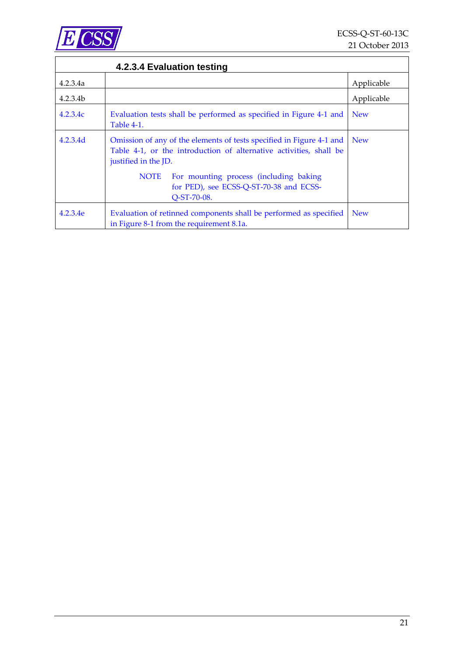

| 4.2.3.4a             |                                                                                                                                                                    | Applicable |
|----------------------|--------------------------------------------------------------------------------------------------------------------------------------------------------------------|------------|
| 4.2.3.4 <sub>b</sub> |                                                                                                                                                                    | Applicable |
| 4.2.3.4c             | Evaluation tests shall be performed as specified in Figure 4-1 and<br><b>Table 4-1.</b>                                                                            | <b>New</b> |
| 4.2.3.4d             | Omission of any of the elements of tests specified in Figure 4-1 and<br>Table 4-1, or the introduction of alternative activities, shall be<br>justified in the JD. | <b>New</b> |
|                      | <b>NOTE</b><br>For mounting process (including baking<br>for PED), see ECSS-Q-ST-70-38 and ECSS-<br>Q-ST-70-08.                                                    |            |
| 4.2.3.4e             | Evaluation of retinned components shall be performed as specified<br>in Figure 8-1 from the requirement 8.1a.                                                      | <b>New</b> |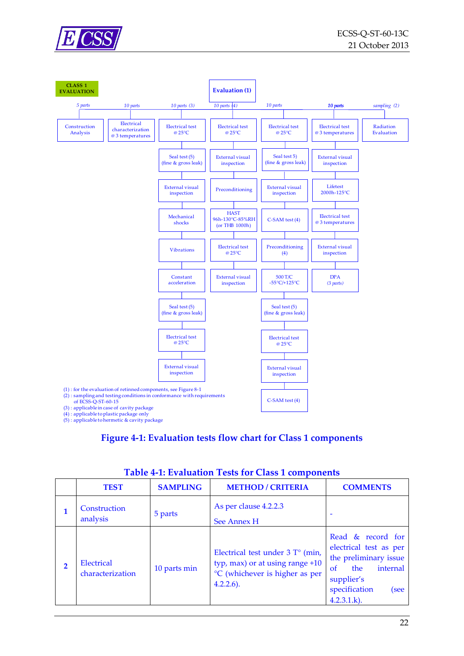



<span id="page-21-0"></span>



<span id="page-21-1"></span>

|                | <b>TEST</b>                    | <b>SAMPLING</b> | <b>METHOD / CRITERIA</b>                                                                                                       | <b>COMMENTS</b>                                                                                                                                              |
|----------------|--------------------------------|-----------------|--------------------------------------------------------------------------------------------------------------------------------|--------------------------------------------------------------------------------------------------------------------------------------------------------------|
|                | Construction<br>analysis       | 5 parts         | As per clause 4.2.2.3<br>See Annex H                                                                                           |                                                                                                                                                              |
| $\overline{2}$ | Electrical<br>characterization | 10 parts min    | Electrical test under $3 T^{\circ}$ (min,<br>typ, max) or at using range +10<br>°C (whichever is higher as per<br>$4.2.2.6$ ). | Read & record for<br>electrical test as per<br>the preliminary issue<br>internal<br>the<br>$\alpha$<br>supplier's<br>specification<br>(see<br>$4.2.3.1.k$ ). |

#### **Table 4-1: Evaluation Tests for Class 1 components**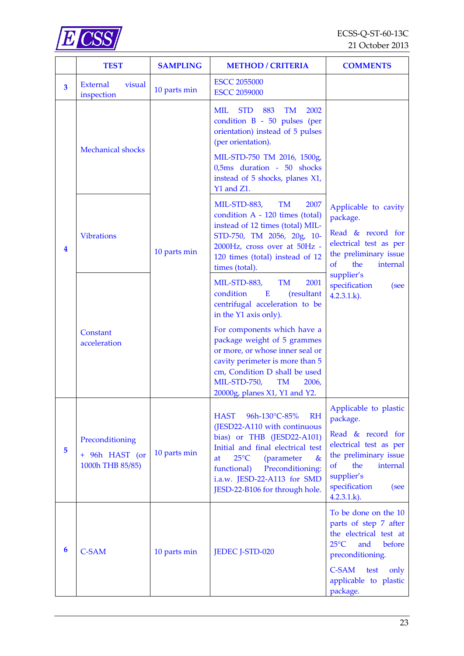



|                         | <b>TEST</b>                                           | <b>SAMPLING</b> | <b>METHOD / CRITERIA</b>                                                                                                                                                                                                                                                                                                                                                     | <b>COMMENTS</b>                                                                                                                                                                                        |
|-------------------------|-------------------------------------------------------|-----------------|------------------------------------------------------------------------------------------------------------------------------------------------------------------------------------------------------------------------------------------------------------------------------------------------------------------------------------------------------------------------------|--------------------------------------------------------------------------------------------------------------------------------------------------------------------------------------------------------|
| 3                       | <b>External</b><br>visual<br>inspection               | 10 parts min    | <b>ESCC 2055000</b><br><b>ESCC 2059000</b>                                                                                                                                                                                                                                                                                                                                   |                                                                                                                                                                                                        |
| $\overline{\mathbf{4}}$ | <b>Mechanical shocks</b>                              | 10 parts min    | 883<br>MIL<br><b>STD</b><br><b>TM</b><br>2002<br>condition B - 50 pulses (per<br>orientation) instead of 5 pulses<br>(per orientation).<br>MIL-STD-750 TM 2016, 1500g,<br>0,5ms duration - 50 shocks<br>instead of 5 shocks, planes X1,<br>$Y1$ and $Z1$ .                                                                                                                   |                                                                                                                                                                                                        |
|                         | <b>Vibrations</b>                                     |                 | MIL-STD-883,<br>TM<br>2007<br>condition A - 120 times (total)<br>instead of 12 times (total) MIL-<br>STD-750, TM 2056, 20g, 10-<br>2000Hz, cross over at 50Hz -<br>120 times (total) instead of 12<br>times (total).                                                                                                                                                         | Applicable to cavity<br>package.<br>Read & record for<br>electrical test as per<br>the preliminary issue<br>of<br>the<br>internal<br>supplier's<br>specification<br>(see<br>$4.2.3.1.k$ ).             |
|                         | Constant<br>acceleration                              |                 | MIL-STD-883,<br><b>TM</b><br>2001<br>condition<br>E<br>(resultant<br>centrifugal acceleration to be<br>in the Y1 axis only).<br>For components which have a<br>package weight of 5 grammes<br>or more, or whose inner seal or<br>cavity perimeter is more than 5<br>cm, Condition D shall be used                                                                            |                                                                                                                                                                                                        |
| 5                       | Preconditioning<br>+ 96h HAST (or<br>1000h THB 85/85) | 10 parts min    | <b>MIL-STD-750,</b><br><b>TM</b><br>2006,<br>20000g, planes X1, Y1 and Y2.<br>96h-130°C-85%<br><b>RH</b><br><b>HAST</b><br>(JESD22-A110 with continuous<br>bias) or THB (JESD22-A101)<br>Initial and final electrical test<br>$25^{\circ}$ C<br>(parameter<br>$\&$<br>at<br>Preconditioning:<br>functional)<br>i.a.w. JESD-22-A113 for SMD<br>JESD-22-B106 for through hole. | Applicable to plastic<br>package.<br>Read & record for<br>electrical test as per<br>the preliminary issue<br><sub>of</sub><br>the<br>internal<br>supplier's<br>specification<br>(see<br>$4.2.3.1.k$ ). |
| 6                       | <b>C-SAM</b>                                          | 10 parts min    | JEDEC J-STD-020                                                                                                                                                                                                                                                                                                                                                              | To be done on the 10<br>parts of step 7 after<br>the electrical test at<br>$25^{\circ}$ C<br>before<br>and<br>preconditioning.<br>C-SAM<br>test<br>only<br>applicable to plastic<br>package.           |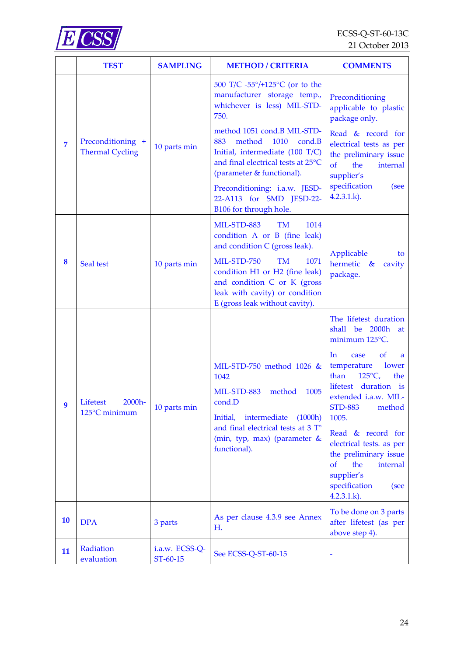

|                | <b>TEST</b>                                 | <b>SAMPLING</b>            | <b>METHOD / CRITERIA</b>                                                                                                                                                                                                                                                                                      | <b>COMMENTS</b>                                                                                                                                                                                                                                                                                                                                                                                                     |
|----------------|---------------------------------------------|----------------------------|---------------------------------------------------------------------------------------------------------------------------------------------------------------------------------------------------------------------------------------------------------------------------------------------------------------|---------------------------------------------------------------------------------------------------------------------------------------------------------------------------------------------------------------------------------------------------------------------------------------------------------------------------------------------------------------------------------------------------------------------|
| $\overline{7}$ | Preconditioning +<br><b>Thermal Cycling</b> | 10 parts min               | 500 T/C -55°/+125°C (or to the<br>manufacturer storage temp.,<br>whichever is less) MIL-STD-<br>750.<br>method 1051 cond.B MIL-STD-<br>883<br>method<br>1010<br>cond.B<br>Initial, intermediate (100 T/C)<br>and final electrical tests at 25°C<br>(parameter & functional).<br>Preconditioning: i.a.w. JESD- | Preconditioning<br>applicable to plastic<br>package only.<br>Read & record for<br>electrical tests as per<br>the preliminary issue<br>$\mathbf{of}$<br>the<br>internal<br>supplier's<br>specification<br>(see                                                                                                                                                                                                       |
|                |                                             |                            | 22-A113 for SMD JESD-22-<br>B106 for through hole.<br><b>MIL-STD-883</b><br><b>TM</b><br>1014                                                                                                                                                                                                                 | $4.2.3.1.k$ ).                                                                                                                                                                                                                                                                                                                                                                                                      |
| 8              | Seal test                                   | 10 parts min               | condition A or B (fine leak)<br>and condition C (gross leak).<br>MIL-STD-750<br><b>TM</b><br>1071<br>condition H1 or H2 (fine leak)<br>and condition C or K (gross<br>leak with cavity) or condition<br>E (gross leak without cavity).                                                                        | Applicable<br>to<br>hermetic &<br>cavity<br>package.                                                                                                                                                                                                                                                                                                                                                                |
| 9              | $2000h -$<br>Lifetest<br>125°C minimum      | 10 parts min               | MIL-STD-750 method 1026 &<br>1042<br><b>MIL-STD-883</b><br>method<br>1005<br>cond.D<br>Initial, intermediate (1000h)<br>and final electrical tests at 3 T°<br>(min, typ, max) (parameter $&$<br>functional).                                                                                                  | The lifetest duration<br>shall be 2000h<br>at<br>minimum 125°C.<br>In.<br><sub>of</sub><br>case<br>a<br>temperature<br>lower<br>than<br>$125^{\circ}C$ ,<br>the<br>lifetest duration<br>is<br>extended i.a.w. MIL-<br><b>STD-883</b><br>method<br>1005.<br>Read & record for<br>electrical tests. as per<br>the preliminary issue<br>of<br>the<br>internal<br>supplier's<br>specification<br>(see<br>$4.2.3.1.k$ ). |
| <b>10</b>      | <b>DPA</b>                                  | 3 parts                    | As per clause 4.3.9 see Annex<br>Н.                                                                                                                                                                                                                                                                           | To be done on 3 parts<br>after lifetest (as per<br>above step 4).                                                                                                                                                                                                                                                                                                                                                   |
| 11             | Radiation<br>evaluation                     | i.a.w. ECSS-Q-<br>ST-60-15 | See ECSS-Q-ST-60-15                                                                                                                                                                                                                                                                                           |                                                                                                                                                                                                                                                                                                                                                                                                                     |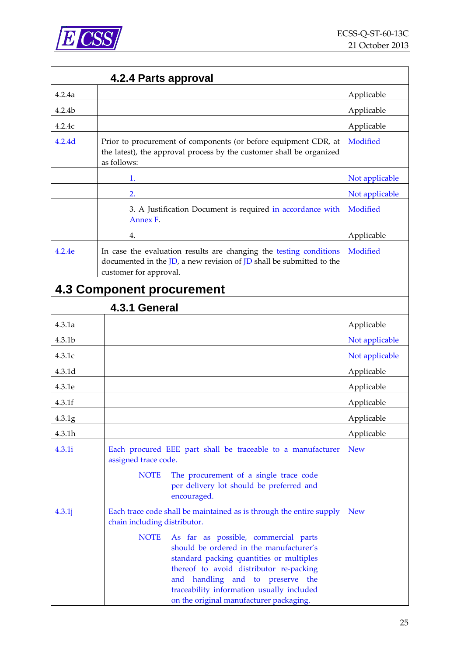

|        | 4.2.4 Parts approval                                                                                                                                                                                                                                                                                                 |                |
|--------|----------------------------------------------------------------------------------------------------------------------------------------------------------------------------------------------------------------------------------------------------------------------------------------------------------------------|----------------|
| 4.2.4a |                                                                                                                                                                                                                                                                                                                      | Applicable     |
| 4.2.4b |                                                                                                                                                                                                                                                                                                                      | Applicable     |
| 4.2.4c |                                                                                                                                                                                                                                                                                                                      | Applicable     |
| 4.2.4d | Prior to procurement of components (or before equipment CDR, at<br>the latest), the approval process by the customer shall be organized<br>as follows:                                                                                                                                                               | Modified       |
|        | 1.                                                                                                                                                                                                                                                                                                                   | Not applicable |
|        | 2.                                                                                                                                                                                                                                                                                                                   | Not applicable |
|        | 3. A Justification Document is required in accordance with<br>Annex F.                                                                                                                                                                                                                                               | Modified       |
|        | 4.                                                                                                                                                                                                                                                                                                                   | Applicable     |
| 4.2.4e | In case the evaluation results are changing the testing conditions<br>documented in the $ D$ , a new revision of $ D$ shall be submitted to the<br>customer for approval.                                                                                                                                            | Modified       |
|        | <b>4.3 Component procurement</b>                                                                                                                                                                                                                                                                                     |                |
|        | 4.3.1 General                                                                                                                                                                                                                                                                                                        |                |
| 4.3.1a |                                                                                                                                                                                                                                                                                                                      | Applicable     |
| 4.3.1b |                                                                                                                                                                                                                                                                                                                      | Not applicable |
| 4.3.1c |                                                                                                                                                                                                                                                                                                                      | Not applicable |
| 4.3.1d |                                                                                                                                                                                                                                                                                                                      | Applicable     |
| 4.3.1e |                                                                                                                                                                                                                                                                                                                      | Applicable     |
| 4.3.1f |                                                                                                                                                                                                                                                                                                                      | Applicable     |
| 4.3.1g |                                                                                                                                                                                                                                                                                                                      | Applicable     |
| 4.3.1h |                                                                                                                                                                                                                                                                                                                      | Applicable     |
| 4.3.1i | Each procured EEE part shall be traceable to a manufacturer<br>assigned trace code.                                                                                                                                                                                                                                  | <b>New</b>     |
|        | <b>NOTE</b><br>The procurement of a single trace code<br>per delivery lot should be preferred and<br>encouraged.                                                                                                                                                                                                     |                |
| 4.3.1j | Each trace code shall be maintained as is through the entire supply<br>chain including distributor.                                                                                                                                                                                                                  | <b>New</b>     |
|        | <b>NOTE</b><br>As far as possible, commercial parts<br>should be ordered in the manufacturer's<br>standard packing quantities or multiples<br>thereof to avoid distributor re-packing<br>handling and to preserve the<br>and<br>traceability information usually included<br>on the original manufacturer packaging. |                |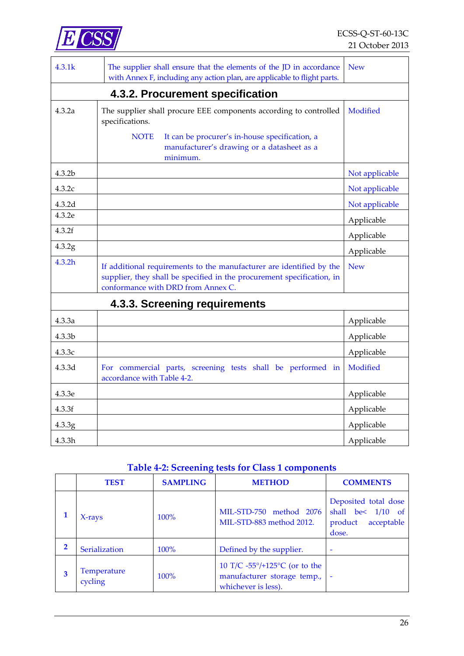

| 4.3.1k             | The supplier shall ensure that the elements of the JD in accordance<br>with Annex F, including any action plan, are applicable to flight parts.                                      |                |  |  |  |  |  |
|--------------------|--------------------------------------------------------------------------------------------------------------------------------------------------------------------------------------|----------------|--|--|--|--|--|
|                    | 4.3.2. Procurement specification                                                                                                                                                     |                |  |  |  |  |  |
| 4.3.2a             | The supplier shall procure EEE components according to controlled<br>specifications.                                                                                                 | Modified       |  |  |  |  |  |
|                    | <b>NOTE</b><br>It can be procurer's in-house specification, a<br>manufacturer's drawing or a datasheet as a<br>minimum.                                                              |                |  |  |  |  |  |
| 4.3.2 <sub>b</sub> |                                                                                                                                                                                      | Not applicable |  |  |  |  |  |
| 4.3.2c             |                                                                                                                                                                                      | Not applicable |  |  |  |  |  |
| 4.3.2d             |                                                                                                                                                                                      | Not applicable |  |  |  |  |  |
| 4.3.2e             |                                                                                                                                                                                      | Applicable     |  |  |  |  |  |
| 4.3.2f             |                                                                                                                                                                                      | Applicable     |  |  |  |  |  |
| 4.3.2g             |                                                                                                                                                                                      | Applicable     |  |  |  |  |  |
| 4.3.2h             | If additional requirements to the manufacturer are identified by the<br>supplier, they shall be specified in the procurement specification, in<br>conformance with DRD from Annex C. | <b>New</b>     |  |  |  |  |  |
|                    | 4.3.3. Screening requirements                                                                                                                                                        |                |  |  |  |  |  |
| 4.3.3a             |                                                                                                                                                                                      | Applicable     |  |  |  |  |  |
| 4.3.3b             |                                                                                                                                                                                      | Applicable     |  |  |  |  |  |
| 4.3.3c             |                                                                                                                                                                                      | Applicable     |  |  |  |  |  |
| 4.3.3d             | For commercial parts, screening tests shall be performed in<br>accordance with Table 4-2.                                                                                            | Modified       |  |  |  |  |  |
| 4.3.3e             |                                                                                                                                                                                      | Applicable     |  |  |  |  |  |
| 4.3.3f             |                                                                                                                                                                                      | Applicable     |  |  |  |  |  |
| 4.3.3 <sub>g</sub> |                                                                                                                                                                                      | Applicable     |  |  |  |  |  |
| 4.3.3h             |                                                                                                                                                                                      | Applicable     |  |  |  |  |  |

### **Table 4-2: Screening tests for Class 1 components**

<span id="page-25-0"></span>

|                | <b>TEST</b>            | <b>SAMPLING</b> | <b>METHOD</b>                                                                                        | <b>COMMENTS</b>                                                               |
|----------------|------------------------|-----------------|------------------------------------------------------------------------------------------------------|-------------------------------------------------------------------------------|
|                | $X-rays$               | 100%            | MIL-STD-750 method 2076<br>MIL-STD-883 method 2012.                                                  | Deposited total dose<br>shall be< $1/10$ of<br>product<br>acceptable<br>dose. |
| $\overline{2}$ | Serialization          | 100%            | Defined by the supplier.                                                                             |                                                                               |
| 3              | Temperature<br>cycling | $100\%$         | 10 T/C $-55^{\circ}/+125^{\circ}$ C (or to the<br>manufacturer storage temp.,<br>whichever is less). | ٠                                                                             |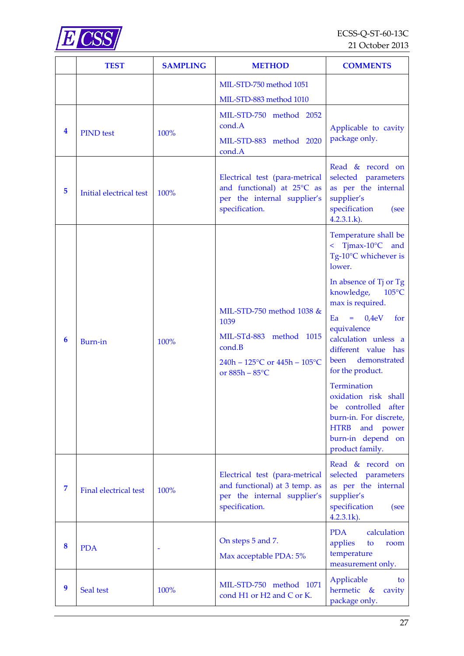

|                | <b>TEST</b>                  | <b>SAMPLING</b> | <b>METHOD</b>                                                                                                                     | <b>COMMENTS</b>                                                                                                                                                                                                                                                                                                                                                             |
|----------------|------------------------------|-----------------|-----------------------------------------------------------------------------------------------------------------------------------|-----------------------------------------------------------------------------------------------------------------------------------------------------------------------------------------------------------------------------------------------------------------------------------------------------------------------------------------------------------------------------|
|                |                              |                 | MIL-STD-750 method 1051                                                                                                           |                                                                                                                                                                                                                                                                                                                                                                             |
|                |                              |                 | MIL-STD-883 method 1010                                                                                                           |                                                                                                                                                                                                                                                                                                                                                                             |
| 4              | <b>PIND</b> test             | 100%            | MIL-STD-750 method 2052<br>cond.A<br>MIL-STD-883 method 2020<br>cond.A                                                            | Applicable to cavity<br>package only.                                                                                                                                                                                                                                                                                                                                       |
| 5              | Initial electrical test      | 100%            | Electrical test (para-metrical<br>and functional) at 25°C as<br>per the internal supplier's<br>specification.                     | Read & record on<br>selected parameters<br>as per the internal<br>supplier's<br>specification<br>(see<br>$4.2.3.1.k$ ).                                                                                                                                                                                                                                                     |
|                |                              |                 |                                                                                                                                   | Temperature shall be<br>$\text{ <}$ Tjmax-10 $\textdegree$ C<br>and<br>Tg-10°C whichever is<br>lower.                                                                                                                                                                                                                                                                       |
| 6              | <b>Burn-in</b>               | 100%            | MIL-STD-750 method 1038 &<br>1039<br>MIL-STd-883 method 1015<br>cond.B<br>240h - 125°C or 445h - 105°C<br>or $885h - 85^{\circ}C$ | In absence of Tj or Tg<br>$105^{\circ}$ C<br>knowledge,<br>max is required.<br>$= 0,4eV$<br>Ea<br>for<br>equivalence<br>calculation unless a<br>different value has<br>demonstrated<br>been<br>for the product.<br>Termination<br>oxidation risk shall<br>be controlled after<br>burn-in. For discrete,<br><b>HTRB</b><br>and power<br>burn-in depend on<br>product family. |
| $\overline{7}$ | <b>Final electrical test</b> | 100%            | Electrical test (para-metrical<br>and functional) at 3 temp. as<br>per the internal supplier's<br>specification.                  | Read & record on<br>selected parameters<br>as per the internal<br>supplier's<br>specification<br>(see<br>$4.2.3.1k$ ).                                                                                                                                                                                                                                                      |
| 8              | <b>PDA</b>                   |                 | On steps 5 and 7.<br>Max acceptable PDA: 5%                                                                                       | <b>PDA</b><br>calculation<br>applies<br>to<br>room<br>temperature<br>measurement only.                                                                                                                                                                                                                                                                                      |
| 9              | Seal test                    | 100%            | MIL-STD-750 method 1071<br>cond H1 or H2 and C or K.                                                                              | Applicable<br>to<br>hermetic &<br>cavity<br>package only.                                                                                                                                                                                                                                                                                                                   |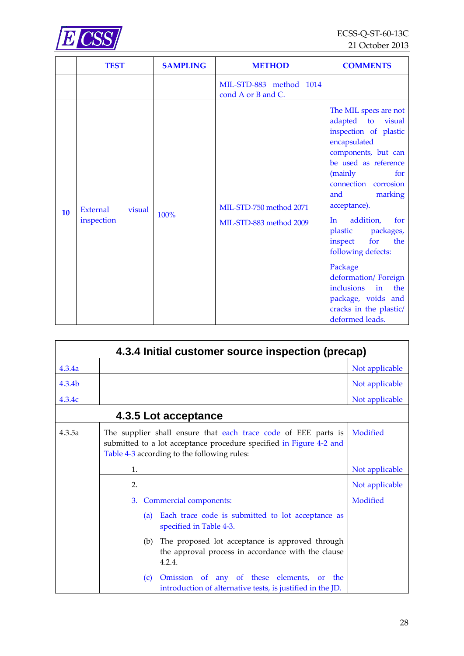

|    | <b>TEST</b>                             | <b>SAMPLING</b> | <b>METHOD</b>                                      | <b>COMMENTS</b>                                                                                                                                                                                                                                                                                                                                                                                                                                 |
|----|-----------------------------------------|-----------------|----------------------------------------------------|-------------------------------------------------------------------------------------------------------------------------------------------------------------------------------------------------------------------------------------------------------------------------------------------------------------------------------------------------------------------------------------------------------------------------------------------------|
|    |                                         |                 | MIL-STD-883 method 1014<br>cond A or B and C.      |                                                                                                                                                                                                                                                                                                                                                                                                                                                 |
| 10 | <b>External</b><br>visual<br>inspection | 100%            | MIL-STD-750 method 2071<br>MIL-STD-883 method 2009 | The MIL specs are not<br>adapted to<br>visual<br>inspection of plastic<br>encapsulated<br>components, but can<br>be used as reference<br>(mainly<br>for<br>connection corrosion<br>and<br>marking<br>acceptance).<br>addition,<br>for<br>In<br>plastic packages,<br>inspect<br>for<br>the<br>following defects:<br>Package<br>deformation/Foreign<br>inclusions<br>in<br>the<br>package, voids and<br>cracks in the plastic/<br>deformed leads. |

|        | 4.3.4 Initial customer source inspection (precap)                                                                                                                                    |                |  |  |  |  |
|--------|--------------------------------------------------------------------------------------------------------------------------------------------------------------------------------------|----------------|--|--|--|--|
| 4.3.4a |                                                                                                                                                                                      | Not applicable |  |  |  |  |
| 4.3.4b |                                                                                                                                                                                      | Not applicable |  |  |  |  |
| 4.3.4c |                                                                                                                                                                                      | Not applicable |  |  |  |  |
|        | 4.3.5 Lot acceptance                                                                                                                                                                 |                |  |  |  |  |
| 4.3.5a | The supplier shall ensure that each trace code of EEE parts is<br>submitted to a lot acceptance procedure specified in Figure 4-2 and<br>Table 4-3 according to the following rules: | Modified       |  |  |  |  |
|        | 1.                                                                                                                                                                                   | Not applicable |  |  |  |  |
|        | 2.                                                                                                                                                                                   | Not applicable |  |  |  |  |
|        | Commercial components:<br>3.                                                                                                                                                         | Modified       |  |  |  |  |
|        | Each trace code is submitted to lot acceptance as<br>(a)<br>specified in Table 4-3.                                                                                                  |                |  |  |  |  |
|        | The proposed lot acceptance is approved through<br>(b)<br>the approval process in accordance with the clause<br>4.2.4.                                                               |                |  |  |  |  |
|        | (c) Omission of any of these elements, or<br>the<br>introduction of alternative tests, is justified in the JD.                                                                       |                |  |  |  |  |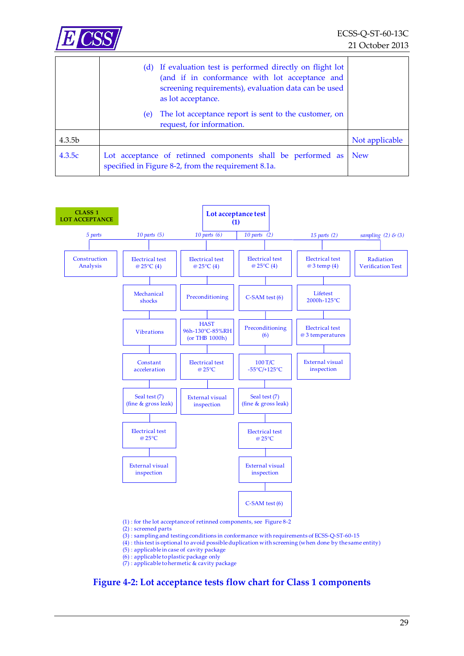

|                    | (d) If evaluation test is performed directly on flight lot<br>(and if in conformance with lot acceptance and<br>screening requirements), evaluation data can be used<br>as lot acceptance. |                |
|--------------------|--------------------------------------------------------------------------------------------------------------------------------------------------------------------------------------------|----------------|
|                    | The lot acceptance report is sent to the customer, on<br>(e)<br>request, for information.                                                                                                  |                |
| 4.3.5 <sub>b</sub> |                                                                                                                                                                                            | Not applicable |
| 4.3.5c             | Lot acceptance of retinned components shall be performed as<br>specified in Figure 8-2, from the requirement 8.1a.                                                                         | <b>New</b>     |



- $(4)$ : this test is optional to avoid possible duplication with screening (when done by the same entity)
- (5) : applicable in case of cavity package
- (6) : applicable to plastic package only
- (7) : applicable to hermetic & cavity package

<span id="page-28-0"></span>**Figure 4-2: Lot acceptance tests flow chart for Class 1 components**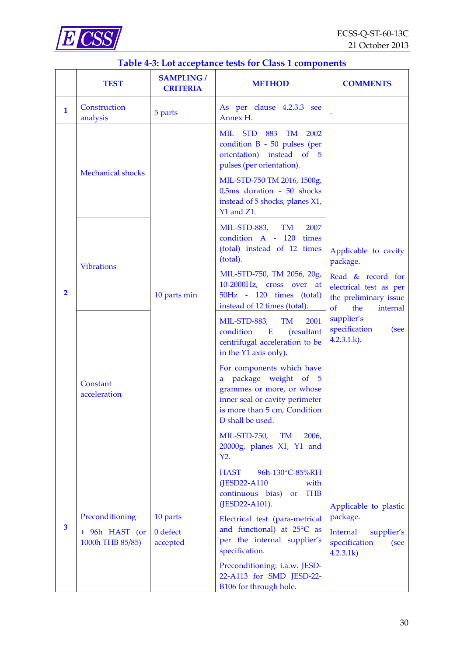

|  |  | Table 4-3: Lot acceptance tests for Class 1 components |
|--|--|--------------------------------------------------------|

<span id="page-29-0"></span>

|                         | <b>TEST</b>                                           | <b>SAMPLING /</b><br><b>CRITERIA</b> | <b>METHOD</b>                                                                                                                                                         | <b>COMMENTS</b>                                                                                                                                                            |
|-------------------------|-------------------------------------------------------|--------------------------------------|-----------------------------------------------------------------------------------------------------------------------------------------------------------------------|----------------------------------------------------------------------------------------------------------------------------------------------------------------------------|
| $\mathbf{1}$            | Construction<br>analysis                              | 5 parts                              | As per clause 4.2.3.3 see<br>Annex H.                                                                                                                                 |                                                                                                                                                                            |
| $\overline{2}$          | <b>Mechanical shocks</b>                              |                                      | <b>STD</b><br>MIL<br>883<br>TM<br>2002<br>condition B - 50 pulses (per<br>orientation) instead of 5<br>pulses (per orientation).                                      |                                                                                                                                                                            |
|                         |                                                       |                                      | MIL-STD-750 TM 2016, 1500g,<br>0,5ms duration - 50 shocks<br>instead of 5 shocks, planes X1,<br>$Y1$ and $Z1$ .                                                       |                                                                                                                                                                            |
|                         |                                                       |                                      | <b>MIL-STD-883,</b><br><b>TM</b><br>2007<br>condition A - 120<br>times<br>(total) instead of 12 times<br>(total).                                                     | Applicable to cavity<br>package.                                                                                                                                           |
|                         | <b>Vibrations</b>                                     | 10 parts min                         | MIL-STD-750, TM 2056, 20g,<br>10-2000Hz, cross over at<br>50Hz - 120 times (total)<br>instead of 12 times (total).                                                    | Read & record for<br>electrical test as per<br>the preliminary issue<br>$\overline{\text{of}}$<br>the<br>internal<br>supplier's<br>specification<br>(see<br>$4.2.3.1.k$ ). |
|                         | Constant<br>acceleration                              |                                      | MIL-STD-883,<br>TM<br>2001<br>condition<br>E<br>(resultant<br>centrifugal acceleration to be<br>in the Y1 axis only).                                                 |                                                                                                                                                                            |
|                         |                                                       |                                      | For components which have<br>a package weight of 5<br>grammes or more, or whose<br>inner seal or cavity perimeter<br>is more than 5 cm, Condition<br>D shall be used. |                                                                                                                                                                            |
|                         |                                                       |                                      | MIL-STD-750, TM<br>2006,<br>20000g, planes X1, Y1 and<br>Y2.                                                                                                          |                                                                                                                                                                            |
| $\overline{\mathbf{3}}$ | Preconditioning<br>+ 96h HAST (or<br>1000h THB 85/85) | 10 parts<br>0 defect<br>accepted     | 96h-130°C-85%RH<br>HAST<br>(JESD22-A110)<br>with<br>continuous bias)<br><b>THB</b><br><b>or</b><br>(JESD22-A101).                                                     | Applicable to plastic                                                                                                                                                      |
|                         |                                                       |                                      | Electrical test (para-metrical<br>and functional) at 25°C as<br>per the internal supplier's<br>specification.                                                         | package.<br>Internal<br>supplier's<br>specification<br>(see<br>4.2.3.1k                                                                                                    |
|                         |                                                       |                                      | Preconditioning: i.a.w. JESD-<br>22-A113 for SMD JESD-22-<br>B106 for through hole.                                                                                   |                                                                                                                                                                            |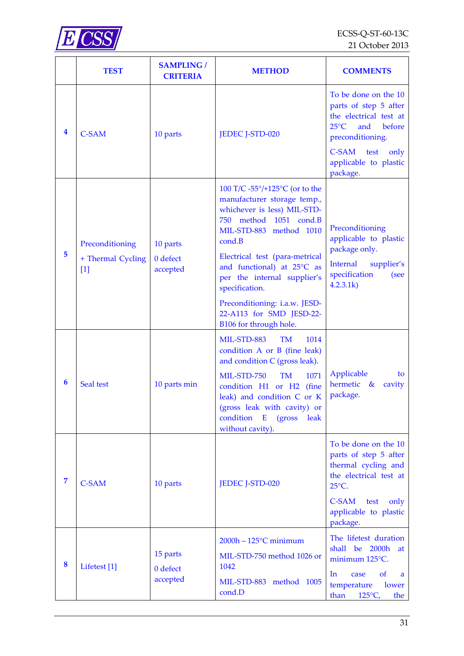

|   | <b>TEST</b>                                   | <b>SAMPLING /</b><br><b>CRITERIA</b> | <b>METHOD</b>                                                                                                                                                                                                                                                                                                                             | <b>COMMENTS</b>                                                                                                                                                                                     |
|---|-----------------------------------------------|--------------------------------------|-------------------------------------------------------------------------------------------------------------------------------------------------------------------------------------------------------------------------------------------------------------------------------------------------------------------------------------------|-----------------------------------------------------------------------------------------------------------------------------------------------------------------------------------------------------|
| 4 | <b>C-SAM</b>                                  | 10 parts                             | JEDEC J-STD-020                                                                                                                                                                                                                                                                                                                           | To be done on the 10<br>parts of step 5 after<br>the electrical test at<br>$25^{\circ}$ C<br>and<br>before<br>preconditioning.<br><b>C-SAM</b><br>test<br>only<br>applicable to plastic<br>package. |
| 5 | Preconditioning<br>+ Thermal Cycling<br>$[1]$ | 10 parts<br>0 defect<br>accepted     | 100 T/C -55°/+125°C (or to the<br>manufacturer storage temp.,<br>whichever is less) MIL-STD-<br>750 method 1051 cond.B<br>MIL-STD-883 method 1010<br>cond.B<br>Electrical test (para-metrical<br>and functional) at 25°C as<br>per the internal supplier's<br>specification.<br>Preconditioning: i.a.w. JESD-<br>22-A113 for SMD JESD-22- | Preconditioning<br>applicable to plastic<br>package only.<br><b>Internal</b><br>supplier's<br>specification<br>(see<br>4.2.3.1k                                                                     |
| 6 | Seal test                                     | 10 parts min                         | B106 for through hole.<br><b>MIL-STD-883</b><br><b>TM</b><br>1014<br>condition A or B (fine leak)<br>and condition C (gross leak).<br>MIL-STD-750<br>1071<br><b>TM</b><br>condition H1 or H2 (fine<br>leak) and condition C or K<br>(gross leak with cavity) or<br>leak<br>condition<br>E<br>(gross)                                      | Applicable<br>to<br>hermetic &<br>cavity<br>package.                                                                                                                                                |
| 7 | <b>C-SAM</b>                                  | 10 parts                             | without cavity).<br>JEDEC J-STD-020                                                                                                                                                                                                                                                                                                       | To be done on the 10<br>parts of step 5 after<br>thermal cycling and<br>the electrical test at<br>$25^{\circ}$ C.<br>C-SAM<br>test<br>only<br>applicable to plastic<br>package.                     |
| 8 | Lifetest <sup>[1]</sup>                       | 15 parts<br>0 defect<br>accepted     | $2000h - 125$ °C minimum<br>MIL-STD-750 method 1026 or<br>1042<br>MIL-STD-883 method 1005<br>cond.D                                                                                                                                                                                                                                       | The lifetest duration<br>shall be<br>2000h<br>at<br>minimum 125°C.<br>In.<br><sub>of</sub><br>case<br>a<br>temperature<br>lower<br>than<br>$125^{\circ}C$ ,<br>the                                  |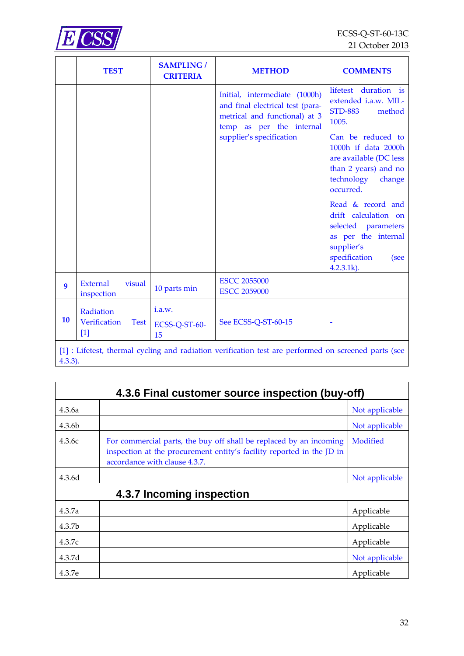

|                                                                                                      | <b>TEST</b>                                       | <b>SAMPLING/</b><br><b>CRITERIA</b> | <b>METHOD</b>                                                                                                                  | <b>COMMENTS</b>                                                                                                                                 |  |
|------------------------------------------------------------------------------------------------------|---------------------------------------------------|-------------------------------------|--------------------------------------------------------------------------------------------------------------------------------|-------------------------------------------------------------------------------------------------------------------------------------------------|--|
|                                                                                                      |                                                   |                                     | Initial, intermediate (1000h)<br>and final electrical test (para-<br>metrical and functional) at 3<br>temp as per the internal | lifetest duration is<br>extended i.a.w. MIL-<br><b>STD-883</b><br>method<br>1005.                                                               |  |
|                                                                                                      |                                                   |                                     | supplier's specification                                                                                                       | Can be reduced to<br>1000h if data 2000h<br>are available (DC less<br>than 2 years) and no<br>technology<br>change<br>occurred.                 |  |
|                                                                                                      |                                                   |                                     |                                                                                                                                | Read & record and<br>drift calculation on<br>selected parameters<br>as per the internal<br>supplier's<br>specification<br>(see<br>$4.2.3.1k$ ). |  |
| $\boldsymbol{9}$                                                                                     | <b>External</b><br>visual<br>inspection           | 10 parts min                        | <b>ESCC 2055000</b><br><b>ESCC 2059000</b>                                                                                     |                                                                                                                                                 |  |
| 10                                                                                                   | Radiation<br>Verification<br><b>Test</b><br>$[1]$ | i.a.w.<br>ECSS-Q-ST-60-<br>15       | See ECSS-Q-ST-60-15                                                                                                            |                                                                                                                                                 |  |
| [1] : Lifetest, thermal cycling and radiation verification test are performed on screened parts (see |                                                   |                                     |                                                                                                                                |                                                                                                                                                 |  |

4.3.3).

| 4.3.6 Final customer source inspection (buy-off) |                                                                                                                                                                              |                |  |  |
|--------------------------------------------------|------------------------------------------------------------------------------------------------------------------------------------------------------------------------------|----------------|--|--|
| 4.3.6a                                           |                                                                                                                                                                              | Not applicable |  |  |
| 4.3.6b                                           |                                                                                                                                                                              | Not applicable |  |  |
| 4.3.6c                                           | For commercial parts, the buy off shall be replaced by an incoming<br>inspection at the procurement entity's facility reported in the JD in<br>accordance with clause 4.3.7. | Modified       |  |  |
| 4.3.6d                                           |                                                                                                                                                                              | Not applicable |  |  |
|                                                  | 4.3.7 Incoming inspection                                                                                                                                                    |                |  |  |
| 4.3.7a                                           |                                                                                                                                                                              | Applicable     |  |  |
| 4.3.7 <sub>b</sub>                               |                                                                                                                                                                              | Applicable     |  |  |
| 4.3.7c                                           |                                                                                                                                                                              | Applicable     |  |  |
| 4.3.7d                                           |                                                                                                                                                                              | Not applicable |  |  |
| 4.3.7e                                           |                                                                                                                                                                              | Applicable     |  |  |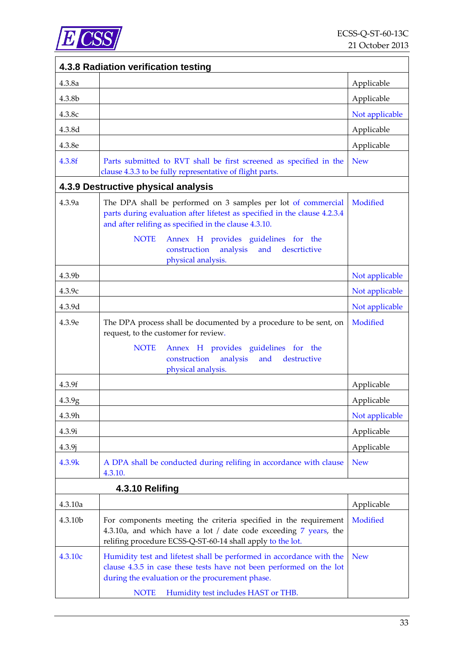

|         | 4.3.8 Radiation verification testing                                                                                                                                                                |                |
|---------|-----------------------------------------------------------------------------------------------------------------------------------------------------------------------------------------------------|----------------|
| 4.3.8a  |                                                                                                                                                                                                     | Applicable     |
| 4.3.8b  |                                                                                                                                                                                                     | Applicable     |
| 4.3.8c  |                                                                                                                                                                                                     | Not applicable |
| 4.3.8d  |                                                                                                                                                                                                     | Applicable     |
| 4.3.8e  |                                                                                                                                                                                                     | Applicable     |
| 4.3.8f  | Parts submitted to RVT shall be first screened as specified in the<br>clause 4.3.3 to be fully representative of flight parts.                                                                      | <b>New</b>     |
|         | 4.3.9 Destructive physical analysis                                                                                                                                                                 |                |
| 4.3.9a  | The DPA shall be performed on 3 samples per lot of commercial<br>parts during evaluation after lifetest as specified in the clause 4.2.3.4<br>and after relifing as specified in the clause 4.3.10. | Modified       |
|         | <b>NOTE</b><br>Annex H provides guidelines for the<br>construction<br>analysis<br>and<br>descrtictive<br>physical analysis.                                                                         |                |
| 4.3.9b  |                                                                                                                                                                                                     | Not applicable |
| 4.3.9c  |                                                                                                                                                                                                     | Not applicable |
| 4.3.9d  |                                                                                                                                                                                                     | Not applicable |
| 4.3.9e  | The DPA process shall be documented by a procedure to be sent, on<br>request, to the customer for review.                                                                                           | Modified       |
|         | <b>NOTE</b><br>Annex H provides guidelines for the<br>construction<br>analysis<br>and<br>destructive<br>physical analysis.                                                                          |                |
| 4.3.9f  |                                                                                                                                                                                                     | Applicable     |
| 4.3.9g  |                                                                                                                                                                                                     | Applicable     |
| 4.3.9h  |                                                                                                                                                                                                     | Not applicable |
| 4.3.9i  |                                                                                                                                                                                                     | Applicable     |
| 4.3.9j  |                                                                                                                                                                                                     | Applicable     |
| 4.3.9k  | A DPA shall be conducted during relifing in accordance with clause<br>4.3.10.                                                                                                                       | <b>New</b>     |
|         | 4.3.10 Relifing                                                                                                                                                                                     |                |
| 4.3.10a |                                                                                                                                                                                                     | Applicable     |
| 4.3.10b | For components meeting the criteria specified in the requirement<br>4.3.10a, and which have a lot / date code exceeding 7 years, the<br>relifing procedure ECSS-Q-ST-60-14 shall apply to the lot.  | Modified       |
| 4.3.10c | Humidity test and lifetest shall be performed in accordance with the<br>clause 4.3.5 in case these tests have not been performed on the lot<br>during the evaluation or the procurement phase.      | <b>New</b>     |
|         | Humidity test includes HAST or THB.<br><b>NOTE</b>                                                                                                                                                  |                |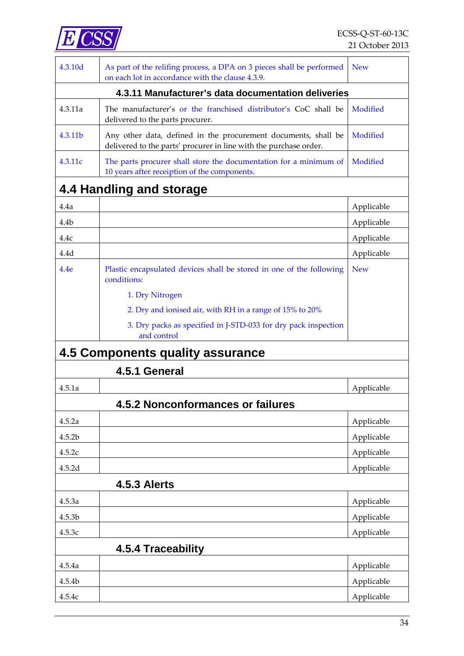

| 4.3.10d            | As part of the relifing process, a DPA on 3 pieces shall be performed<br>on each lot in accordance with the clause 4.3.9.           | <b>New</b> |  |  |  |  |
|--------------------|-------------------------------------------------------------------------------------------------------------------------------------|------------|--|--|--|--|
|                    | 4.3.11 Manufacturer's data documentation deliveries                                                                                 |            |  |  |  |  |
| 4.3.11a            | The manufacturer's or the franchised distributor's CoC shall be<br>delivered to the parts procurer.                                 | Modified   |  |  |  |  |
| 4.3.11b            | Any other data, defined in the procurement documents, shall be<br>delivered to the parts' procurer in line with the purchase order. | Modified   |  |  |  |  |
| 4.3.11c            | The parts procurer shall store the documentation for a minimum of<br>10 years after receiption of the components.                   | Modified   |  |  |  |  |
|                    | 4.4 Handling and storage                                                                                                            |            |  |  |  |  |
| 4.4a               |                                                                                                                                     | Applicable |  |  |  |  |
| 4.4 <sub>b</sub>   |                                                                                                                                     | Applicable |  |  |  |  |
| 4.4c               |                                                                                                                                     | Applicable |  |  |  |  |
| 4.4d               |                                                                                                                                     | Applicable |  |  |  |  |
| 4.4e               | Plastic encapsulated devices shall be stored in one of the following<br>conditions:                                                 | <b>New</b> |  |  |  |  |
|                    | 1. Dry Nitrogen                                                                                                                     |            |  |  |  |  |
|                    | 2. Dry and ionised air, with RH in a range of 15% to 20%                                                                            |            |  |  |  |  |
|                    | 3. Dry packs as specified in J-STD-033 for dry pack inspection<br>and control                                                       |            |  |  |  |  |
|                    | 4.5 Components quality assurance                                                                                                    |            |  |  |  |  |
|                    | 4.5.1 General                                                                                                                       |            |  |  |  |  |
| 4.5.1a             |                                                                                                                                     | Applicable |  |  |  |  |
|                    | <b>4.5.2 Nonconformances or failures</b>                                                                                            |            |  |  |  |  |
| 4.5.2a             |                                                                                                                                     | Applicable |  |  |  |  |
| 4.5.2 <sub>b</sub> |                                                                                                                                     | Applicable |  |  |  |  |
| 4.5.2c             |                                                                                                                                     | Applicable |  |  |  |  |
| 4.5.2d             |                                                                                                                                     | Applicable |  |  |  |  |
| 4.5.3 Alerts       |                                                                                                                                     |            |  |  |  |  |
| 4.5.3a             |                                                                                                                                     | Applicable |  |  |  |  |
| 4.5.3b             |                                                                                                                                     | Applicable |  |  |  |  |
| 4.5.3c             |                                                                                                                                     | Applicable |  |  |  |  |
| 4.5.4 Traceability |                                                                                                                                     |            |  |  |  |  |
| 4.5.4a             |                                                                                                                                     | Applicable |  |  |  |  |
| 4.5.4b             |                                                                                                                                     | Applicable |  |  |  |  |
| 4.5.4c             |                                                                                                                                     | Applicable |  |  |  |  |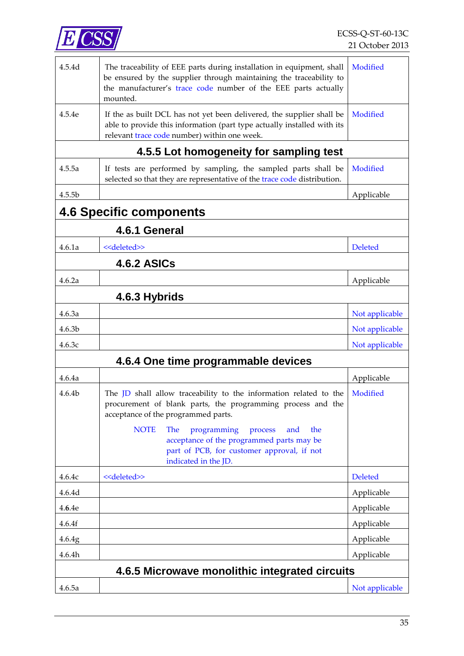

| 4.5.4d | The traceability of EEE parts during installation in equipment, shall<br>be ensured by the supplier through maintaining the traceability to<br>the manufacturer's trace code number of the EEE parts actually<br>mounted.             | Modified       |
|--------|---------------------------------------------------------------------------------------------------------------------------------------------------------------------------------------------------------------------------------------|----------------|
| 4.5.4e | If the as built DCL has not yet been delivered, the supplier shall be<br>able to provide this information (part type actually installed with its<br>relevant trace code number) within one week.                                      | Modified       |
|        | 4.5.5 Lot homogeneity for sampling test                                                                                                                                                                                               |                |
| 4.5.5a | If tests are performed by sampling, the sampled parts shall be<br>selected so that they are representative of the trace code distribution.                                                                                            | Modified       |
| 4.5.5b |                                                                                                                                                                                                                                       | Applicable     |
|        | <b>4.6 Specific components</b>                                                                                                                                                                                                        |                |
|        | 4.6.1 General                                                                                                                                                                                                                         |                |
| 4.6.1a | < <deleted>&gt;</deleted>                                                                                                                                                                                                             | <b>Deleted</b> |
|        | <b>4.6.2 ASICs</b>                                                                                                                                                                                                                    |                |
| 4.6.2a |                                                                                                                                                                                                                                       | Applicable     |
|        | 4.6.3 Hybrids                                                                                                                                                                                                                         |                |
| 4.6.3a |                                                                                                                                                                                                                                       | Not applicable |
| 4.6.3b |                                                                                                                                                                                                                                       | Not applicable |
| 4.6.3c |                                                                                                                                                                                                                                       | Not applicable |
|        | 4.6.4 One time programmable devices                                                                                                                                                                                                   |                |
| 4.6.4a |                                                                                                                                                                                                                                       | Applicable     |
| 4.6.4b | The JD shall allow traceability to the information related to the<br>procurement of blank parts, the programming process and the<br>acceptance of the programmed parts.<br><b>NOTE</b><br>The<br>programming<br>the<br>process<br>and | Modified       |
|        | acceptance of the programmed parts may be<br>part of PCB, for customer approval, if not<br>indicated in the JD.                                                                                                                       |                |
| 4.6.4c | < <deleted>&gt;</deleted>                                                                                                                                                                                                             | <b>Deleted</b> |
| 4.6.4d |                                                                                                                                                                                                                                       | Applicable     |
| 4.6.4e |                                                                                                                                                                                                                                       | Applicable     |
| 4.6.4f |                                                                                                                                                                                                                                       | Applicable     |
| 4.6.4g |                                                                                                                                                                                                                                       | Applicable     |
| 4.6.4h |                                                                                                                                                                                                                                       | Applicable     |
|        | 4.6.5 Microwave monolithic integrated circuits                                                                                                                                                                                        |                |
| 4.6.5a |                                                                                                                                                                                                                                       | Not applicable |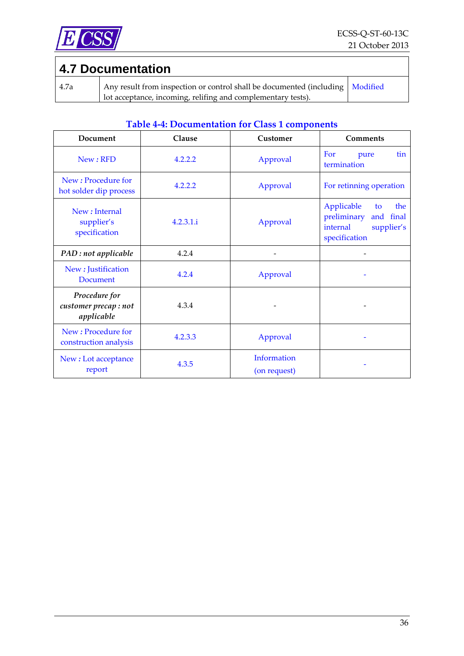

### **4.7 Documentation** 4.7a Any result from inspection or control shall be documented (including lot acceptance, incoming, relifing and complementary tests).

Modified

#### **Table 4-4: Documentation for Class 1 components**

<span id="page-35-0"></span>

| Document                                             | Clause    | Customer                    | <b>Comments</b>                                                                                   |
|------------------------------------------------------|-----------|-----------------------------|---------------------------------------------------------------------------------------------------|
| New: RFD                                             | 4.2.2.2   | Approval                    | For<br>tin.<br>pure<br>termination                                                                |
| New: Procedure for<br>hot solder dip process         | 4.2.2.2   | Approval                    | For retinning operation                                                                           |
| New: Internal<br>supplier's<br>specification         | 4.2.3.1.i | Approval                    | Applicable<br>the<br>to<br>preliminary<br>and<br>final<br>supplier's<br>internal<br>specification |
| PAD : not applicable                                 | 4.2.4     |                             |                                                                                                   |
| New: Justification<br><b>Document</b>                | 4.2.4     | Approval                    |                                                                                                   |
| Procedure for<br>customer precap : not<br>applicable | 4.3.4     |                             |                                                                                                   |
| New: Procedure for<br>construction analysis          | 4.2.3.3   | Approval                    |                                                                                                   |
| New: Lot acceptance<br>report                        | 4.3.5     | Information<br>(on request) |                                                                                                   |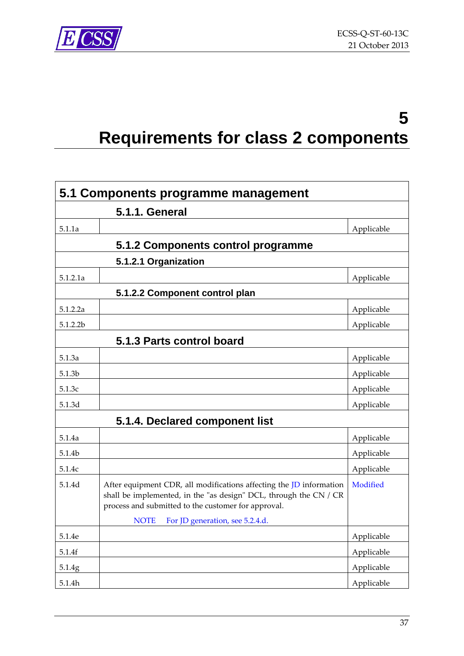

# **5 Requirements for class 2 components**

| 5.1 Components programme management |                                                                                                                                                                                                                                                   |            |  |
|-------------------------------------|---------------------------------------------------------------------------------------------------------------------------------------------------------------------------------------------------------------------------------------------------|------------|--|
|                                     | <b>5.1.1. General</b>                                                                                                                                                                                                                             |            |  |
| 5.1.1a                              |                                                                                                                                                                                                                                                   | Applicable |  |
|                                     | 5.1.2 Components control programme                                                                                                                                                                                                                |            |  |
|                                     | 5.1.2.1 Organization                                                                                                                                                                                                                              |            |  |
| 5.1.2.1a                            |                                                                                                                                                                                                                                                   | Applicable |  |
|                                     | 5.1.2.2 Component control plan                                                                                                                                                                                                                    |            |  |
| 5.1.2.2a                            |                                                                                                                                                                                                                                                   | Applicable |  |
| 5.1.2.2b                            |                                                                                                                                                                                                                                                   | Applicable |  |
|                                     | 5.1.3 Parts control board                                                                                                                                                                                                                         |            |  |
| 5.1.3a                              |                                                                                                                                                                                                                                                   | Applicable |  |
| 5.1.3 <sub>b</sub>                  |                                                                                                                                                                                                                                                   | Applicable |  |
| 5.1.3c                              |                                                                                                                                                                                                                                                   | Applicable |  |
| 5.1.3d                              |                                                                                                                                                                                                                                                   | Applicable |  |
|                                     | 5.1.4. Declared component list                                                                                                                                                                                                                    |            |  |
| 5.1.4a                              |                                                                                                                                                                                                                                                   | Applicable |  |
| 5.1.4b                              |                                                                                                                                                                                                                                                   | Applicable |  |
| 5.1.4c                              |                                                                                                                                                                                                                                                   | Applicable |  |
| 5.1.4d                              | After equipment CDR, all modifications affecting the JD information<br>shall be implemented, in the "as design" DCL, through the CN / CR<br>process and submitted to the customer for approval.<br><b>NOTE</b><br>For JD generation, see 5.2.4.d. | Modified   |  |
| 5.1.4e                              |                                                                                                                                                                                                                                                   | Applicable |  |
| 5.1.4f                              |                                                                                                                                                                                                                                                   | Applicable |  |
| 5.1.4g                              |                                                                                                                                                                                                                                                   | Applicable |  |
| 5.1.4h                              |                                                                                                                                                                                                                                                   | Applicable |  |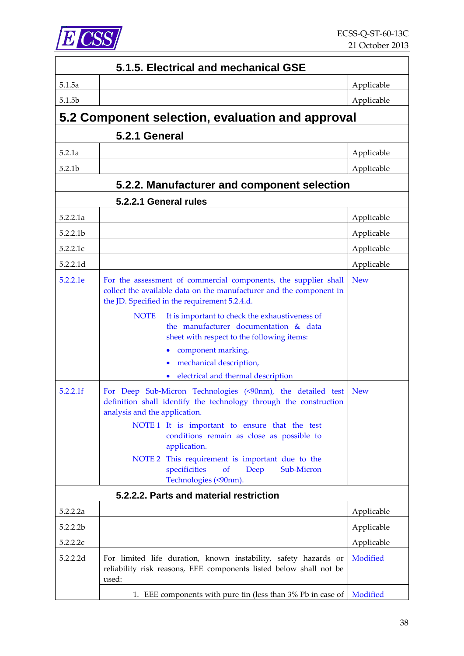

|                    | 5.1.5. Electrical and mechanical GSE                                                                                                                                                                                                                                                                                                                                                                      |            |
|--------------------|-----------------------------------------------------------------------------------------------------------------------------------------------------------------------------------------------------------------------------------------------------------------------------------------------------------------------------------------------------------------------------------------------------------|------------|
| 5.1.5a             |                                                                                                                                                                                                                                                                                                                                                                                                           | Applicable |
| 5.1.5 <sub>b</sub> |                                                                                                                                                                                                                                                                                                                                                                                                           | Applicable |
|                    | 5.2 Component selection, evaluation and approval                                                                                                                                                                                                                                                                                                                                                          |            |
|                    | 5.2.1 General                                                                                                                                                                                                                                                                                                                                                                                             |            |
| 5.2.1a             |                                                                                                                                                                                                                                                                                                                                                                                                           | Applicable |
| 5.2.1 <sub>b</sub> |                                                                                                                                                                                                                                                                                                                                                                                                           | Applicable |
|                    | 5.2.2. Manufacturer and component selection                                                                                                                                                                                                                                                                                                                                                               |            |
|                    | 5.2.2.1 General rules                                                                                                                                                                                                                                                                                                                                                                                     |            |
| 5.2.2.1a           |                                                                                                                                                                                                                                                                                                                                                                                                           | Applicable |
| 5.2.2.1b           |                                                                                                                                                                                                                                                                                                                                                                                                           | Applicable |
| 5.2.2.1c           |                                                                                                                                                                                                                                                                                                                                                                                                           | Applicable |
| 5.2.2.1d           |                                                                                                                                                                                                                                                                                                                                                                                                           | Applicable |
| 5.2.2.1e           | For the assessment of commercial components, the supplier shall<br>collect the available data on the manufacturer and the component in<br>the JD. Specified in the requirement 5.2.4.d.                                                                                                                                                                                                                   | <b>New</b> |
|                    | <b>NOTE</b><br>It is important to check the exhaustiveness of<br>the manufacturer documentation $\&$ data<br>sheet with respect to the following items:<br>component marking,<br>mechanical description,<br>electrical and thermal description                                                                                                                                                            |            |
| 5.2.2.1f           | For Deep Sub-Micron Technologies (<90nm), the detailed test<br>definition shall identify the technology through the construction<br>analysis and the application.<br>NOTE 1 It is important to ensure that the test<br>conditions remain as close as possible to<br>application.<br>NOTE 2 This requirement is important due to the<br>specificities<br>of<br>Sub-Micron<br>Deep<br>Technologies (<90nm). | <b>New</b> |
|                    | 5.2.2.2. Parts and material restriction                                                                                                                                                                                                                                                                                                                                                                   |            |
| 5.2.2.2a           |                                                                                                                                                                                                                                                                                                                                                                                                           | Applicable |
| 5.2.2.2b           |                                                                                                                                                                                                                                                                                                                                                                                                           | Applicable |
| 5.2.2.2c           |                                                                                                                                                                                                                                                                                                                                                                                                           | Applicable |
| 5.2.2.2d           | For limited life duration, known instability, safety hazards or<br>reliability risk reasons, EEE components listed below shall not be<br>used:                                                                                                                                                                                                                                                            | Modified   |
|                    | 1. EEE components with pure tin (less than 3% Pb in case of                                                                                                                                                                                                                                                                                                                                               | Modified   |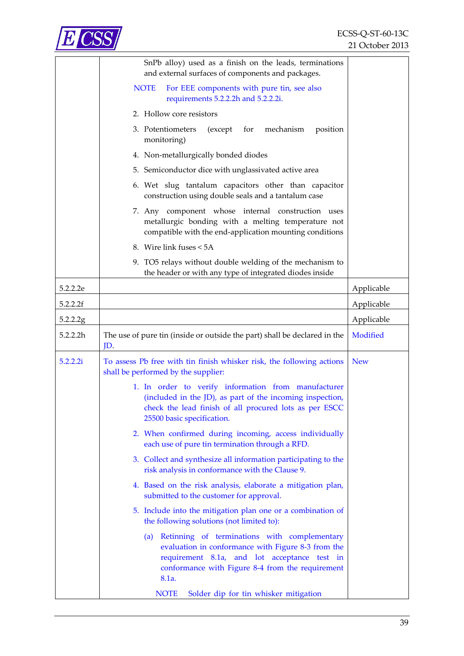

|          | SnPb alloy) used as a finish on the leads, terminations<br>and external surfaces of components and packages.                                                                                                                                                                |            |
|----------|-----------------------------------------------------------------------------------------------------------------------------------------------------------------------------------------------------------------------------------------------------------------------------|------------|
|          | <b>NOTE</b><br>For EEE components with pure tin, see also<br>requirements 5.2.2.2h and 5.2.2.2i.                                                                                                                                                                            |            |
|          | 2. Hollow core resistors                                                                                                                                                                                                                                                    |            |
|          | 3. Potentiometers<br>(except for<br>mechanism<br>position<br>monitoring)                                                                                                                                                                                                    |            |
|          | 4. Non-metallurgically bonded diodes                                                                                                                                                                                                                                        |            |
|          | 5. Semiconductor dice with unglassivated active area                                                                                                                                                                                                                        |            |
|          | 6. Wet slug tantalum capacitors other than capacitor<br>construction using double seals and a tantalum case                                                                                                                                                                 |            |
|          | 7. Any component whose internal construction uses<br>metallurgic bonding with a melting temperature not<br>compatible with the end-application mounting conditions                                                                                                          |            |
|          | 8. Wire link fuses < 5A                                                                                                                                                                                                                                                     |            |
|          | 9. TO5 relays without double welding of the mechanism to<br>the header or with any type of integrated diodes inside                                                                                                                                                         |            |
| 5.2.2.2e |                                                                                                                                                                                                                                                                             | Applicable |
| 5.2.2.2f |                                                                                                                                                                                                                                                                             | Applicable |
| 5.2.2.2  |                                                                                                                                                                                                                                                                             | Applicable |
|          |                                                                                                                                                                                                                                                                             |            |
| 5.2.2.2h | The use of pure tin (inside or outside the part) shall be declared in the<br>JD.                                                                                                                                                                                            | Modified   |
| 5.2.2.2i | To assess Pb free with tin finish whisker risk, the following actions<br>shall be performed by the supplier:                                                                                                                                                                | <b>New</b> |
|          | 1. In order to verify information from manufacturer<br>(included in the JD), as part of the incoming inspection,<br>check the lead finish of all procured lots as per ESCC<br>25500 basic specification.                                                                    |            |
|          | 2. When confirmed during incoming, access individually<br>each use of pure tin termination through a RFD.                                                                                                                                                                   |            |
|          | 3. Collect and synthesize all information participating to the<br>risk analysis in conformance with the Clause 9.                                                                                                                                                           |            |
|          | 4. Based on the risk analysis, elaborate a mitigation plan,<br>submitted to the customer for approval.                                                                                                                                                                      |            |
|          | 5. Include into the mitigation plan one or a combination of<br>the following solutions (not limited to):                                                                                                                                                                    |            |
|          | (a) Retinning of terminations with complementary<br>evaluation in conformance with Figure 8-3 from the<br>requirement 8.1a, and lot acceptance test in<br>conformance with Figure 8-4 from the requirement<br>8.1a.<br><b>NOTE</b><br>Solder dip for tin whisker mitigation |            |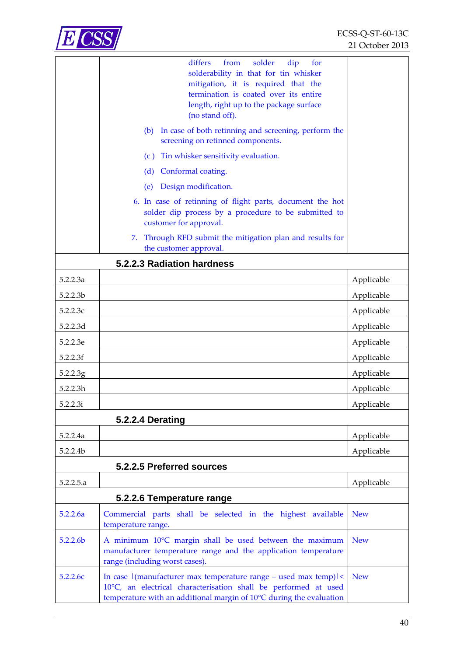

|                      | differs<br>from<br>solder<br>dip<br>for<br>solderability in that for tin whisker<br>mitigation, it is required that the<br>termination is coated over its entire<br>length, right up to the package surface<br>(no stand off). |            |
|----------------------|--------------------------------------------------------------------------------------------------------------------------------------------------------------------------------------------------------------------------------|------------|
|                      | In case of both retinning and screening, perform the<br>(b)<br>screening on retinned components.                                                                                                                               |            |
|                      | Tin whisker sensitivity evaluation.<br>(c)                                                                                                                                                                                     |            |
|                      | Conformal coating.<br>(d)                                                                                                                                                                                                      |            |
|                      | Design modification.<br>(e)                                                                                                                                                                                                    |            |
|                      | 6. In case of retinning of flight parts, document the hot<br>solder dip process by a procedure to be submitted to<br>customer for approval.                                                                                    |            |
|                      | Through RFD submit the mitigation plan and results for<br>7.<br>the customer approval.                                                                                                                                         |            |
|                      | 5.2.2.3 Radiation hardness                                                                                                                                                                                                     |            |
| 5.2.2.3a             |                                                                                                                                                                                                                                | Applicable |
| 5.2.2.3b             |                                                                                                                                                                                                                                | Applicable |
| 5.2.2.3c             |                                                                                                                                                                                                                                | Applicable |
| 5.2.2.3d             |                                                                                                                                                                                                                                | Applicable |
| 5.2.2.3e             |                                                                                                                                                                                                                                | Applicable |
| 5.2.2.3f             |                                                                                                                                                                                                                                | Applicable |
| 5.2.2.3g             |                                                                                                                                                                                                                                | Applicable |
| 5.2.2.3h             |                                                                                                                                                                                                                                | Applicable |
| 5.2.2.3i             |                                                                                                                                                                                                                                | Applicable |
|                      | <b>5.2.2.4 Derating</b>                                                                                                                                                                                                        |            |
| 5.2.2.4a             |                                                                                                                                                                                                                                | Applicable |
| 5.2.2.4b             |                                                                                                                                                                                                                                | Applicable |
|                      | 5.2.2.5 Preferred sources                                                                                                                                                                                                      |            |
| 5.2.2.5.a            |                                                                                                                                                                                                                                | Applicable |
|                      | 5.2.2.6 Temperature range                                                                                                                                                                                                      |            |
| 5.2.2.6a             | Commercial parts shall be selected in the highest available<br>temperature range.                                                                                                                                              | <b>New</b> |
| 5.2.2.6 <sub>b</sub> | A minimum 10°C margin shall be used between the maximum<br>manufacturer temperature range and the application temperature<br>range (including worst cases).                                                                    | <b>New</b> |
| 5.2.2.6c             | In case  (manufacturer max temperature range - used max temp) <<br>10°C, an electrical characterisation shall be performed at used<br>temperature with an additional margin of 10°C during the evaluation                      | <b>New</b> |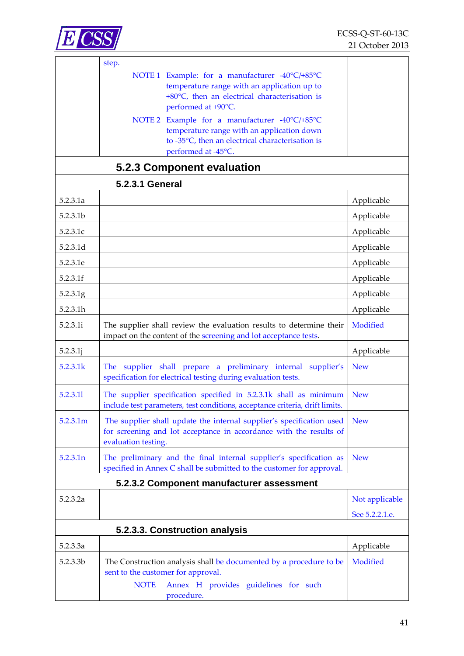

|          | step.                                                                                                                                                                  |                |
|----------|------------------------------------------------------------------------------------------------------------------------------------------------------------------------|----------------|
|          | NOTE 1 Example: for a manufacturer -40°C/+85°C<br>temperature range with an application up to<br>+80°C, then an electrical characterisation is<br>performed at +90°C.  |                |
|          | NOTE 2 Example for a manufacturer -40°C/+85°C<br>temperature range with an application down<br>to -35°C, then an electrical characterisation is<br>performed at -45°C. |                |
|          | 5.2.3 Component evaluation                                                                                                                                             |                |
|          | <b>5.2.3.1 General</b>                                                                                                                                                 |                |
| 5.2.3.1a |                                                                                                                                                                        | Applicable     |
| 5.2.3.1b |                                                                                                                                                                        | Applicable     |
| 5.2.3.1c |                                                                                                                                                                        | Applicable     |
| 5.2.3.1d |                                                                                                                                                                        | Applicable     |
| 5.2.3.1e |                                                                                                                                                                        | Applicable     |
| 5.2.3.1f |                                                                                                                                                                        | Applicable     |
| 5.2.3.1g |                                                                                                                                                                        | Applicable     |
| 5.2.3.1h |                                                                                                                                                                        | Applicable     |
| 5.2.3.1i | The supplier shall review the evaluation results to determine their<br>impact on the content of the screening and lot acceptance tests.                                | Modified       |
| 5.2.3.1j |                                                                                                                                                                        | Applicable     |
| 5.2.3.1k | The supplier shall prepare a preliminary internal supplier's<br>specification for electrical testing during evaluation tests.                                          | <b>New</b>     |
| 5.2.3.11 | The supplier specification specified in 5.2.3.1k shall as minimum<br>include test parameters, test conditions, acceptance criteria, drift limits.                      | <b>New</b>     |
| 5.2.3.1m | The supplier shall update the internal supplier's specification used<br>for screening and lot acceptance in accordance with the results of<br>evaluation testing.      | <b>New</b>     |
| 5.2.3.1n | The preliminary and the final internal supplier's specification as<br>specified in Annex C shall be submitted to the customer for approval.                            | <b>New</b>     |
|          | 5.2.3.2 Component manufacturer assessment                                                                                                                              |                |
| 5.2.3.2a |                                                                                                                                                                        | Not applicable |
|          |                                                                                                                                                                        | See 5.2.2.1.e. |
|          | 5.2.3.3. Construction analysis                                                                                                                                         |                |
| 5.2.3.3a |                                                                                                                                                                        | Applicable     |
| 5.2.3.3b | The Construction analysis shall be documented by a procedure to be<br>sent to the customer for approval.                                                               | Modified       |
|          | Annex H provides guidelines for such<br><b>NOTE</b><br>procedure.                                                                                                      |                |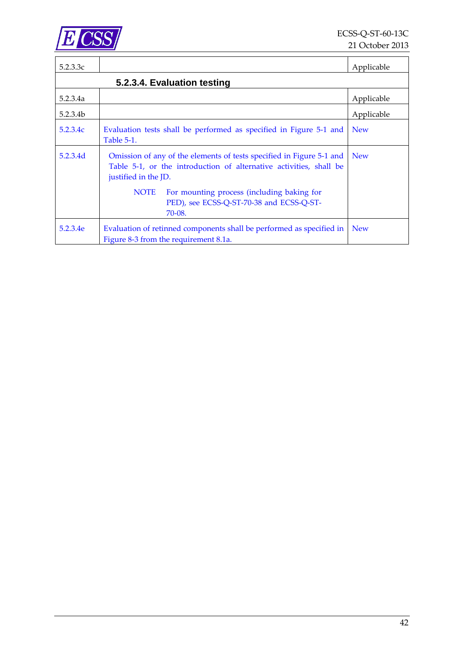

| 5.2.3.3c             |                                                                                                                                                                    | Applicable |
|----------------------|--------------------------------------------------------------------------------------------------------------------------------------------------------------------|------------|
|                      |                                                                                                                                                                    |            |
| 5.2.3.4a             |                                                                                                                                                                    | Applicable |
| 5.2.3.4 <sub>b</sub> |                                                                                                                                                                    | Applicable |
| 5.2.3.4c             | Evaluation tests shall be performed as specified in Figure 5-1 and<br>Table 5-1.                                                                                   | <b>New</b> |
| 5.2.3.4d             | Omission of any of the elements of tests specified in Figure 5-1 and<br>Table 5-1, or the introduction of alternative activities, shall be<br>justified in the JD. | <b>New</b> |
|                      | <b>NOTE</b><br>For mounting process (including baking for<br>PED), see ECSS-Q-ST-70-38 and ECSS-Q-ST-<br>70-08.                                                    |            |
| 5.2.3.4e             | Evaluation of retinned components shall be performed as specified in<br>Figure 8-3 from the requirement 8.1a.                                                      | <b>New</b> |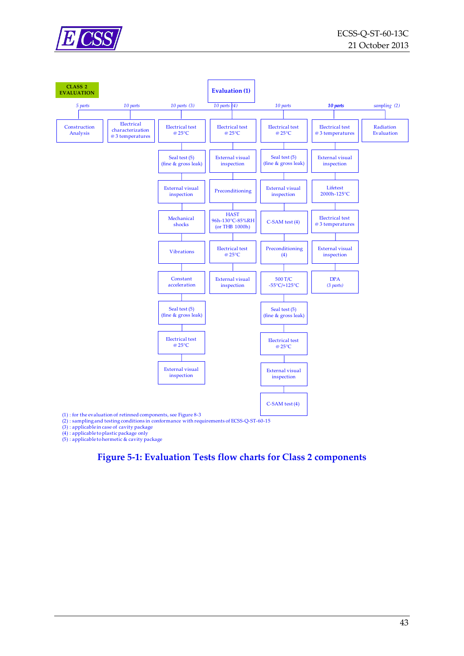



<span id="page-42-0"></span>(5) : applicable to hermetic & cavity package

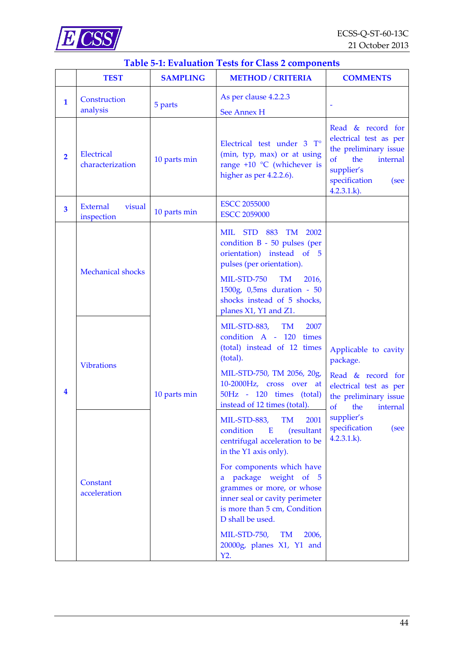

## **Table 5-1: Evaluation Tests for Class 2 components**

<span id="page-43-0"></span>

|                | <b>TEST</b>                             | <b>SAMPLING</b> | <b>METHOD / CRITERIA</b>                                                                                                                                                                                                                  | <b>COMMENTS</b>                                                                                                                                              |
|----------------|-----------------------------------------|-----------------|-------------------------------------------------------------------------------------------------------------------------------------------------------------------------------------------------------------------------------------------|--------------------------------------------------------------------------------------------------------------------------------------------------------------|
| $\mathbf{1}$   | Construction<br>analysis                | 5 parts         | As per clause 4.2.2.3<br><b>See Annex H</b>                                                                                                                                                                                               |                                                                                                                                                              |
| $\overline{2}$ | Electrical<br>characterization          | 10 parts min    | Electrical test under 3 T°<br>(min, typ, max) or at using<br>range $+10$ °C (whichever is<br>higher as per 4.2.2.6).                                                                                                                      | Read & record for<br>electrical test as per<br>the preliminary issue<br>$\sigma$<br>the<br>internal<br>supplier's<br>specification<br>(see<br>$4.2.3.1.k$ ). |
| 3              | <b>External</b><br>visual<br>inspection | 10 parts min    | <b>ESCC 2055000</b><br><b>ESCC 2059000</b>                                                                                                                                                                                                |                                                                                                                                                              |
| 4              | <b>Mechanical shocks</b>                | 10 parts min    | MIL STD<br>883<br>TM 2002<br>condition $B - 50$ pulses (per<br>orientation) instead of 5<br>pulses (per orientation).<br>MIL-STD-750<br>TM<br>2016,<br>1500g, 0,5ms duration - 50<br>shocks instead of 5 shocks,<br>planes X1, Y1 and Z1. |                                                                                                                                                              |
|                | <b>Vibrations</b>                       |                 | <b>MIL-STD-883,</b><br>TM<br>2007<br>condition A - 120<br>times<br>(total) instead of 12 times<br>(total).<br>MIL-STD-750, TM 2056, 20g,<br>10-2000Hz, cross over at<br>50Hz - 120 times (total)<br>instead of 12 times (total).          | Applicable to cavity<br>package.<br>Read & record for<br>electrical test as per<br>the preliminary issue<br>of<br>the<br>internal                            |
|                | Constant<br>acceleration                |                 | MIL-STD-883,<br><b>TM</b><br>2001<br>condition<br>E<br>(resultant<br>centrifugal acceleration to be<br>in the Y1 axis only).                                                                                                              | supplier's<br>specification<br>(see<br>$4.2.3.1.k$ ).                                                                                                        |
|                |                                         |                 | For components which have<br>package weight<br>of 5<br>a<br>grammes or more, or whose<br>inner seal or cavity perimeter<br>is more than 5 cm, Condition<br>D shall be used.                                                               |                                                                                                                                                              |
|                |                                         |                 | MIL-STD-750,<br><b>TM</b><br>2006,<br>20000g, planes X1, Y1 and<br>Y2.                                                                                                                                                                    |                                                                                                                                                              |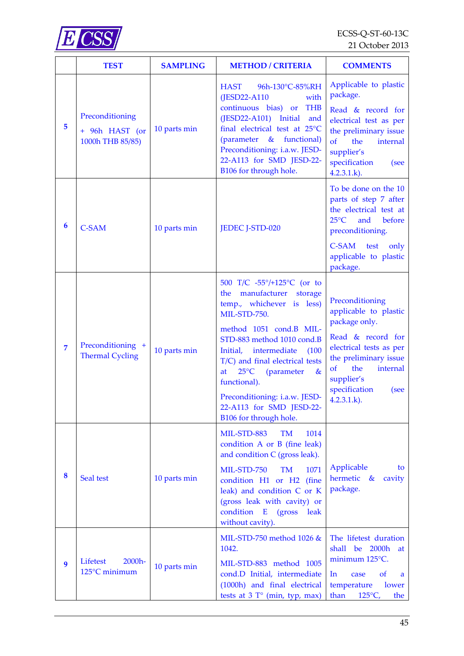

|                | <b>TEST</b>                                           | <b>SAMPLING</b> | <b>METHOD / CRITERIA</b>                                                                                                                                                                                                                                                                                                                                                                     | <b>COMMENTS</b>                                                                                                                                                                                                            |
|----------------|-------------------------------------------------------|-----------------|----------------------------------------------------------------------------------------------------------------------------------------------------------------------------------------------------------------------------------------------------------------------------------------------------------------------------------------------------------------------------------------------|----------------------------------------------------------------------------------------------------------------------------------------------------------------------------------------------------------------------------|
| 5              | Preconditioning<br>+ 96h HAST (or<br>1000h THB 85/85) | 10 parts min    | <b>HAST</b><br>96h-130°C-85%RH<br>with<br>(JESD22-A110)<br>continuous bias) or<br><b>THB</b><br>(JESD22-A101) Initial<br>and<br>final electrical test at 25°C<br><i>(parameter</i><br>& functional)<br>Preconditioning: i.a.w. JESD-<br>22-A113 for SMD JESD-22-<br>B106 for through hole.                                                                                                   | Applicable to plastic<br>package.<br>Read & record for<br>electrical test as per<br>the preliminary issue<br>$\sigma$<br>the<br>internal<br>supplier's<br>specification<br>(see<br>$4.2.3.1.k$ ).                          |
| 6              | <b>C-SAM</b>                                          | 10 parts min    | JEDEC J-STD-020                                                                                                                                                                                                                                                                                                                                                                              | To be done on the 10<br>parts of step 7 after<br>the electrical test at<br>$25^{\circ}$ C<br>and<br>before<br>preconditioning.<br>C-SAM test<br>only<br>applicable to plastic<br>package.                                  |
| $\overline{7}$ | Preconditioning +<br><b>Thermal Cycling</b>           | 10 parts min    | 500 T/C -55°/+125°C (or to<br>the manufacturer<br>storage<br>temp., whichever is less)<br>MIL-STD-750.<br>method 1051 cond.B MIL-<br>STD-883 method 1010 cond.B<br>Initial,<br>intermediate<br>(100)<br>T/C) and final electrical tests<br>$25^{\circ}$ C<br>at<br>(parameter<br>$\&$<br>functional).<br>Preconditioning: i.a.w. JESD-<br>22-A113 for SMD JESD-22-<br>B106 for through hole. | Preconditioning<br>applicable to plastic<br>package only.<br>Read & record for<br>electrical tests as per<br>the preliminary issue<br>the<br>internal<br>$\sigma$<br>supplier's<br>specification<br>(see<br>$4.2.3.1.k$ ). |
| 8              | Seal test                                             | 10 parts min    | <b>MIL-STD-883</b><br>1014<br><b>TM</b><br>condition A or B (fine leak)<br>and condition C (gross leak).<br>MIL-STD-750<br><b>TM</b><br>1071<br>condition H1 or H2 (fine<br>leak) and condition C or K<br>(gross leak with cavity) or<br>condition E (gross<br>leak<br>without cavity).                                                                                                      | Applicable<br>to<br>hermetic &<br>cavity<br>package.                                                                                                                                                                       |
| 9              | Lifetest<br>2000h-<br>125°C minimum                   | 10 parts min    | MIL-STD-750 method 1026 $&$<br>1042.<br>MIL-STD-883 method 1005<br>cond.D Initial, intermediate<br>(1000h) and final electrical<br>tests at $3 T^{\circ}$ (min, typ, max)                                                                                                                                                                                                                    | The lifetest duration<br>shall be 2000h<br>- at<br>minimum 125°C.<br><sub>of</sub><br>ln<br>case<br>a<br>temperature<br>lower<br>than<br>$125^{\circ}C$ ,<br>the                                                           |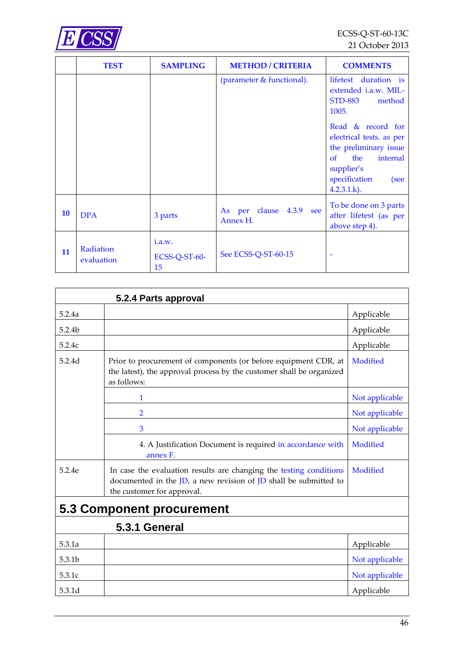

|    | <b>TEST</b>             | <b>SAMPLING</b>               | <b>METHOD / CRITERIA</b>            | <b>COMMENTS</b>                                                                                                                                                  |
|----|-------------------------|-------------------------------|-------------------------------------|------------------------------------------------------------------------------------------------------------------------------------------------------------------|
|    |                         |                               | (parameter & functional).           | lifetest duration is<br>extended <i>i.a.w.</i> MIL-<br><b>STD-883</b><br>method<br>1005.                                                                         |
|    |                         |                               |                                     | Read & record for<br>electrical tests. as per<br>the preliminary issue<br>internal<br>the<br>$\alpha$ f<br>supplier's<br>specification<br>(see<br>$4.2.3.1.k$ ). |
| 10 | <b>DPA</b>              | 3 parts                       | As per clause 4.3.9 see<br>Annex H. | To be done on 3 parts<br>after lifetest (as per<br>above step 4).                                                                                                |
| 11 | Radiation<br>evaluation | i.a.w.<br>ECSS-Q-ST-60-<br>15 | See ECSS-Q-ST-60-15                 |                                                                                                                                                                  |

|                    | 5.2.4 Parts approval                                                                                                                                                      |                |
|--------------------|---------------------------------------------------------------------------------------------------------------------------------------------------------------------------|----------------|
| 5.2.4a             |                                                                                                                                                                           | Applicable     |
| 5.2.4b             |                                                                                                                                                                           | Applicable     |
| 5.2.4c             |                                                                                                                                                                           | Applicable     |
| 5.2.4d             | Prior to procurement of components (or before equipment CDR, at<br>the latest), the approval process by the customer shall be organized<br>as follows:                    | Modified       |
|                    | 1                                                                                                                                                                         | Not applicable |
|                    | $\overline{2}$                                                                                                                                                            | Not applicable |
|                    | 3                                                                                                                                                                         | Not applicable |
|                    | 4. A Justification Document is required in accordance with<br>annex F.                                                                                                    | Modified       |
| 5.2.4e             | In case the evaluation results are changing the testing conditions<br>documented in the $JD$ , a new revision of $JD$ shall be submitted to<br>the customer for approval. | Modified       |
|                    | <b>5.3 Component procurement</b>                                                                                                                                          |                |
|                    | 5.3.1 General                                                                                                                                                             |                |
| 5.3.1a             |                                                                                                                                                                           | Applicable     |
| 5.3.1 <sub>b</sub> |                                                                                                                                                                           | Not applicable |
| 5.3.1c             |                                                                                                                                                                           | Not applicable |
| 5.3.1d             |                                                                                                                                                                           | Applicable     |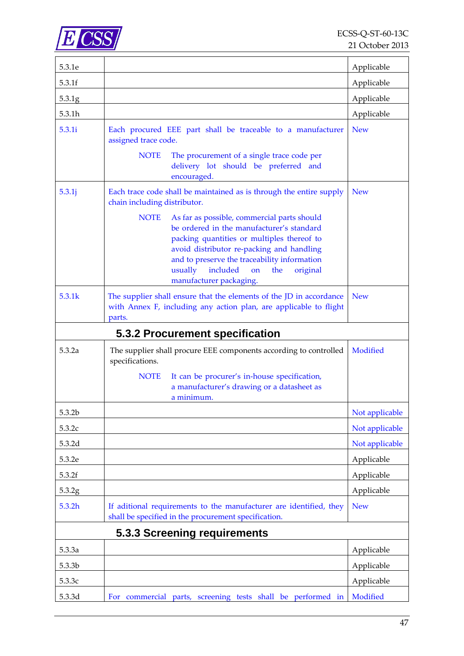

| 5.3.1e |                                                                                                                                                                                                                                                                                                                               | Applicable     |
|--------|-------------------------------------------------------------------------------------------------------------------------------------------------------------------------------------------------------------------------------------------------------------------------------------------------------------------------------|----------------|
| 5.3.1f |                                                                                                                                                                                                                                                                                                                               | Applicable     |
| 5.3.1g |                                                                                                                                                                                                                                                                                                                               | Applicable     |
| 5.3.1h |                                                                                                                                                                                                                                                                                                                               | Applicable     |
| 5.3.1i | Each procured EEE part shall be traceable to a manufacturer<br>assigned trace code.                                                                                                                                                                                                                                           | <b>New</b>     |
|        | <b>NOTE</b><br>The procurement of a single trace code per<br>delivery lot should be preferred and<br>encouraged.                                                                                                                                                                                                              |                |
| 5.3.1j | Each trace code shall be maintained as is through the entire supply<br>chain including distributor.                                                                                                                                                                                                                           | <b>New</b>     |
|        | <b>NOTE</b><br>As far as possible, commercial parts should<br>be ordered in the manufacturer's standard<br>packing quantities or multiples thereof to<br>avoid distributor re-packing and handling<br>and to preserve the traceability information<br>included<br>usually<br>on<br>the<br>original<br>manufacturer packaging. |                |
| 5.3.1k | The supplier shall ensure that the elements of the JD in accordance<br>with Annex F, including any action plan, are applicable to flight<br>parts.                                                                                                                                                                            | <b>New</b>     |
|        | 5.3.2 Procurement specification                                                                                                                                                                                                                                                                                               |                |
| 5.3.2a | The supplier shall procure EEE components according to controlled<br>specifications.                                                                                                                                                                                                                                          | Modified       |
|        | <b>NOTE</b><br>It can be procurer's in-house specification,<br>a manufacturer's drawing or a datasheet as<br>a minimum.                                                                                                                                                                                                       |                |
| 5.3.2b |                                                                                                                                                                                                                                                                                                                               | Not applicable |
| 5.3.2c |                                                                                                                                                                                                                                                                                                                               | Not applicable |
| 5.3.2d |                                                                                                                                                                                                                                                                                                                               | Not applicable |
| 5.3.2e |                                                                                                                                                                                                                                                                                                                               | Applicable     |
| 5.3.2f |                                                                                                                                                                                                                                                                                                                               | Applicable     |
| 5.3.2g |                                                                                                                                                                                                                                                                                                                               | Applicable     |
| 5.3.2h | If aditional requirements to the manufacturer are identified, they<br>shall be specified in the procurement specification.                                                                                                                                                                                                    | <b>New</b>     |
|        | 5.3.3 Screening requirements                                                                                                                                                                                                                                                                                                  |                |
| 5.3.3a |                                                                                                                                                                                                                                                                                                                               | Applicable     |
| 5.3.3b |                                                                                                                                                                                                                                                                                                                               | Applicable     |
| 5.3.3c |                                                                                                                                                                                                                                                                                                                               | Applicable     |
| 5.3.3d | For commercial parts, screening tests shall be performed in                                                                                                                                                                                                                                                                   | Modified       |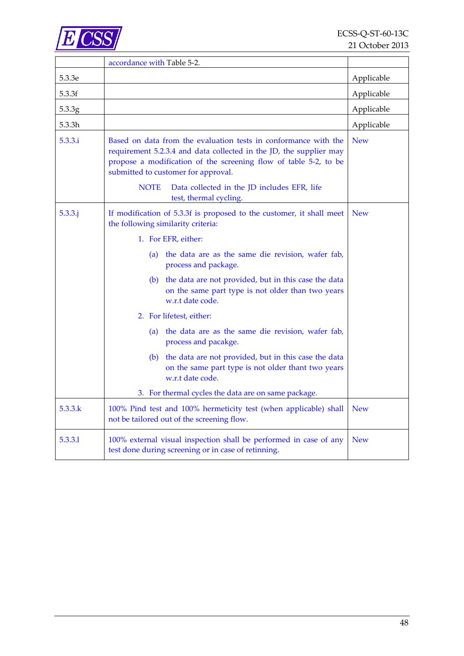

|            | accordance with Table 5-2.                                                                                                                                                                                                                       |            |
|------------|--------------------------------------------------------------------------------------------------------------------------------------------------------------------------------------------------------------------------------------------------|------------|
| 5.3.3e     |                                                                                                                                                                                                                                                  | Applicable |
| 5.3.3f     |                                                                                                                                                                                                                                                  | Applicable |
| 5.3.3g     |                                                                                                                                                                                                                                                  | Applicable |
| 5.3.3h     |                                                                                                                                                                                                                                                  | Applicable |
| 5.3.3.i    | Based on data from the evaluation tests in conformance with the<br>requirement 5.2.3.4 and data collected in the JD, the supplier may<br>propose a modification of the screening flow of table 5-2, to be<br>submitted to customer for approval. | <b>New</b> |
|            | <b>NOTE</b><br>Data collected in the JD includes EFR, life<br>test, thermal cycling.                                                                                                                                                             |            |
| $5.3.3.$ j | If modification of 5.3.3f is proposed to the customer, it shall meet<br>the following similarity criteria:                                                                                                                                       | <b>New</b> |
|            | 1. For EFR, either:                                                                                                                                                                                                                              |            |
|            | the data are as the same die revision, wafer fab,<br>(a)<br>process and package.                                                                                                                                                                 |            |
|            | (b) the data are not provided, but in this case the data<br>on the same part type is not older than two years<br>w.r.t date code.                                                                                                                |            |
|            | 2. For lifetest, either:                                                                                                                                                                                                                         |            |
|            | the data are as the same die revision, wafer fab,<br>(a)<br>process and pacakge.                                                                                                                                                                 |            |
|            | (b) the data are not provided, but in this case the data<br>on the same part type is not older thant two years<br>w.r.t date code.                                                                                                               |            |
|            | 3. For thermal cycles the data are on same package.                                                                                                                                                                                              |            |
| 5.3.3.k    | 100% Pind test and 100% hermeticity test (when applicable) shall<br>not be tailored out of the screening flow.                                                                                                                                   | <b>New</b> |
| 5.3.3.1    | 100% external visual inspection shall be performed in case of any<br>test done during screening or in case of retinning.                                                                                                                         | <b>New</b> |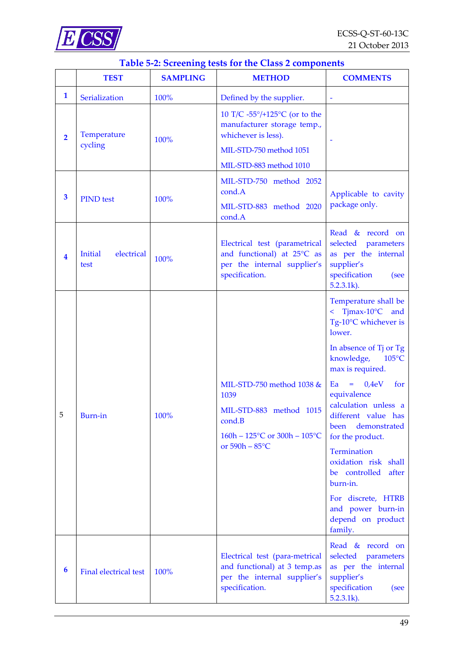

<span id="page-48-0"></span>

|                         | Table 5-2: Screening tests for the Class 2 components |                 |                                                                                                                                                     |                                                                                                                                                                                                                                                                                                                                                                                                                                                         |  |
|-------------------------|-------------------------------------------------------|-----------------|-----------------------------------------------------------------------------------------------------------------------------------------------------|---------------------------------------------------------------------------------------------------------------------------------------------------------------------------------------------------------------------------------------------------------------------------------------------------------------------------------------------------------------------------------------------------------------------------------------------------------|--|
|                         | <b>TEST</b>                                           | <b>SAMPLING</b> | <b>METHOD</b>                                                                                                                                       | <b>COMMENTS</b>                                                                                                                                                                                                                                                                                                                                                                                                                                         |  |
| $\mathbf{1}$            | Serialization                                         | 100%            | Defined by the supplier.                                                                                                                            |                                                                                                                                                                                                                                                                                                                                                                                                                                                         |  |
| $\overline{2}$          | Temperature<br>cycling                                | 100%            | 10 T/C -55 $\degree$ /+125 $\degree$ C (or to the<br>manufacturer storage temp.,<br>whichever is less).<br>MIL-STD-750 method 1051                  |                                                                                                                                                                                                                                                                                                                                                                                                                                                         |  |
|                         |                                                       |                 | MIL-STD-883 method 1010                                                                                                                             |                                                                                                                                                                                                                                                                                                                                                                                                                                                         |  |
| 3                       | <b>PIND</b> test                                      | 100%            | MIL-STD-750 method 2052<br>cond.A<br>MIL-STD-883 method 2020<br>cond.A                                                                              | Applicable to cavity<br>package only.                                                                                                                                                                                                                                                                                                                                                                                                                   |  |
| $\overline{\mathbf{4}}$ | Initial<br>electrical<br>test                         | 100%            | Electrical test (parametrical<br>and functional) at 25°C as<br>per the internal supplier's<br>specification.                                        | Read & record on<br>selected parameters<br>as per the internal<br>supplier's<br>specification<br>(see<br>$5.2.3.1k$ ).                                                                                                                                                                                                                                                                                                                                  |  |
| 5                       | Burn-in                                               | 100%            | MIL-STD-750 method 1038 &<br>1039<br>MIL-STD-883 method 1015<br>cond.B<br>$160h - 125^{\circ}C$ or $300h - 105^{\circ}C$<br>or $590h - 85^{\circ}C$ | Temperature shall be<br>$\leq$ Tjmax-10°C and<br>Tg-10°C whichever is<br>lower.<br>In absence of Tj or Tg<br>knowledge,<br>$105^{\circ}$ C<br>max is required.<br>$Ea = 0.4eV$<br>for<br>equivalence<br>calculation unless a<br>different value has<br>demonstrated<br>been<br>for the product.<br>Termination<br>oxidation risk shall<br>be controlled<br>after<br>burn-in.<br>For discrete, HTRB<br>and power burn-in<br>depend on product<br>family. |  |
| 6                       | <b>Final electrical test</b>                          | 100%            | Electrical test (para-metrical<br>and functional) at 3 temp.as<br>per the internal supplier's<br>specification.                                     | Read & record on<br>selected<br>parameters<br>as per the internal<br>supplier's<br>specification<br>(see<br>$5.2.3.1k$ ).                                                                                                                                                                                                                                                                                                                               |  |

### **Table 5-2: Screening tests for the Class 2 components**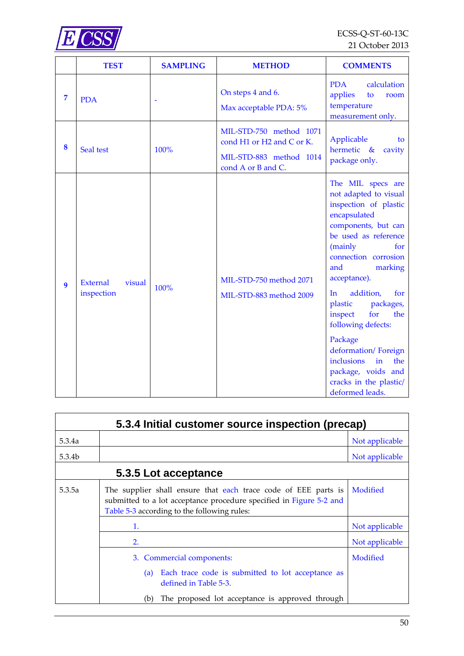

|   | <b>TEST</b>                             | <b>SAMPLING</b> | <b>METHOD</b>                                                                                         | <b>COMMENTS</b>                                                                                                                                                                                                                                                                                                                                                                                                                                 |
|---|-----------------------------------------|-----------------|-------------------------------------------------------------------------------------------------------|-------------------------------------------------------------------------------------------------------------------------------------------------------------------------------------------------------------------------------------------------------------------------------------------------------------------------------------------------------------------------------------------------------------------------------------------------|
| 7 | <b>PDA</b>                              |                 | On steps 4 and 6.<br>Max acceptable PDA: 5%                                                           | <b>PDA</b><br>calculation<br>applies<br>to<br>room<br>temperature<br>measurement only.                                                                                                                                                                                                                                                                                                                                                          |
| 8 | Seal test                               | 100%            | MIL-STD-750 method 1071<br>cond H1 or H2 and C or K.<br>MIL-STD-883 method 1014<br>cond A or B and C. | Applicable<br>to<br>hermetic $\&$<br>cavity<br>package only.                                                                                                                                                                                                                                                                                                                                                                                    |
| 9 | <b>External</b><br>visual<br>inspection | 100%            | MIL-STD-750 method 2071<br>MIL-STD-883 method 2009                                                    | The MIL specs are<br>not adapted to visual<br>inspection of plastic<br>encapsulated<br>components, but can<br>be used as reference<br>(mainly<br>for<br>connection corrosion<br>and<br>marking<br>acceptance).<br>addition,<br>In<br>for<br>plastic<br>packages,<br>inspect<br>for<br>the<br>following defects:<br>Package<br>deformation/Foreign<br>inclusions<br>in<br>the<br>package, voids and<br>cracks in the plastic/<br>deformed leads. |

|        | 5.3.4 Initial customer source inspection (precap)                                                                                                                                    |                |  |  |  |
|--------|--------------------------------------------------------------------------------------------------------------------------------------------------------------------------------------|----------------|--|--|--|
| 5.3.4a |                                                                                                                                                                                      | Not applicable |  |  |  |
| 5.3.4b |                                                                                                                                                                                      | Not applicable |  |  |  |
|        | 5.3.5 Lot acceptance                                                                                                                                                                 |                |  |  |  |
| 5.3.5a | The supplier shall ensure that each trace code of EEE parts is<br>submitted to a lot acceptance procedure specified in Figure 5-2 and<br>Table 5-3 according to the following rules: | Modified       |  |  |  |
|        | 1.                                                                                                                                                                                   |                |  |  |  |
|        | 2.                                                                                                                                                                                   | Not applicable |  |  |  |
|        | 3. Commercial components:<br>Each trace code is submitted to lot acceptance as<br>(a)<br>defined in Table 5-3.                                                                       | Modified       |  |  |  |
|        | The proposed lot acceptance is approved through<br>(b)                                                                                                                               |                |  |  |  |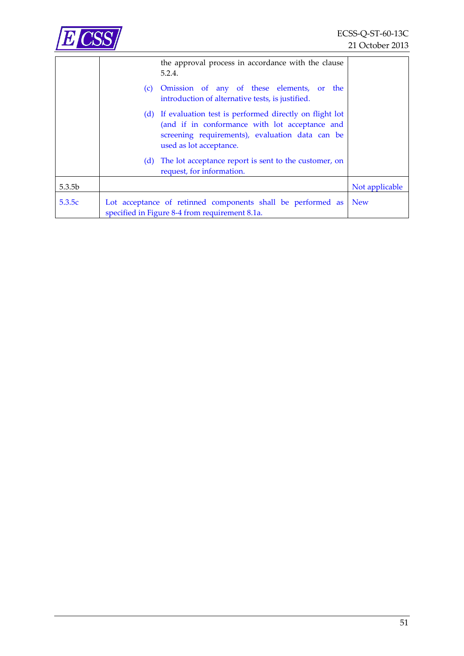

|                    | the approval process in accordance with the clause<br>5.2.4.                                                                                                                               |                |
|--------------------|--------------------------------------------------------------------------------------------------------------------------------------------------------------------------------------------|----------------|
|                    | Omission of any of these elements, or the<br>(c)<br>introduction of alternative tests, is justified.                                                                                       |                |
|                    | (d) If evaluation test is performed directly on flight lot<br>(and if in conformance with lot acceptance and<br>screening requirements), evaluation data can be<br>used as lot acceptance. |                |
|                    | The lot acceptance report is sent to the customer, on<br>(d)<br>request, for information.                                                                                                  |                |
| 5.3.5 <sub>b</sub> |                                                                                                                                                                                            | Not applicable |
| 5.3.5c             | Lot acceptance of retinned components shall be performed as<br>specified in Figure 8-4 from requirement 8.1a.                                                                              | <b>New</b>     |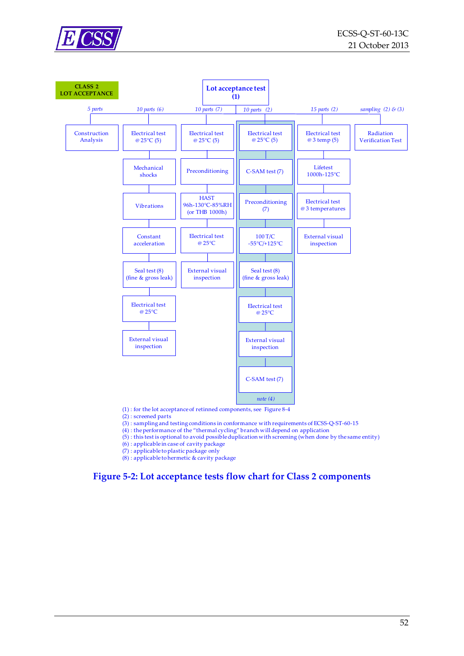



(3) : sampling and testing conditions in conformance with requirements of ECSS-Q-ST-60-15

(4) : the performance of the "thermal cycling" branch will depend on application

(5) : this test is optional to avoid possible duplication with screening (when done by the same entity)

(6) : applicable in case of cavity package

(7) : applicable to plastic package only

(8) : applicable to hermetic & cavity package

#### <span id="page-51-0"></span>**Figure 5-2: Lot acceptance tests flow chart for Class 2 components**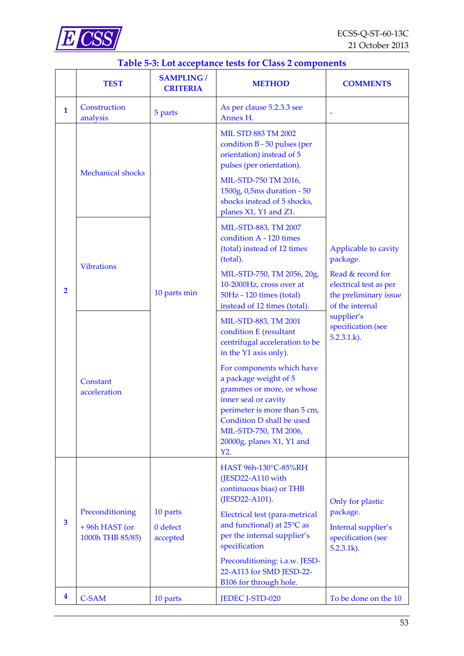

<span id="page-52-0"></span>

|                         | <b>TEST</b>                                                                              | <b>SAMPLING/</b><br><b>CRITERIA</b> | <b>METHOD</b>                                                                                                                                                                                                                     | <b>COMMENTS</b>                                                                                                                               |  |
|-------------------------|------------------------------------------------------------------------------------------|-------------------------------------|-----------------------------------------------------------------------------------------------------------------------------------------------------------------------------------------------------------------------------------|-----------------------------------------------------------------------------------------------------------------------------------------------|--|
| $\mathbf{1}$            | Construction<br>analysis                                                                 | 5 parts                             | As per clause 5.2.3.3 see<br>Annex H.                                                                                                                                                                                             |                                                                                                                                               |  |
|                         |                                                                                          |                                     | <b>MIL STD 883 TM 2002</b><br>condition B - 50 pulses (per<br>orientation) instead of 5<br>pulses (per orientation).                                                                                                              |                                                                                                                                               |  |
|                         | <b>Mechanical shocks</b>                                                                 |                                     | MIL-STD-750 TM 2016,<br>1500g, 0,5ms duration - 50<br>shocks instead of 5 shocks,<br>planes X1, Y1 and Z1.                                                                                                                        |                                                                                                                                               |  |
|                         |                                                                                          |                                     | MIL-STD-883, TM 2007<br>condition A - 120 times<br>(total) instead of 12 times<br>(total).                                                                                                                                        | Applicable to cavity<br>package.                                                                                                              |  |
| $\overline{2}$          | <b>Vibrations</b>                                                                        | 10 parts min                        | MIL-STD-750, TM 2056, 20g,<br>10-2000Hz, cross over at<br>50Hz - 120 times (total)<br>instead of 12 times (total).                                                                                                                | Read & record for<br>electrical test as per<br>the preliminary issue<br>of the internal<br>supplier's<br>specification (see<br>$5.2.3.1.k$ ). |  |
|                         | Constant<br>acceleration                                                                 |                                     | MIL-STD-883, TM 2001<br>condition E (resultant<br>centrifugal acceleration to be<br>in the Y1 axis only).                                                                                                                         |                                                                                                                                               |  |
|                         |                                                                                          |                                     | For components which have<br>a package weight of 5<br>grammes or more, or whose<br>inner seal or cavity<br>perimeter is more than 5 cm,<br>Condition D shall be used<br>MIL-STD-750, TM 2006,<br>20000g, planes X1, Y1 and<br>Y2. |                                                                                                                                               |  |
|                         |                                                                                          |                                     | HAST 96h-130°C-85%RH<br>(JESD22-A110 with<br>continuous bias) or THB<br>(JESD22-A101).                                                                                                                                            | Only for plastic                                                                                                                              |  |
| $\overline{\mathbf{3}}$ | Preconditioning<br>10 parts<br>+96h HAST (or<br>0 defect<br>1000h THB 85/85)<br>accepted |                                     | Electrical test (para-metrical<br>and functional) at 25°C as<br>per the internal supplier's<br>specification                                                                                                                      | package.<br>Internal supplier's<br>specification (see<br>$5.2.3.1k$ ).                                                                        |  |
|                         |                                                                                          |                                     | Preconditioning: i.a.w. JESD-<br>22-A113 for SMD JESD-22-<br>B106 for through hole.                                                                                                                                               |                                                                                                                                               |  |
| $\overline{\mathbf{4}}$ | <b>C-SAM</b>                                                                             | 10 parts                            | JEDEC J-STD-020                                                                                                                                                                                                                   | To be done on the 10                                                                                                                          |  |

### **Table 5-3: Lot acceptance tests for Class 2 components**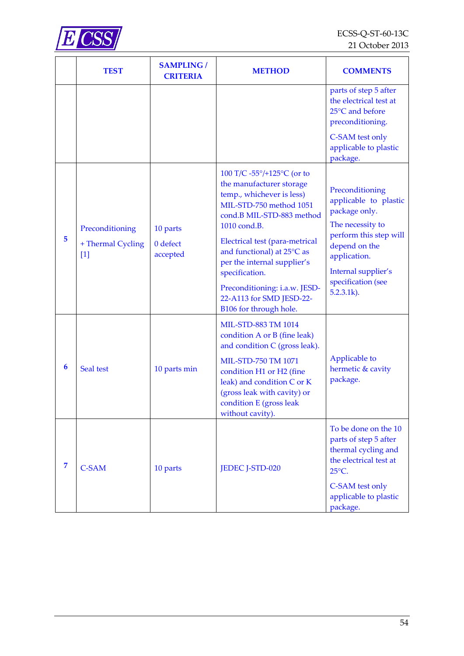

|                | <b>TEST</b>                                   | <b>SAMPLING/</b><br><b>CRITERIA</b> | <b>METHOD</b>                                                                                                                                                                                                                                                                                                                                                       | <b>COMMENTS</b>                                                                                                                                                                                        |
|----------------|-----------------------------------------------|-------------------------------------|---------------------------------------------------------------------------------------------------------------------------------------------------------------------------------------------------------------------------------------------------------------------------------------------------------------------------------------------------------------------|--------------------------------------------------------------------------------------------------------------------------------------------------------------------------------------------------------|
|                |                                               |                                     |                                                                                                                                                                                                                                                                                                                                                                     | parts of step 5 after<br>the electrical test at<br>25°C and before<br>preconditioning.                                                                                                                 |
|                |                                               |                                     |                                                                                                                                                                                                                                                                                                                                                                     | C-SAM test only<br>applicable to plastic<br>package.                                                                                                                                                   |
| 5              | Preconditioning<br>+ Thermal Cycling<br>$[1]$ | 10 parts<br>0 defect<br>accepted    | 100 T/C -55°/+125°C (or to<br>the manufacturer storage<br>temp., whichever is less)<br>MIL-STD-750 method 1051<br>cond.B MIL-STD-883 method<br>1010 cond.B.<br>Electrical test (para-metrical<br>and functional) at 25°C as<br>per the internal supplier's<br>specification.<br>Preconditioning: i.a.w. JESD-<br>22-A113 for SMD JESD-22-<br>B106 for through hole. | Preconditioning<br>applicable to plastic<br>package only.<br>The necessity to<br>perform this step will<br>depend on the<br>application.<br>Internal supplier's<br>specification (see<br>$5.2.3.1k$ ). |
| 6              | Seal test                                     | 10 parts min                        | MIL-STD-883 TM 1014<br>condition A or B (fine leak)<br>and condition C (gross leak).<br>MIL-STD-750 TM 1071<br>condition H1 or H2 (fine<br>leak) and condition C or K<br>(gross leak with cavity) or<br>condition E (gross leak<br>without cavity).                                                                                                                 | Applicable to<br>hermetic & cavity<br>package.                                                                                                                                                         |
| $\overline{7}$ | <b>C-SAM</b>                                  | 10 parts                            | JEDEC J-STD-020                                                                                                                                                                                                                                                                                                                                                     | To be done on the 10<br>parts of step 5 after<br>thermal cycling and<br>the electrical test at<br>$25^{\circ}$ C.<br>C-SAM test only<br>applicable to plastic<br>package.                              |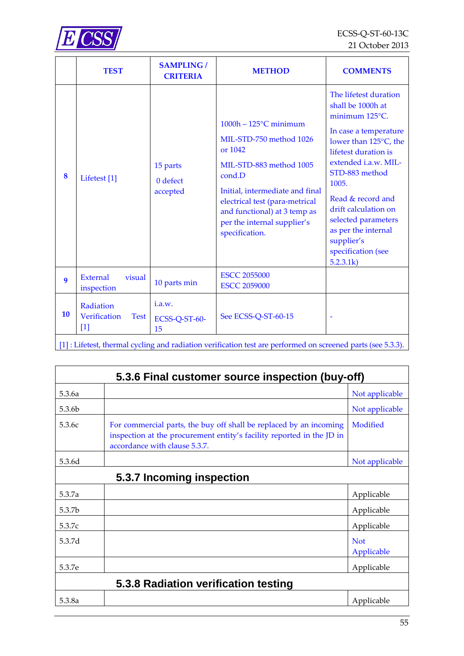

|    | <b>TEST</b>                                       | <b>SAMPLING /</b><br><b>CRITERIA</b> | <b>METHOD</b>                                                                                                                                                                                                                                             | <b>COMMENTS</b>                                                                                                                                                                                                                                                                                                                       |
|----|---------------------------------------------------|--------------------------------------|-----------------------------------------------------------------------------------------------------------------------------------------------------------------------------------------------------------------------------------------------------------|---------------------------------------------------------------------------------------------------------------------------------------------------------------------------------------------------------------------------------------------------------------------------------------------------------------------------------------|
| 8  | Lifetest <sup>[1]</sup>                           | 15 parts<br>0 defect<br>accepted     | $1000h - 125$ °C minimum<br>MIL-STD-750 method 1026<br>or 1042<br>MIL-STD-883 method 1005<br>cond.D<br>Initial, intermediate and final<br>electrical test (para-metrical<br>and functional) at 3 temp as<br>per the internal supplier's<br>specification. | The lifetest duration<br>shall be 1000h at<br>minimum 125°C.<br>In case a temperature<br>lower than 125°C, the<br>lifetest duration is<br>extended i.a.w. MIL-<br>STD-883 method<br>1005.<br>Read & record and<br>drift calculation on<br>selected parameters<br>as per the internal<br>supplier's<br>specification (see<br>5.2.3.1k) |
| 9  | External<br>visual<br>inspection                  | 10 parts min                         | <b>ESCC 2055000</b><br><b>ESCC 2059000</b>                                                                                                                                                                                                                |                                                                                                                                                                                                                                                                                                                                       |
| 10 | Radiation<br>Verification<br><b>Test</b><br>$[1]$ | i.a.w.<br>ECSS-Q-ST-60-<br>15        | See ECSS-Q-ST-60-15                                                                                                                                                                                                                                       |                                                                                                                                                                                                                                                                                                                                       |

[1] : Lifetest, thermal cycling and radiation verification test are performed on screened parts (see 5.3.3).

| 5.3.6 Final customer source inspection (buy-off) |                                                                                                                                                                              |                          |  |  |
|--------------------------------------------------|------------------------------------------------------------------------------------------------------------------------------------------------------------------------------|--------------------------|--|--|
| 5.3.6a                                           |                                                                                                                                                                              | Not applicable           |  |  |
| 5.3.6b                                           |                                                                                                                                                                              | Not applicable           |  |  |
| 5.3.6c                                           | For commercial parts, the buy off shall be replaced by an incoming<br>inspection at the procurement entity's facility reported in the JD in<br>accordance with clause 5.3.7. | Modified                 |  |  |
| 5.3.6d                                           |                                                                                                                                                                              | Not applicable           |  |  |
|                                                  | 5.3.7 Incoming inspection                                                                                                                                                    |                          |  |  |
| 5.3.7a                                           |                                                                                                                                                                              | Applicable               |  |  |
| 5.3.7 <sub>b</sub>                               |                                                                                                                                                                              | Applicable               |  |  |
| 5.3.7c                                           |                                                                                                                                                                              | Applicable               |  |  |
| 5.3.7d                                           |                                                                                                                                                                              | <b>Not</b><br>Applicable |  |  |
| 5.3.7e                                           |                                                                                                                                                                              | Applicable               |  |  |
| 5.3.8 Radiation verification testing             |                                                                                                                                                                              |                          |  |  |
| 5.3.8a                                           |                                                                                                                                                                              | Applicable               |  |  |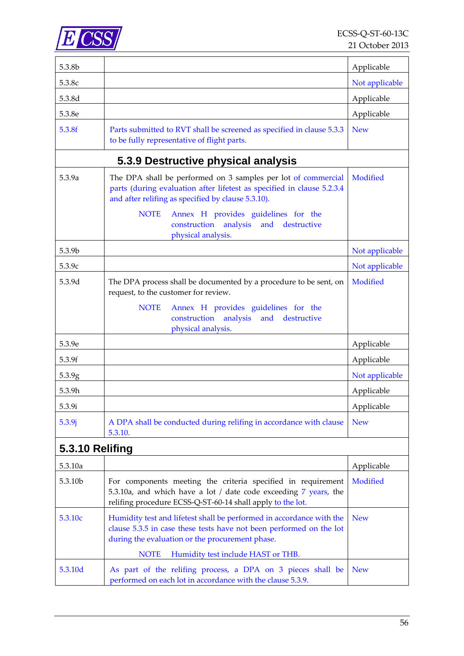

| 5.3.8b          |                                                                                                                                                                                                                                                     | Applicable     |
|-----------------|-----------------------------------------------------------------------------------------------------------------------------------------------------------------------------------------------------------------------------------------------------|----------------|
| 5.3.8c          |                                                                                                                                                                                                                                                     | Not applicable |
| 5.3.8d          |                                                                                                                                                                                                                                                     | Applicable     |
| 5.3.8e          |                                                                                                                                                                                                                                                     | Applicable     |
| 5.3.8f          | Parts submitted to RVT shall be screened as specified in clause 5.3.3<br>to be fully representative of flight parts.                                                                                                                                | <b>New</b>     |
|                 | 5.3.9 Destructive physical analysis                                                                                                                                                                                                                 |                |
| 5.3.9a          | The DPA shall be performed on 3 samples per lot of commercial<br>parts (during evaluation after lifetest as specified in clause 5.2.3.4<br>and after relifing as specified by clause 5.3.10).                                                       | Modified       |
|                 | <b>NOTE</b><br>Annex H provides guidelines for the<br>construction<br>analysis<br>and<br>destructive<br>physical analysis.                                                                                                                          |                |
| 5.3.9b          |                                                                                                                                                                                                                                                     | Not applicable |
| 5.3.9c          |                                                                                                                                                                                                                                                     | Not applicable |
| 5.3.9d          | The DPA process shall be documented by a procedure to be sent, on<br>request, to the customer for review.                                                                                                                                           | Modified       |
|                 | <b>NOTE</b><br>Annex H provides guidelines for the<br>construction<br>analysis<br>and<br>destructive<br>physical analysis.                                                                                                                          |                |
| 5.3.9e          |                                                                                                                                                                                                                                                     | Applicable     |
| 5.3.9f          |                                                                                                                                                                                                                                                     | Applicable     |
| 5.3.9g          |                                                                                                                                                                                                                                                     | Not applicable |
| 5.3.9h          |                                                                                                                                                                                                                                                     | Applicable     |
| 5.3.9i          |                                                                                                                                                                                                                                                     | Applicable     |
| 5.3.9j          | A DPA shall be conducted during relifing in accordance with clause<br>5.3.10.                                                                                                                                                                       | <b>New</b>     |
| 5.3.10 Relifing |                                                                                                                                                                                                                                                     |                |
| 5.3.10a         |                                                                                                                                                                                                                                                     | Applicable     |
| 5.3.10b         | For components meeting the criteria specified in requirement<br>5.3.10a, and which have a lot / date code exceeding 7 years, the<br>relifing procedure ECSS-Q-ST-60-14 shall apply to the lot.                                                      | Modified       |
| 5.3.10c         | Humidity test and lifetest shall be performed in accordance with the<br>clause 5.3.5 in case these tests have not been performed on the lot<br>during the evaluation or the procurement phase.<br><b>NOTE</b><br>Humidity test include HAST or THB. | <b>New</b>     |
| 5.3.10d         | As part of the relifing process, a DPA on 3 pieces shall be<br>performed on each lot in accordance with the clause 5.3.9.                                                                                                                           | <b>New</b>     |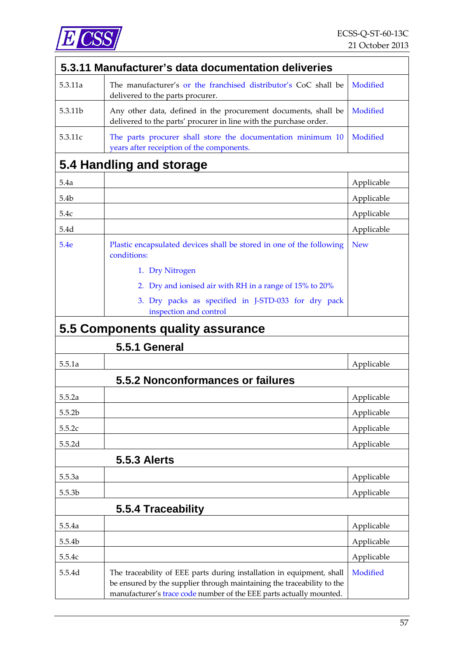

| 5.3.11 Manufacturer's data documentation deliveries |                                                                                                                                                                                                                        |            |  |
|-----------------------------------------------------|------------------------------------------------------------------------------------------------------------------------------------------------------------------------------------------------------------------------|------------|--|
| 5.3.11a                                             | The manufacturer's or the franchised distributor's CoC shall be<br>delivered to the parts procurer.                                                                                                                    | Modified   |  |
| 5.3.11b                                             | Any other data, defined in the procurement documents, shall be<br>delivered to the parts' procurer in line with the purchase order.                                                                                    | Modified   |  |
| 5.3.11c                                             | The parts procurer shall store the documentation minimum 10<br>years after receiption of the components.                                                                                                               | Modified   |  |
|                                                     | 5.4 Handling and storage                                                                                                                                                                                               |            |  |
| 5.4a                                                |                                                                                                                                                                                                                        | Applicable |  |
| 5.4b                                                |                                                                                                                                                                                                                        | Applicable |  |
| 5.4c                                                |                                                                                                                                                                                                                        | Applicable |  |
| 5.4d                                                |                                                                                                                                                                                                                        | Applicable |  |
| 5.4e                                                | Plastic encapsulated devices shall be stored in one of the following<br>conditions:                                                                                                                                    | <b>New</b> |  |
|                                                     | 1. Dry Nitrogen                                                                                                                                                                                                        |            |  |
|                                                     | 2. Dry and ionised air with RH in a range of 15% to 20%                                                                                                                                                                |            |  |
|                                                     | 3. Dry packs as specified in J-STD-033 for dry pack<br>inspection and control                                                                                                                                          |            |  |
|                                                     | 5.5 Components quality assurance                                                                                                                                                                                       |            |  |
|                                                     | 5.5.1 General                                                                                                                                                                                                          |            |  |
| 5.5.1a                                              |                                                                                                                                                                                                                        | Applicable |  |
|                                                     | 5.5.2 Nonconformances or failures                                                                                                                                                                                      |            |  |
| 5.5.2a                                              |                                                                                                                                                                                                                        | Applicable |  |
| 5.5.2b                                              |                                                                                                                                                                                                                        | Applicable |  |
| 5.5.2c                                              |                                                                                                                                                                                                                        | Applicable |  |
| 5.5.2d                                              |                                                                                                                                                                                                                        | Applicable |  |
|                                                     | <b>5.5.3 Alerts</b>                                                                                                                                                                                                    |            |  |
| 5.5.3a                                              |                                                                                                                                                                                                                        | Applicable |  |
| 5.5.3b                                              |                                                                                                                                                                                                                        | Applicable |  |
|                                                     | 5.5.4 Traceability                                                                                                                                                                                                     |            |  |
| 5.5.4a                                              |                                                                                                                                                                                                                        | Applicable |  |
| 5.5.4b                                              |                                                                                                                                                                                                                        | Applicable |  |
| 5.5.4c                                              |                                                                                                                                                                                                                        | Applicable |  |
| 5.5.4d                                              | The traceability of EEE parts during installation in equipment, shall<br>be ensured by the supplier through maintaining the traceability to the<br>manufacturer's trace code number of the EEE parts actually mounted. | Modified   |  |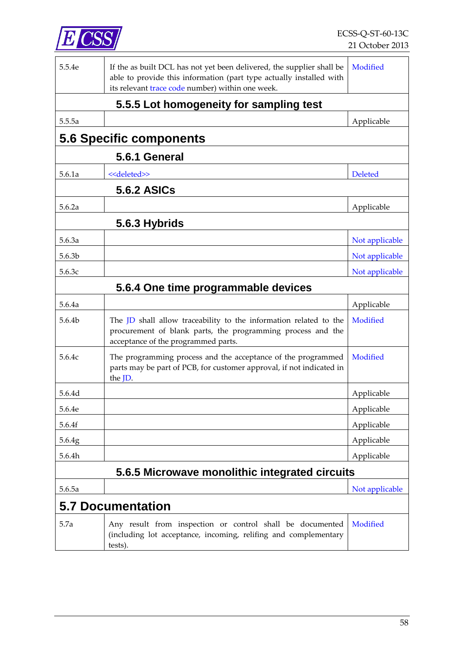

| 5.5.4e | If the as built DCL has not yet been delivered, the supplier shall be<br>able to provide this information (part type actually installed with<br>its relevant trace code number) within one week. | Modified       |
|--------|--------------------------------------------------------------------------------------------------------------------------------------------------------------------------------------------------|----------------|
|        | 5.5.5 Lot homogeneity for sampling test                                                                                                                                                          |                |
| 5.5.5a |                                                                                                                                                                                                  | Applicable     |
|        | <b>5.6 Specific components</b>                                                                                                                                                                   |                |
|        | 5.6.1 General                                                                                                                                                                                    |                |
| 5.6.1a | < <deleted>&gt;</deleted>                                                                                                                                                                        | <b>Deleted</b> |
|        | <b>5.6.2 ASICs</b>                                                                                                                                                                               |                |
| 5.6.2a |                                                                                                                                                                                                  | Applicable     |
|        | 5.6.3 Hybrids                                                                                                                                                                                    |                |
| 5.6.3a |                                                                                                                                                                                                  | Not applicable |
| 5.6.3b |                                                                                                                                                                                                  | Not applicable |
| 5.6.3c |                                                                                                                                                                                                  | Not applicable |
|        | 5.6.4 One time programmable devices                                                                                                                                                              |                |
| 5.6.4a |                                                                                                                                                                                                  | Applicable     |
| 5.6.4b | The JD shall allow traceability to the information related to the<br>procurement of blank parts, the programming process and the<br>acceptance of the programmed parts.                          | Modified       |
| 5.6.4c | The programming process and the acceptance of the programmed<br>parts may be part of PCB, for customer approval, if not indicated in<br>the JD.                                                  | Modified       |
| 5.6.4d |                                                                                                                                                                                                  | Applicable     |
| 5.6.4e |                                                                                                                                                                                                  | Applicable     |
| 5.6.4f |                                                                                                                                                                                                  | Applicable     |
| 5.6.4g |                                                                                                                                                                                                  | Applicable     |
| 5.6.4h |                                                                                                                                                                                                  | Applicable     |
|        | 5.6.5 Microwave monolithic integrated circuits                                                                                                                                                   |                |
| 5.6.5a |                                                                                                                                                                                                  | Not applicable |
|        | <b>5.7 Documentation</b>                                                                                                                                                                         |                |
| 5.7a   | Any result from inspection or control shall be documented<br>(including lot acceptance, incoming, relifing and complementary<br>tests).                                                          | Modified       |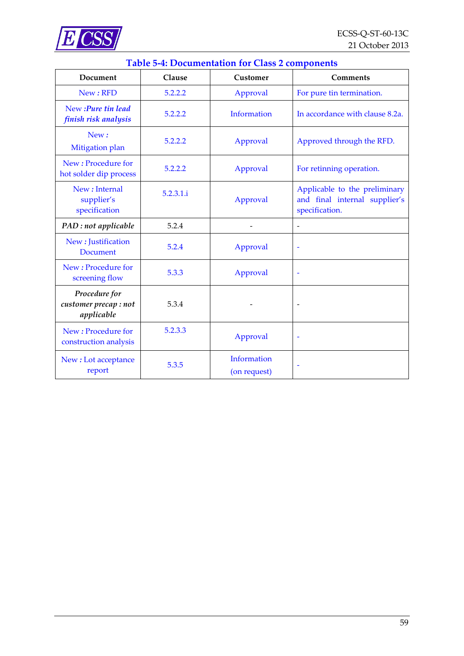

| Document                                             | Clause    | Customer                    | Comments                                                                         |
|------------------------------------------------------|-----------|-----------------------------|----------------------------------------------------------------------------------|
| New: RFD                                             | 5.2.2.2   | Approval                    | For pure tin termination.                                                        |
| New :Pure tin lead<br>finish risk analysis           | 5.2.2.2   | Information                 | In accordance with clause 8.2a.                                                  |
| New:<br>Mitigation plan                              | 5.2.2.2   | Approval                    | Approved through the RFD.                                                        |
| New: Procedure for<br>hot solder dip process         | 5.2.2.2   | Approval                    | For retinning operation.                                                         |
| New: Internal<br>supplier's<br>specification         | 5.2.3.1.i | Approval                    | Applicable to the preliminary<br>and final internal supplier's<br>specification. |
| PAD : not applicable                                 | 5.2.4     |                             | $\overline{\phantom{a}}$                                                         |
| New: Justification<br><b>Document</b>                | 5.2.4     | Approval                    |                                                                                  |
| New: Procedure for<br>screening flow                 | 5.3.3     | Approval                    | ÷                                                                                |
| Procedure for<br>customer precap : not<br>applicable | 5.3.4     |                             |                                                                                  |
| New: Procedure for<br>construction analysis          | 5.2.3.3   | Approval                    | $\overline{\phantom{a}}$                                                         |
| New: Lot acceptance<br>report                        | 5.3.5     | Information<br>(on request) |                                                                                  |

### **Table 5-4: Documentation for Class 2 components**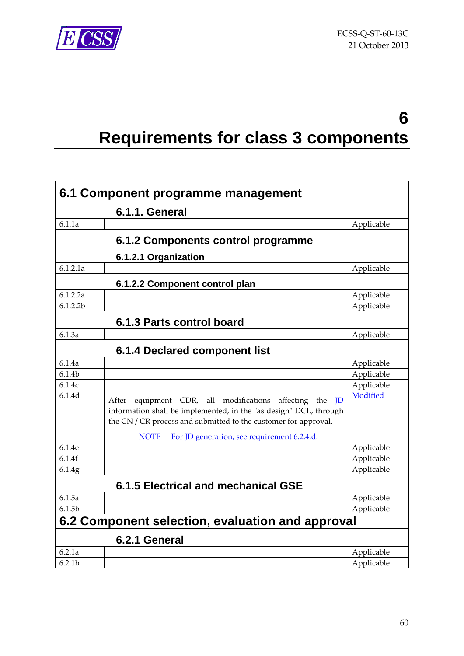

# **6 Requirements for class 3 components**

| 6.1 Component programme management |                                                                                                                                                                                                    |            |  |
|------------------------------------|----------------------------------------------------------------------------------------------------------------------------------------------------------------------------------------------------|------------|--|
|                                    | 6.1.1. General                                                                                                                                                                                     |            |  |
| 6.1.1a                             |                                                                                                                                                                                                    | Applicable |  |
|                                    | 6.1.2 Components control programme                                                                                                                                                                 |            |  |
|                                    | 6.1.2.1 Organization                                                                                                                                                                               |            |  |
| 6.1.2.1a                           |                                                                                                                                                                                                    | Applicable |  |
|                                    | 6.1.2.2 Component control plan                                                                                                                                                                     |            |  |
| 6.1.2.2a                           |                                                                                                                                                                                                    | Applicable |  |
| 6.1.2.2b                           |                                                                                                                                                                                                    | Applicable |  |
|                                    | 6.1.3 Parts control board                                                                                                                                                                          |            |  |
| 6.1.3a                             |                                                                                                                                                                                                    | Applicable |  |
|                                    | 6.1.4 Declared component list                                                                                                                                                                      |            |  |
| 6.1.4a                             |                                                                                                                                                                                                    | Applicable |  |
| 6.1.4 <sub>b</sub>                 |                                                                                                                                                                                                    | Applicable |  |
| 6.1.4c                             |                                                                                                                                                                                                    | Applicable |  |
| 6.1.4d                             | equipment CDR, all modifications affecting the JD<br>After<br>information shall be implemented, in the "as design" DCL, through<br>the CN / CR process and submitted to the customer for approval. | Modified   |  |
|                                    | For JD generation, see requirement 6.2.4.d.<br><b>NOTE</b>                                                                                                                                         |            |  |
| 6.1.4e                             |                                                                                                                                                                                                    | Applicable |  |
| 6.1.4f                             |                                                                                                                                                                                                    | Applicable |  |
| 6.1.4g                             |                                                                                                                                                                                                    | Applicable |  |
|                                    | 6.1.5 Electrical and mechanical GSE                                                                                                                                                                |            |  |
| 6.1.5a                             |                                                                                                                                                                                                    | Applicable |  |
| 6.1.5 <sub>b</sub>                 |                                                                                                                                                                                                    | Applicable |  |
|                                    | 6.2 Component selection, evaluation and approval                                                                                                                                                   |            |  |
|                                    | 6.2.1 General                                                                                                                                                                                      |            |  |
| 6.2.1a                             |                                                                                                                                                                                                    | Applicable |  |
| 6.2.1 <sub>b</sub>                 |                                                                                                                                                                                                    | Applicable |  |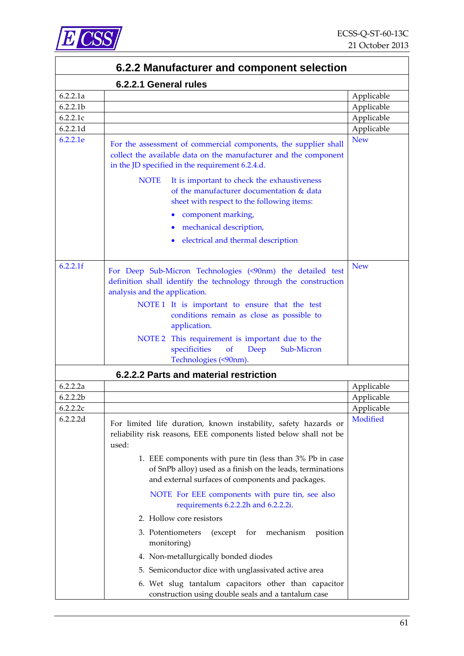|          | 6.2.2 Manufacturer and component selection                                                                                                                                             |            |
|----------|----------------------------------------------------------------------------------------------------------------------------------------------------------------------------------------|------------|
|          | 6.2.2.1 General rules                                                                                                                                                                  |            |
| 6.2.2.1a |                                                                                                                                                                                        | Applicable |
| 6.2.2.1b |                                                                                                                                                                                        | Applicable |
| 6.2.2.1c |                                                                                                                                                                                        | Applicable |
| 6.2.2.1d |                                                                                                                                                                                        | Applicable |
| 6.2.2.1e | For the assessment of commercial components, the supplier shall<br>collect the available data on the manufacturer and the component<br>in the JD specified in the requirement 6.2.4.d. | <b>New</b> |
|          | <b>NOTE</b><br>It is important to check the exhaustiveness<br>of the manufacturer documentation & data<br>sheet with respect to the following items:<br>component marking,             |            |
|          |                                                                                                                                                                                        |            |
|          | mechanical description,                                                                                                                                                                |            |
|          | electrical and thermal description                                                                                                                                                     |            |
| 6.2.2.1f | For Deep Sub-Micron Technologies (<90nm) the detailed test<br>definition shall identify the technology through the construction<br>analysis and the application.                       | <b>New</b> |
|          | NOTE 1 It is important to ensure that the test                                                                                                                                         |            |
|          | conditions remain as close as possible to<br>application.                                                                                                                              |            |
|          | NOTE 2 This requirement is important due to the                                                                                                                                        |            |
|          | specificities<br>of<br>Deep<br>Sub-Micron<br>Technologies (<90nm).                                                                                                                     |            |
|          | 6.2.2.2 Parts and material restriction                                                                                                                                                 |            |
| 6.2.2.2a |                                                                                                                                                                                        | Applicable |
| 6.2.2.2b |                                                                                                                                                                                        | Applicable |
| 6.2.2.2c |                                                                                                                                                                                        | Applicable |
| 6.2.2.2d | For limited life duration, known instability, safety hazards or<br>reliability risk reasons, EEE components listed below shall not be<br>used:                                         | Modified   |
|          | 1. EEE components with pure tin (less than 3% Pb in case<br>of SnPb alloy) used as a finish on the leads, terminations<br>and external surfaces of components and packages.            |            |
|          | NOTE For EEE components with pure tin, see also<br>requirements 6.2.2.2h and 6.2.2.2i.                                                                                                 |            |
|          | 2. Hollow core resistors                                                                                                                                                               |            |
|          | 3. Potentiometers<br>mechanism<br>(except)<br>for<br>position<br>monitoring)                                                                                                           |            |
|          | 4. Non-metallurgically bonded diodes                                                                                                                                                   |            |
|          | 5. Semiconductor dice with unglassivated active area                                                                                                                                   |            |
|          | 6. Wet slug tantalum capacitors other than capacitor<br>construction using double seals and a tantalum case                                                                            |            |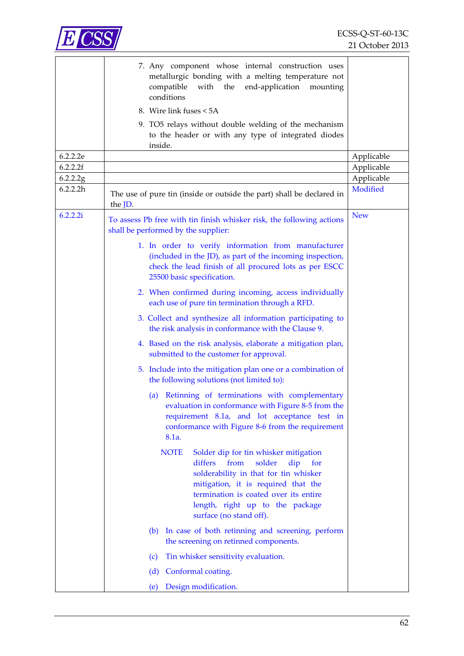

|          | 7. Any component whose internal construction uses<br>metallurgic bonding with a melting temperature not<br>end-application<br>compatible<br>with<br>the<br>mounting<br>conditions                                                                                                      |            |
|----------|----------------------------------------------------------------------------------------------------------------------------------------------------------------------------------------------------------------------------------------------------------------------------------------|------------|
|          | 8. Wire link fuses < 5A                                                                                                                                                                                                                                                                |            |
|          | 9. TO5 relays without double welding of the mechanism<br>to the header or with any type of integrated diodes<br>inside.                                                                                                                                                                |            |
| 6.2.2.2e |                                                                                                                                                                                                                                                                                        | Applicable |
| 6.2.2.2f |                                                                                                                                                                                                                                                                                        | Applicable |
| 6.2.2.2g |                                                                                                                                                                                                                                                                                        | Applicable |
| 6.2.2.2h | The use of pure tin (inside or outside the part) shall be declared in<br>the JD.                                                                                                                                                                                                       | Modified   |
| 6.2.2.2i | To assess Pb free with tin finish whisker risk, the following actions<br>shall be performed by the supplier:                                                                                                                                                                           | <b>New</b> |
|          | 1. In order to verify information from manufacturer<br>(included in the JD), as part of the incoming inspection,<br>check the lead finish of all procured lots as per ESCC<br>25500 basic specification.                                                                               |            |
|          | 2. When confirmed during incoming, access individually<br>each use of pure tin termination through a RFD.                                                                                                                                                                              |            |
|          | 3. Collect and synthesize all information participating to<br>the risk analysis in conformance with the Clause 9.                                                                                                                                                                      |            |
|          | 4. Based on the risk analysis, elaborate a mitigation plan,<br>submitted to the customer for approval.                                                                                                                                                                                 |            |
|          | 5. Include into the mitigation plan one or a combination of<br>the following solutions (not limited to):                                                                                                                                                                               |            |
|          | Retinning of terminations with complementary<br>(a)<br>evaluation in conformance with Figure 8-5 from the<br>requirement 8.1a, and lot acceptance test in<br>conformance with Figure 8-6 from the requirement<br>8.1a.                                                                 |            |
|          | <b>NOTE</b><br>Solder dip for tin whisker mitigation<br>solder<br>differs<br>from<br>dip<br>for<br>solderability in that for tin whisker<br>mitigation, it is required that the<br>termination is coated over its entire<br>length, right up to the package<br>surface (no stand off). |            |
|          | (b) In case of both retinning and screening, perform<br>the screening on retinned components.                                                                                                                                                                                          |            |
|          | Tin whisker sensitivity evaluation.<br>(c)                                                                                                                                                                                                                                             |            |
|          | Conformal coating.<br>(d)                                                                                                                                                                                                                                                              |            |
|          | Design modification.<br>(e)                                                                                                                                                                                                                                                            |            |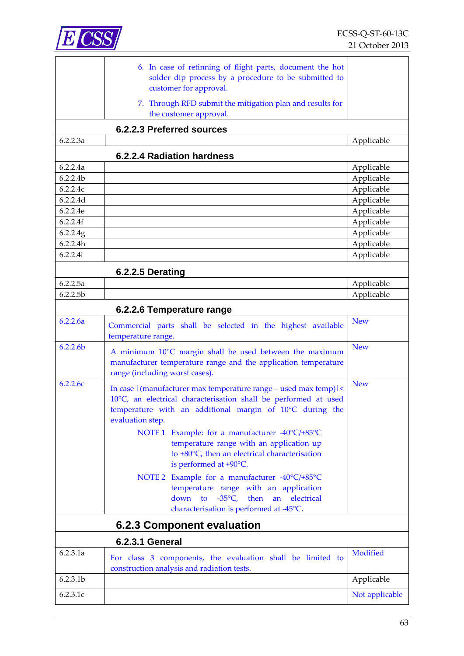

|                      | 6. In case of retinning of flight parts, document the hot<br>solder dip process by a procedure to be submitted to<br>customer for approval.                                                                                                                                                                                                                                                                                                                                                                                                                              |                |
|----------------------|--------------------------------------------------------------------------------------------------------------------------------------------------------------------------------------------------------------------------------------------------------------------------------------------------------------------------------------------------------------------------------------------------------------------------------------------------------------------------------------------------------------------------------------------------------------------------|----------------|
|                      | 7. Through RFD submit the mitigation plan and results for<br>the customer approval.                                                                                                                                                                                                                                                                                                                                                                                                                                                                                      |                |
|                      | 6.2.2.3 Preferred sources                                                                                                                                                                                                                                                                                                                                                                                                                                                                                                                                                |                |
| 6.2.2.3a             |                                                                                                                                                                                                                                                                                                                                                                                                                                                                                                                                                                          | Applicable     |
|                      | 6.2.2.4 Radiation hardness                                                                                                                                                                                                                                                                                                                                                                                                                                                                                                                                               |                |
| 6.2.2.4a             |                                                                                                                                                                                                                                                                                                                                                                                                                                                                                                                                                                          | Applicable     |
| 6.2.2.4b             |                                                                                                                                                                                                                                                                                                                                                                                                                                                                                                                                                                          | Applicable     |
| 6.2.2.4c             |                                                                                                                                                                                                                                                                                                                                                                                                                                                                                                                                                                          | Applicable     |
| 6.2.2.4d             |                                                                                                                                                                                                                                                                                                                                                                                                                                                                                                                                                                          | Applicable     |
| 6.2.2.4e             |                                                                                                                                                                                                                                                                                                                                                                                                                                                                                                                                                                          | Applicable     |
| 6.2.2.4f             |                                                                                                                                                                                                                                                                                                                                                                                                                                                                                                                                                                          | Applicable     |
| 6.2.2.4g             |                                                                                                                                                                                                                                                                                                                                                                                                                                                                                                                                                                          | Applicable     |
| 6.2.2.4h             |                                                                                                                                                                                                                                                                                                                                                                                                                                                                                                                                                                          | Applicable     |
| 6.2.2.4i             |                                                                                                                                                                                                                                                                                                                                                                                                                                                                                                                                                                          | Applicable     |
|                      |                                                                                                                                                                                                                                                                                                                                                                                                                                                                                                                                                                          |                |
|                      | 6.2.2.5 Derating                                                                                                                                                                                                                                                                                                                                                                                                                                                                                                                                                         |                |
| 6.2.2.5a             |                                                                                                                                                                                                                                                                                                                                                                                                                                                                                                                                                                          | Applicable     |
| 6.2.2.5b             |                                                                                                                                                                                                                                                                                                                                                                                                                                                                                                                                                                          | Applicable     |
|                      | 6.2.2.6 Temperature range                                                                                                                                                                                                                                                                                                                                                                                                                                                                                                                                                |                |
| 6.2.2.6a             | Commercial parts shall be selected in the highest available<br>temperature range.                                                                                                                                                                                                                                                                                                                                                                                                                                                                                        | <b>New</b>     |
| 6.2.2.6 <sub>b</sub> | A minimum 10°C margin shall be used between the maximum<br>manufacturer temperature range and the application temperature<br>range (including worst cases).                                                                                                                                                                                                                                                                                                                                                                                                              | <b>New</b>     |
| 6.2.2.6c             | In case   (manufacturer max temperature range - used max temp)   <<br>10°C, an electrical characterisation shall be performed at used<br>temperature with an additional margin of 10°C during the<br>evaluation step.<br>NOTE 1 Example: for a manufacturer -40°C/+85°C<br>temperature range with an application up<br>to +80°C, then an electrical characterisation<br>is performed at +90°C.<br>NOTE 2 Example for a manufacturer -40°C/+85°C<br>temperature range with an application<br>down to -35°C, then an electrical<br>characterisation is performed at -45°C. | <b>New</b>     |
|                      | 6.2.3 Component evaluation                                                                                                                                                                                                                                                                                                                                                                                                                                                                                                                                               |                |
|                      | <b>6.2.3.1 General</b>                                                                                                                                                                                                                                                                                                                                                                                                                                                                                                                                                   |                |
| 6.2.3.1a             | For class 3 components, the evaluation shall be limited to<br>construction analysis and radiation tests.                                                                                                                                                                                                                                                                                                                                                                                                                                                                 | Modified       |
| 6.2.3.1b             |                                                                                                                                                                                                                                                                                                                                                                                                                                                                                                                                                                          | Applicable     |
| 6.2.3.1c             |                                                                                                                                                                                                                                                                                                                                                                                                                                                                                                                                                                          | Not applicable |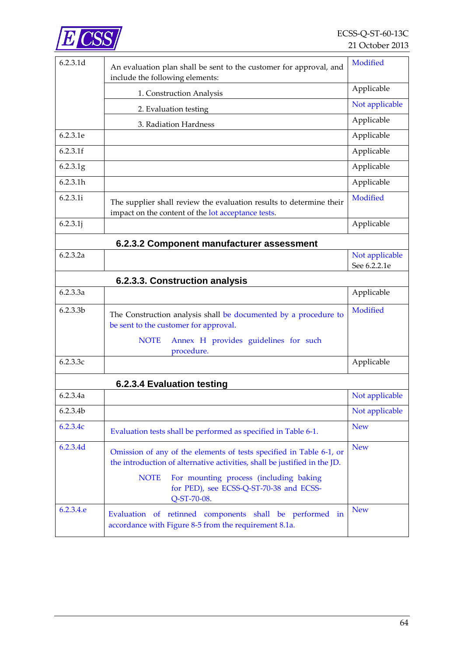

| 6.2.3.1d  | An evaluation plan shall be sent to the customer for approval, and<br>include the following elements:                                            | Modified                       |
|-----------|--------------------------------------------------------------------------------------------------------------------------------------------------|--------------------------------|
|           | 1. Construction Analysis                                                                                                                         | Applicable                     |
|           | 2. Evaluation testing                                                                                                                            | Not applicable                 |
|           | 3. Radiation Hardness                                                                                                                            | Applicable                     |
| 6.2.3.1e  |                                                                                                                                                  | Applicable                     |
| 6.2.3.1f  |                                                                                                                                                  | Applicable                     |
| 6.2.3.1g  |                                                                                                                                                  | Applicable                     |
| 6.2.3.1h  |                                                                                                                                                  | Applicable                     |
| 6.2.3.1i  | The supplier shall review the evaluation results to determine their<br>impact on the content of the lot acceptance tests.                        | Modified                       |
| 6.2.3.1j  |                                                                                                                                                  | Applicable                     |
|           | 6.2.3.2 Component manufacturer assessment                                                                                                        |                                |
| 6.2.3.2a  |                                                                                                                                                  | Not applicable<br>See 6.2.2.1e |
|           | 6.2.3.3. Construction analysis                                                                                                                   |                                |
| 6.2.3.3a  |                                                                                                                                                  | Applicable                     |
| 6.2.3.3b  | The Construction analysis shall be documented by a procedure to<br>be sent to the customer for approval.                                         | Modified                       |
|           | <b>NOTE</b><br>Annex H provides guidelines for such<br>procedure.                                                                                |                                |
| 6.2.3.3c  |                                                                                                                                                  | Applicable                     |
|           | 6.2.3.4 Evaluation testing                                                                                                                       |                                |
| 6.2.3.4a  |                                                                                                                                                  | Not applicable                 |
| 6.2.3.4b  |                                                                                                                                                  | Not applicable                 |
| 6.2.3.4c  | Evaluation tests shall be performed as specified in Table 6-1.                                                                                   | <b>New</b>                     |
| 6.2.3.4d  | Omission of any of the elements of tests specified in Table 6-1, or<br>the introduction of alternative activities, shall be justified in the JD. | <b>New</b>                     |
|           | <b>NOTE</b><br>For mounting process (including baking<br>for PED), see ECSS-Q-ST-70-38 and ECSS-<br>Q-ST-70-08.                                  |                                |
| 6.2.3.4.e | Evaluation of retinned components shall be performed in<br>accordance with Figure 8-5 from the requirement 8.1a.                                 | <b>New</b>                     |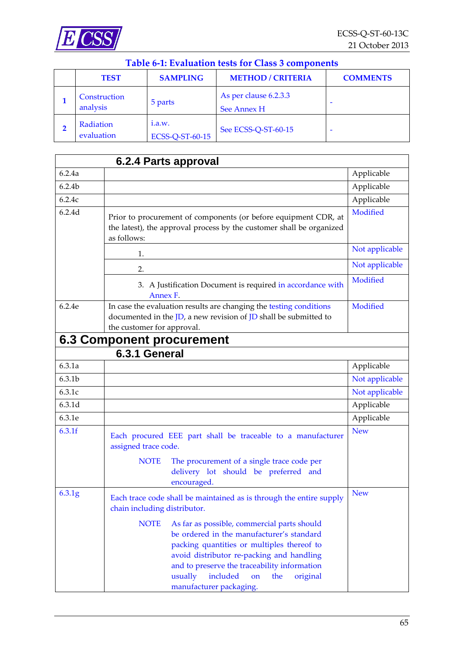

<span id="page-64-0"></span>

| <u>rapie v-1. Evaluation tests for Class 9 components</u> |                           |                                      |                 |  |
|-----------------------------------------------------------|---------------------------|--------------------------------------|-----------------|--|
| <b>TEST</b>                                               | <b>SAMPLING</b>           | <b>METHOD / CRITERIA</b>             | <b>COMMENTS</b> |  |
| Construction<br>analysis                                  | 5 parts                   | As per clause 6.2.3.3<br>See Annex H |                 |  |
| Radiation<br>evaluation                                   | i.a.w.<br>ECSS-Q-ST-60-15 | See ECSS-Q-ST-60-15                  |                 |  |

## **Table 6-1: Evaluation tests for Class 3 components**

|                    | 6.2.4 Parts approval                                                                                                                                                                                                                                                                                                          |                |
|--------------------|-------------------------------------------------------------------------------------------------------------------------------------------------------------------------------------------------------------------------------------------------------------------------------------------------------------------------------|----------------|
| 6.2.4a             |                                                                                                                                                                                                                                                                                                                               | Applicable     |
| 6.2.4 <sub>b</sub> |                                                                                                                                                                                                                                                                                                                               | Applicable     |
| 6.2.4c             |                                                                                                                                                                                                                                                                                                                               | Applicable     |
| 6.2.4d             | Prior to procurement of components (or before equipment CDR, at<br>the latest), the approval process by the customer shall be organized<br>as follows:                                                                                                                                                                        | Modified       |
|                    | 1.                                                                                                                                                                                                                                                                                                                            | Not applicable |
|                    | 2.                                                                                                                                                                                                                                                                                                                            | Not applicable |
|                    | 3. A Justification Document is required in accordance with<br>Annex F.                                                                                                                                                                                                                                                        | Modified       |
| 6.2.4e             | In case the evaluation results are changing the testing conditions<br>documented in the $JD$ , a new revision of $JD$ shall be submitted to<br>the customer for approval.                                                                                                                                                     | Modified       |
|                    | <b>6.3 Component procurement</b>                                                                                                                                                                                                                                                                                              |                |
|                    | 6.3.1 General                                                                                                                                                                                                                                                                                                                 |                |
| 6.3.1a             |                                                                                                                                                                                                                                                                                                                               | Applicable     |
| 6.3.1 <sub>b</sub> |                                                                                                                                                                                                                                                                                                                               | Not applicable |
| 6.3.1c             |                                                                                                                                                                                                                                                                                                                               | Not applicable |
| 6.3.1d             |                                                                                                                                                                                                                                                                                                                               | Applicable     |
| 6.3.1e             |                                                                                                                                                                                                                                                                                                                               | Applicable     |
| 6.3.1f             | Each procured EEE part shall be traceable to a manufacturer<br>assigned trace code.<br>The procurement of a single trace code per<br><b>NOTE</b><br>delivery lot should be preferred and<br>encouraged.                                                                                                                       | <b>New</b>     |
| 6.3.1g             | Each trace code shall be maintained as is through the entire supply<br>chain including distributor.                                                                                                                                                                                                                           | <b>New</b>     |
|                    | <b>NOTE</b><br>As far as possible, commercial parts should<br>be ordered in the manufacturer's standard<br>packing quantities or multiples thereof to<br>avoid distributor re-packing and handling<br>and to preserve the traceability information<br>usually<br>included<br>original<br>on<br>the<br>manufacturer packaging. |                |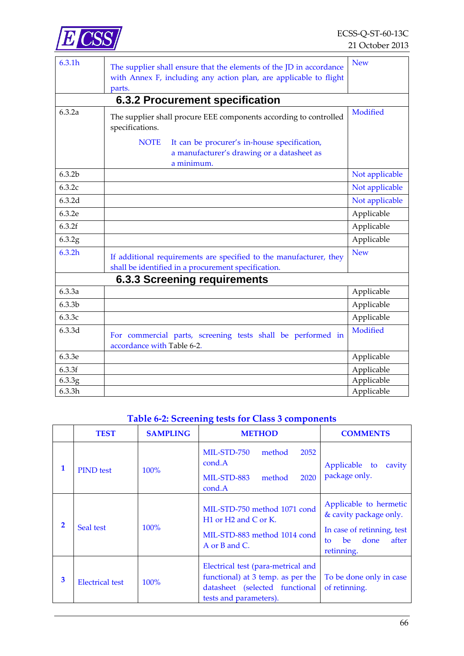

| 6.3.1h             | The supplier shall ensure that the elements of the JD in accordance                       | <b>New</b>     |
|--------------------|-------------------------------------------------------------------------------------------|----------------|
|                    | with Annex F, including any action plan, are applicable to flight                         |                |
|                    | parts.                                                                                    |                |
|                    | <b>6.3.2 Procurement specification</b>                                                    |                |
| 6.3.2a             | The supplier shall procure EEE components according to controlled<br>specifications.      | Modified       |
|                    | <b>NOTE</b><br>It can be procurer's in-house specification,                               |                |
|                    | a manufacturer's drawing or a datasheet as<br>a minimum.                                  |                |
| 6.3.2 <sub>b</sub> |                                                                                           | Not applicable |
| 6.3.2c             |                                                                                           | Not applicable |
| 6.3.2d             |                                                                                           | Not applicable |
| 6.3.2e             |                                                                                           | Applicable     |
| 6.3.2f             |                                                                                           | Applicable     |
| 6.3.2g             |                                                                                           | Applicable     |
| 6.3.2h             | If additional requirements are specified to the manufacturer, they                        | <b>New</b>     |
|                    | shall be identified in a procurement specification.                                       |                |
|                    | <b>6.3.3 Screening requirements</b>                                                       |                |
| 6.3.3a             |                                                                                           | Applicable     |
| 6.3.3 <sub>b</sub> |                                                                                           | Applicable     |
| 6.3.3c             |                                                                                           | Applicable     |
| 6.3.3d             | For commercial parts, screening tests shall be performed in<br>accordance with Table 6-2. | Modified       |
| 6.3.3e             |                                                                                           | Applicable     |
| 6.3.3f             |                                                                                           | Applicable     |
| 6.3.3g             |                                                                                           | Applicable     |
| 6.3.3h             |                                                                                           | Applicable     |

## **Table 6-2: Screening tests for Class 3 components**

<span id="page-65-0"></span>

|                | <b>TEST</b>            | <b>SAMPLING</b> | <b>METHOD</b>                                                                                                                       | <b>COMMENTS</b>                                                                                                            |
|----------------|------------------------|-----------------|-------------------------------------------------------------------------------------------------------------------------------------|----------------------------------------------------------------------------------------------------------------------------|
| 1              | <b>PIND</b> test       | $100\%$         | MIL-STD-750<br>method<br>2052<br>cond.A<br>MIL-STD-883<br>2020<br>method<br>cond.A                                                  | Applicable to<br>cavity<br>package only.                                                                                   |
| $\overline{2}$ | Seal test              | $100\%$         | MIL-STD-750 method 1071 cond<br>$H1$ or $H2$ and C or K.<br>MIL-STD-883 method 1014 cond<br>A or B and C.                           | Applicable to hermetic<br>& cavity package only.<br>In case of retinning, test<br>after<br>be.<br>done<br>to<br>retinning. |
| 3              | <b>Electrical test</b> | 100%            | Electrical test (para-metrical and<br>functional) at 3 temp. as per the<br>datasheet (selected functional<br>tests and parameters). | To be done only in case<br>of retinning.                                                                                   |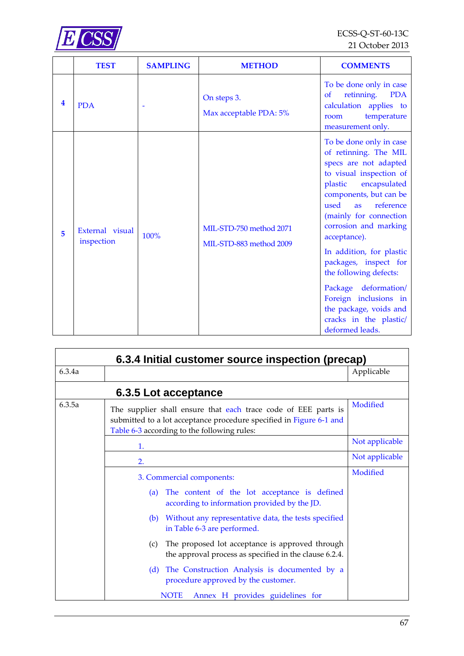

|   | <b>TEST</b>                   | <b>SAMPLING</b> | <b>METHOD</b>                                      | <b>COMMENTS</b>                                                                                                                                                                                                                                                                                                                                                                                                                                                |
|---|-------------------------------|-----------------|----------------------------------------------------|----------------------------------------------------------------------------------------------------------------------------------------------------------------------------------------------------------------------------------------------------------------------------------------------------------------------------------------------------------------------------------------------------------------------------------------------------------------|
| 4 | <b>PDA</b>                    |                 | On steps 3.<br>Max acceptable PDA: 5%              | To be done only in case<br>retinning.<br><b>PDA</b><br>$\sigma$<br>calculation applies to<br>temperature<br>room<br>measurement only.                                                                                                                                                                                                                                                                                                                          |
| 5 | External visual<br>inspection | 100%            | MIL-STD-750 method 2071<br>MIL-STD-883 method 2009 | To be done only in case<br>of retinning. The MIL<br>specs are not adapted<br>to visual inspection of<br>plastic<br>encapsulated<br>components, but can be<br>used<br>reference<br>as<br>(mainly for connection<br>corrosion and marking<br>acceptance).<br>In addition, for plastic<br>packages, inspect for<br>the following defects:<br>Package deformation/<br>Foreign inclusions in<br>the package, voids and<br>cracks in the plastic/<br>deformed leads. |

| 6.3.4 Initial customer source inspection (precap) |                                                                                                                                                                                      |                |  |  |
|---------------------------------------------------|--------------------------------------------------------------------------------------------------------------------------------------------------------------------------------------|----------------|--|--|
| 6.3.4a                                            |                                                                                                                                                                                      | Applicable     |  |  |
|                                                   | 6.3.5 Lot acceptance                                                                                                                                                                 |                |  |  |
| 6.3.5a                                            | The supplier shall ensure that each trace code of EEE parts is<br>submitted to a lot acceptance procedure specified in Figure 6-1 and<br>Table 6-3 according to the following rules: | Modified       |  |  |
|                                                   | 1.                                                                                                                                                                                   | Not applicable |  |  |
|                                                   | 2.                                                                                                                                                                                   | Not applicable |  |  |
|                                                   | 3. Commercial components:                                                                                                                                                            | Modified       |  |  |
|                                                   | The content of the lot acceptance is defined<br>(a)<br>according to information provided by the JD.                                                                                  |                |  |  |
|                                                   | (b) Without any representative data, the tests specified<br>in Table 6-3 are performed.                                                                                              |                |  |  |
|                                                   | The proposed lot acceptance is approved through<br>(c)<br>the approval process as specified in the clause 6.2.4.                                                                     |                |  |  |
|                                                   | (d) The Construction Analysis is documented by a<br>procedure approved by the customer.                                                                                              |                |  |  |
|                                                   | <b>NOTE</b><br>Annex H provides guidelines for                                                                                                                                       |                |  |  |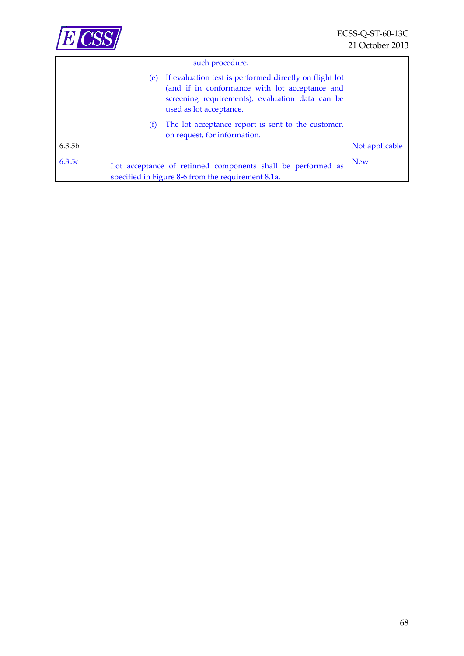

|                    | such procedure.                                                                                                                                                                               |                |
|--------------------|-----------------------------------------------------------------------------------------------------------------------------------------------------------------------------------------------|----------------|
|                    | If evaluation test is performed directly on flight lot<br>(e)<br>(and if in conformance with lot acceptance and<br>screening requirements), evaluation data can be<br>used as lot acceptance. |                |
|                    | The lot acceptance report is sent to the customer,<br>(f)<br>on request, for information.                                                                                                     |                |
| 6.3.5 <sub>b</sub> |                                                                                                                                                                                               | Not applicable |
| 6.3.5c             | Lot acceptance of retinned components shall be performed as<br>specified in Figure 8-6 from the requirement 8.1a.                                                                             | <b>New</b>     |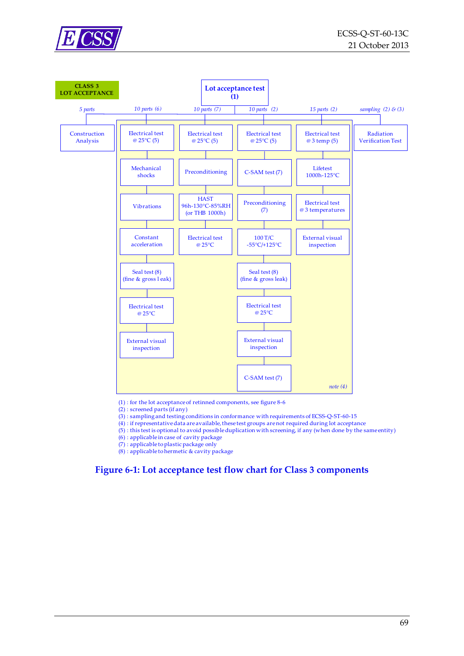



(1) : for the lot acceptance of retinned components, see figure 8-6

- (3) : sampling and testing conditions in conformance with requirements of ECSS-Q-ST-60-15
- (4) : if representative data are available, these test groups are not required during lot acceptance
- (5) : this test is optional to avoid possible duplication with screening, if any (when done by the same entity)

(6) : applicable in case of cavity package

- (7) : applicable to plastic package only
- (8) : applicable to hermetic & cavity package

#### <span id="page-68-0"></span>**Figure 6-1: Lot acceptance test flow chart for Class 3 components**

 $(2)$ : screened parts (if any)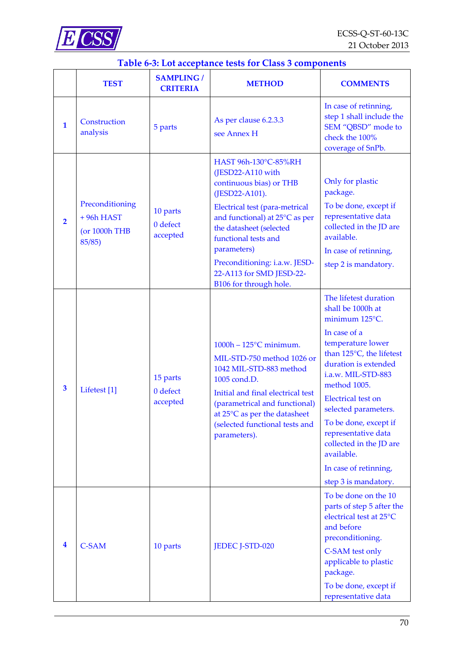

<span id="page-69-0"></span>

|                | <b>TEST</b>                                               | <b>SAMPLING /</b><br><b>CRITERIA</b> | <b>METHOD</b>                                                                                                                                                                                                                                                                                                       | <b>COMMENTS</b>                                                                                                                                                                                                                                                                                                                                                                            |
|----------------|-----------------------------------------------------------|--------------------------------------|---------------------------------------------------------------------------------------------------------------------------------------------------------------------------------------------------------------------------------------------------------------------------------------------------------------------|--------------------------------------------------------------------------------------------------------------------------------------------------------------------------------------------------------------------------------------------------------------------------------------------------------------------------------------------------------------------------------------------|
| $\mathbf{1}$   | Construction<br>analysis                                  | 5 parts                              | As per clause 6.2.3.3<br>see Annex H                                                                                                                                                                                                                                                                                | In case of retinning,<br>step 1 shall include the<br>SEM "QBSD" mode to<br>check the 100%<br>coverage of SnPb.                                                                                                                                                                                                                                                                             |
| $\overline{2}$ | Preconditioning<br>$+96h$ HAST<br>(or 1000h THB<br>85/85) | 10 parts<br>0 defect<br>accepted     | HAST 96h-130°C-85%RH<br>(JESD22-A110 with<br>continuous bias) or THB<br>(JESD22-A101).<br>Electrical test (para-metrical<br>and functional) at 25°C as per<br>the datasheet (selected<br>functional tests and<br>parameters)<br>Preconditioning: i.a.w. JESD-<br>22-A113 for SMD JESD-22-<br>B106 for through hole. | Only for plastic<br>package.<br>To be done, except if<br>representative data<br>collected in the JD are<br>available.<br>In case of retinning,<br>step 2 is mandatory.                                                                                                                                                                                                                     |
| 3              | Lifetest <sup>[1]</sup>                                   | 15 parts<br>0 defect<br>accepted     | $1000h - 125^{\circ}$ C minimum.<br>MIL-STD-750 method 1026 or<br>1042 MIL-STD-883 method<br>1005 cond.D.<br>Initial and final electrical test<br>(parametrical and functional)<br>at 25°C as per the datasheet<br>(selected functional tests and<br>parameters).                                                   | The lifetest duration<br>shall be 1000h at<br>minimum 125°C.<br>In case of a<br>temperature lower<br>than 125°C, the lifetest<br>duration is extended<br>i.a.w. MIL-STD-883<br>method 1005.<br><b>Electrical test on</b><br>selected parameters.<br>To be done, except if<br>representative data<br>collected in the JD are<br>available.<br>In case of retinning,<br>step 3 is mandatory. |
| 4              | <b>C-SAM</b>                                              | 10 parts                             | JEDEC J-STD-020                                                                                                                                                                                                                                                                                                     | To be done on the 10<br>parts of step 5 after the<br>electrical test at 25°C<br>and before<br>preconditioning.<br>C-SAM test only<br>applicable to plastic<br>package.<br>To be done, except if<br>representative data                                                                                                                                                                     |

## **Table 6-3: Lot acceptance tests for Class 3 components**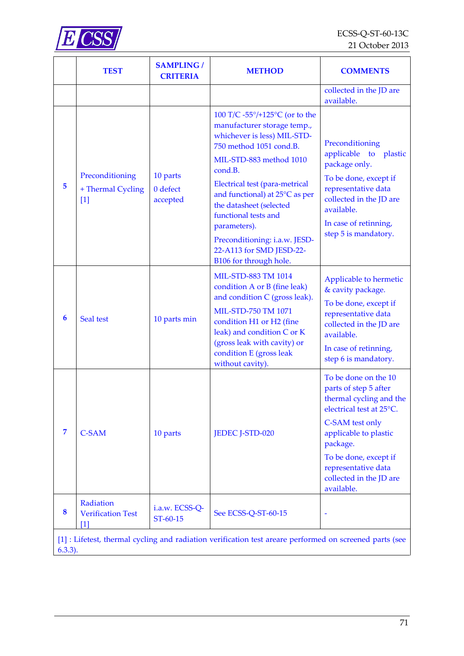

|                                                                                                                       | <b>TEST</b>                                   | <b>SAMPLING /</b><br><b>CRITERIA</b> | <b>METHOD</b>                                                                                                                                                                                                                                                                                                                                                                               | <b>COMMENTS</b>                                                                                                                                                                                                                                       |  |  |
|-----------------------------------------------------------------------------------------------------------------------|-----------------------------------------------|--------------------------------------|---------------------------------------------------------------------------------------------------------------------------------------------------------------------------------------------------------------------------------------------------------------------------------------------------------------------------------------------------------------------------------------------|-------------------------------------------------------------------------------------------------------------------------------------------------------------------------------------------------------------------------------------------------------|--|--|
|                                                                                                                       |                                               |                                      |                                                                                                                                                                                                                                                                                                                                                                                             | collected in the JD are<br>available.                                                                                                                                                                                                                 |  |  |
| 5                                                                                                                     | Preconditioning<br>+ Thermal Cycling<br>$[1]$ | 10 parts<br>0 defect<br>accepted     | 100 T/C -55°/+125°C (or to the<br>manufacturer storage temp.,<br>whichever is less) MIL-STD-<br>750 method 1051 cond.B.<br>MIL-STD-883 method 1010<br>cond.B.<br>Electrical test (para-metrical<br>and functional) at 25°C as per<br>the datasheet (selected<br>functional tests and<br>parameters).<br>Preconditioning: i.a.w. JESD-<br>22-A113 for SMD JESD-22-<br>B106 for through hole. | Preconditioning<br>applicable<br>to<br>plastic<br>package only.<br>To be done, except if<br>representative data<br>collected in the JD are<br>available.<br>In case of retinning,<br>step 5 is mandatory.                                             |  |  |
| 6                                                                                                                     | Seal test                                     | 10 parts min                         | MIL-STD-883 TM 1014<br>condition A or B (fine leak)<br>and condition C (gross leak).<br>MIL-STD-750 TM 1071<br>condition H1 or H2 (fine<br>leak) and condition C or K<br>(gross leak with cavity) or<br>condition E (gross leak<br>without cavity).                                                                                                                                         | Applicable to hermetic<br>& cavity package.<br>To be done, except if<br>representative data<br>collected in the JD are<br>available.<br>In case of retinning,<br>step 6 is mandatory.                                                                 |  |  |
| $\overline{7}$                                                                                                        | <b>C-SAM</b>                                  | 10 parts                             | JEDEC J-STD-020                                                                                                                                                                                                                                                                                                                                                                             | To be done on the 10<br>parts of step 5 after<br>thermal cycling and the<br>electrical test at 25°C.<br>C-SAM test only<br>applicable to plastic<br>package.<br>To be done, except if<br>representative data<br>collected in the JD are<br>available. |  |  |
| 8                                                                                                                     | Radiation<br><b>Verification Test</b><br>[1]  | i.a.w. ECSS-Q-<br>ST-60-15           | See ECSS-Q-ST-60-15                                                                                                                                                                                                                                                                                                                                                                         |                                                                                                                                                                                                                                                       |  |  |
| [1] : Lifetest, thermal cycling and radiation verification test areare performed on screened parts (see<br>$6.3.3$ ). |                                               |                                      |                                                                                                                                                                                                                                                                                                                                                                                             |                                                                                                                                                                                                                                                       |  |  |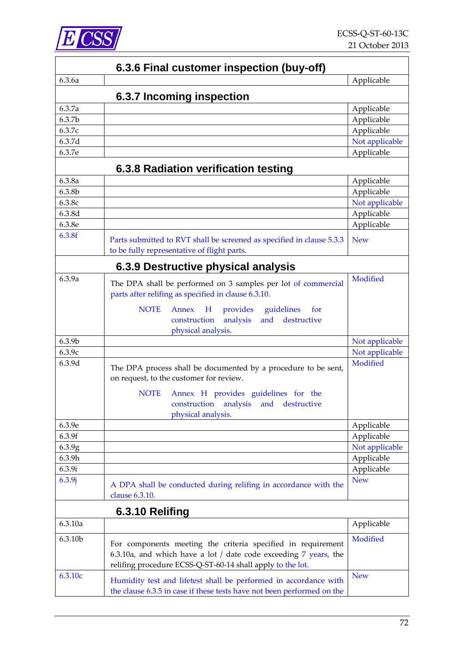

|                    | 6.3.6 Final customer inspection (buy-off)                                                                                                                                                        |                |
|--------------------|--------------------------------------------------------------------------------------------------------------------------------------------------------------------------------------------------|----------------|
| 6.3.6a             |                                                                                                                                                                                                  | Applicable     |
|                    | 6.3.7 Incoming inspection                                                                                                                                                                        |                |
| 6.3.7a             |                                                                                                                                                                                                  | Applicable     |
| 6.3.7 <sub>b</sub> |                                                                                                                                                                                                  | Applicable     |
| 6.3.7c             |                                                                                                                                                                                                  | Applicable     |
| 6.3.7d             |                                                                                                                                                                                                  | Not applicable |
| 6.3.7e             |                                                                                                                                                                                                  | Applicable     |
|                    | 6.3.8 Radiation verification testing                                                                                                                                                             |                |
| 6.3.8a             |                                                                                                                                                                                                  | Applicable     |
| 6.3.8b             |                                                                                                                                                                                                  | Applicable     |
| 6.3.8c             |                                                                                                                                                                                                  | Not applicable |
| 6.3.8d             |                                                                                                                                                                                                  | Applicable     |
| 6.3.8e             |                                                                                                                                                                                                  | Applicable     |
| 6.3.8f             | Parts submitted to RVT shall be screened as specified in clause 5.3.3<br>to be fully representative of flight parts.                                                                             | <b>New</b>     |
|                    | 6.3.9 Destructive physical analysis                                                                                                                                                              |                |
| 6.3.9a             | The DPA shall be performed on 3 samples per lot of commercial<br>parts after relifing as specified in clause 6.3.10.                                                                             | Modified       |
|                    | <b>NOTE</b><br>H<br>provides<br>guidelines<br>Annex<br>for<br>and<br>destructive<br>construction<br>analysis<br>physical analysis.                                                               |                |
| 6.3.9b             |                                                                                                                                                                                                  | Not applicable |
| 6.3.9c             |                                                                                                                                                                                                  | Not applicable |
| 6.3.9d             | The DPA process shall be documented by a procedure to be sent,<br>on request, to the customer for review.                                                                                        | Modified       |
|                    | Annex H provides guidelines for the<br><b>NOTE</b><br>analysis<br>construction<br>and<br>destructive<br>physical analysis.                                                                       |                |
| 6.3.9e             |                                                                                                                                                                                                  | Applicable     |
| 6.3.9f             |                                                                                                                                                                                                  | Applicable     |
| 6.3.9g             |                                                                                                                                                                                                  | Not applicable |
| 6.3.9h             |                                                                                                                                                                                                  | Applicable     |
| 6.3.9i             |                                                                                                                                                                                                  | Applicable     |
| 6.3.9j             | A DPA shall be conducted during relifing in accordance with the<br>clause 6.3.10.                                                                                                                | <b>New</b>     |
|                    | 6.3.10 Relifing                                                                                                                                                                                  |                |
| 6.3.10a            |                                                                                                                                                                                                  | Applicable     |
| 6.3.10b            | For components meeting the criteria specified in requirement<br>6.3.10a, and which have a lot / date code exceeding $7$ years, the<br>relifing procedure ECSS-Q-ST-60-14 shall apply to the lot. | Modified       |
| 6.3.10c            | Humidity test and lifetest shall be performed in accordance with<br>the clause 6.3.5 in case if these tests have not been performed on the                                                       | <b>New</b>     |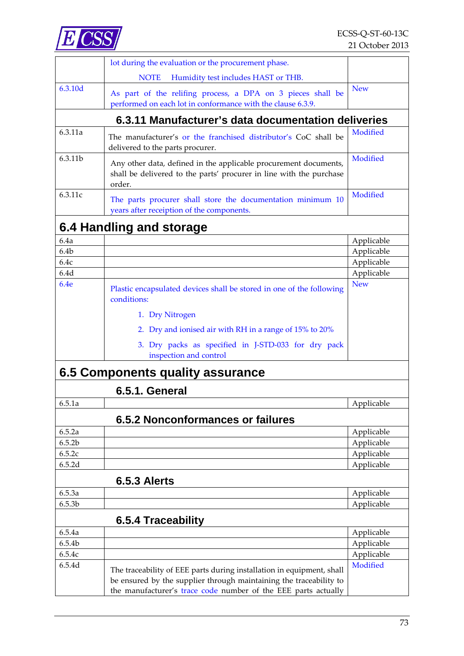

|                    | lot during the evaluation or the procurement phase.                                                                                               |            |
|--------------------|---------------------------------------------------------------------------------------------------------------------------------------------------|------------|
|                    | <b>NOTE</b><br>Humidity test includes HAST or THB.                                                                                                |            |
| 6.3.10d            | As part of the relifing process, a DPA on 3 pieces shall be<br>performed on each lot in conformance with the clause 6.3.9.                        | <b>New</b> |
|                    | 6.3.11 Manufacturer's data documentation deliveries                                                                                               |            |
| 6.3.11a            | The manufacturer's or the franchised distributor's CoC shall be<br>delivered to the parts procurer.                                               | Modified   |
| 6.3.11b            | Any other data, defined in the applicable procurement documents,<br>shall be delivered to the parts' procurer in line with the purchase<br>order. | Modified   |
| 6.3.11c            | The parts procurer shall store the documentation minimum 10<br>years after receiption of the components.                                          | Modified   |
|                    | 6.4 Handling and storage                                                                                                                          |            |
| 6.4a               |                                                                                                                                                   | Applicable |
| 6.4 <sub>b</sub>   |                                                                                                                                                   | Applicable |
| 6.4c               |                                                                                                                                                   | Applicable |
| 6.4d               |                                                                                                                                                   | Applicable |
| 6.4e               | Plastic encapsulated devices shall be stored in one of the following<br>conditions:                                                               | <b>New</b> |
|                    | 1. Dry Nitrogen                                                                                                                                   |            |
|                    | 2. Dry and ionised air with RH in a range of 15% to 20%                                                                                           |            |
|                    | 3. Dry packs as specified in J-STD-033 for dry pack<br>inspection and control                                                                     |            |
|                    | 6.5 Components quality assurance                                                                                                                  |            |
|                    | 6.5.1. General                                                                                                                                    |            |
| 6.5.1a             |                                                                                                                                                   | Applicable |
|                    | 6.5.2 Nonconformances or failures                                                                                                                 |            |
| 6.5.2a             |                                                                                                                                                   | Applicable |
| 6.5.2 <sub>b</sub> |                                                                                                                                                   | Applicable |
| 6.5.2c             |                                                                                                                                                   | Applicable |
| 6.5.2d             |                                                                                                                                                   | Applicable |
|                    | <b>6.5.3 Alerts</b>                                                                                                                               |            |
| 6.5.3a             |                                                                                                                                                   | Applicable |
| 6.5.3 <sub>b</sub> |                                                                                                                                                   | Applicable |
|                    | 6.5.4 Traceability                                                                                                                                |            |
| 6.5.4a             |                                                                                                                                                   | Applicable |
| 6.5.4b             |                                                                                                                                                   | Applicable |
| 6.5.4c             |                                                                                                                                                   | Applicable |
| 6.5.4d             | The traceability of EEE parts during installation in equipment, shall                                                                             | Modified   |
|                    | be ensured by the supplier through maintaining the traceability to<br>the manufacturer's trace code number of the EEE parts actually              |            |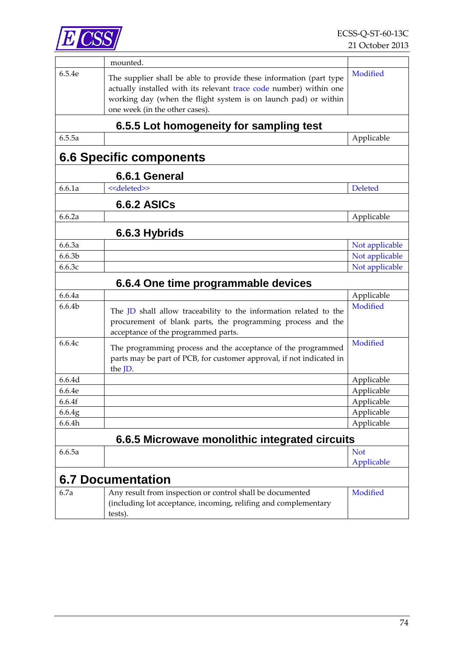

|                    | mounted.                                                                                                                                                                                                    |                          |
|--------------------|-------------------------------------------------------------------------------------------------------------------------------------------------------------------------------------------------------------|--------------------------|
| 6.5.4e             | The supplier shall be able to provide these information (part type<br>actually installed with its relevant trace code number) within one<br>working day (when the flight system is on launch pad) or within | Modified                 |
|                    | one week (in the other cases).                                                                                                                                                                              |                          |
| 6.5.5a             | 6.5.5 Lot homogeneity for sampling test                                                                                                                                                                     | Applicable               |
|                    |                                                                                                                                                                                                             |                          |
|                    | <b>6.6 Specific components</b>                                                                                                                                                                              |                          |
|                    | 6.6.1 General                                                                                                                                                                                               |                          |
| 6.6.1a             | < <deleted>&gt;</deleted>                                                                                                                                                                                   | <b>Deleted</b>           |
|                    | <b>6.6.2 ASICs</b>                                                                                                                                                                                          |                          |
| 6.6.2a             |                                                                                                                                                                                                             | Applicable               |
|                    | 6.6.3 Hybrids                                                                                                                                                                                               |                          |
| 6.6.3a             |                                                                                                                                                                                                             | Not applicable           |
| 6.6.3 <sub>b</sub> |                                                                                                                                                                                                             | Not applicable           |
| 6.6.3c             |                                                                                                                                                                                                             | Not applicable           |
|                    | 6.6.4 One time programmable devices                                                                                                                                                                         |                          |
| 6.6.4a             |                                                                                                                                                                                                             | Applicable               |
| 6.6.4b             | The JD shall allow traceability to the information related to the<br>procurement of blank parts, the programming process and the<br>acceptance of the programmed parts.                                     | Modified                 |
| 6.6.4c             | The programming process and the acceptance of the programmed<br>parts may be part of PCB, for customer approval, if not indicated in<br>the JD.                                                             | Modified                 |
| 6.6.4d             |                                                                                                                                                                                                             | Applicable               |
| 6.6.4e             |                                                                                                                                                                                                             | Applicable               |
| 6.6.4f             |                                                                                                                                                                                                             | Applicable               |
| 6.6.4g             |                                                                                                                                                                                                             | Applicable               |
| 6.6.4h             |                                                                                                                                                                                                             | Applicable               |
|                    | 6.6.5 Microwave monolithic integrated circuits                                                                                                                                                              |                          |
| 6.6.5a             |                                                                                                                                                                                                             | <b>Not</b><br>Applicable |
|                    | <b>6.7 Documentation</b>                                                                                                                                                                                    |                          |
| 6.7a               | Any result from inspection or control shall be documented<br>(including lot acceptance, incoming, relifing and complementary<br>tests).                                                                     | Modified                 |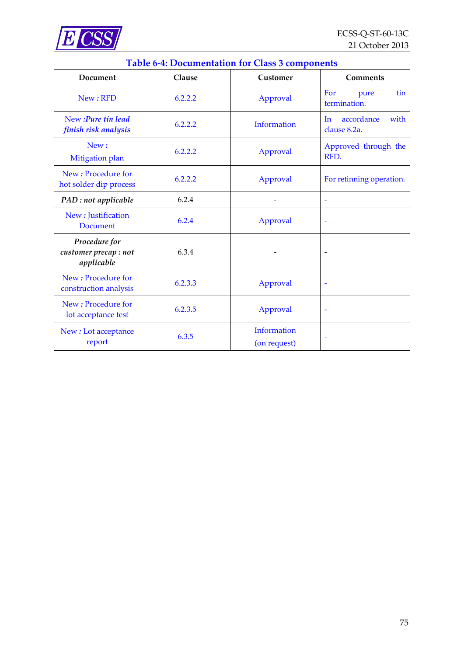

| Document                                             | Clause  | Customer                    | <b>Comments</b>                                      |
|------------------------------------------------------|---------|-----------------------------|------------------------------------------------------|
| New: RFD                                             | 6.2.2.2 | Approval                    | For<br>tin<br>pure<br>termination.                   |
| New:Pure tin lead<br>finish risk analysis            | 6.2.2.2 | Information                 | accordance<br>with<br>I <sub>n</sub><br>clause 8.2a. |
| New:<br>Mitigation plan                              | 6.2.2.2 | Approval                    | Approved through the<br>RFD.                         |
| New: Procedure for<br>hot solder dip process         | 6.2.2.2 | Approval                    | For retinning operation.                             |
| PAD : not applicable                                 | 6.2.4   |                             | $\overline{a}$                                       |
| New: Justification<br><b>Document</b>                | 6.2.4   | Approval                    | ۰                                                    |
| Procedure for<br>customer precap : not<br>applicable | 6.3.4   |                             | $\overline{\phantom{m}}$                             |
| New: Procedure for<br>construction analysis          | 6.2.3.3 | Approval                    | ۳                                                    |
| New: Procedure for<br>lot acceptance test            | 6.2.3.5 | Approval                    | ÷                                                    |
| New: Lot acceptance<br>report                        | 6.3.5   | Information<br>(on request) |                                                      |

#### **Table 6-4: Documentation for Class 3 components**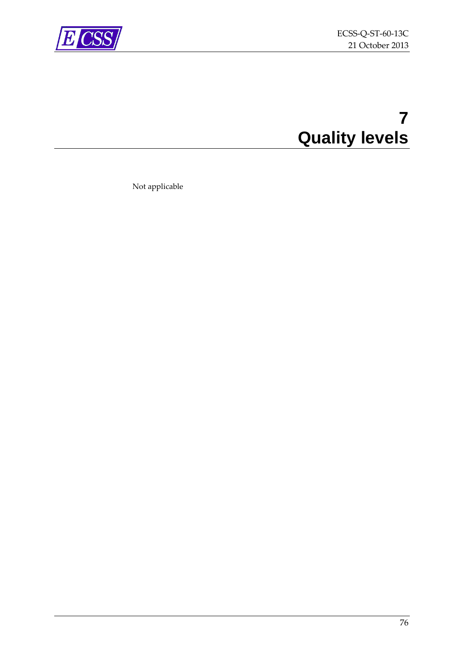

# **7 Quality levels**

Not applicable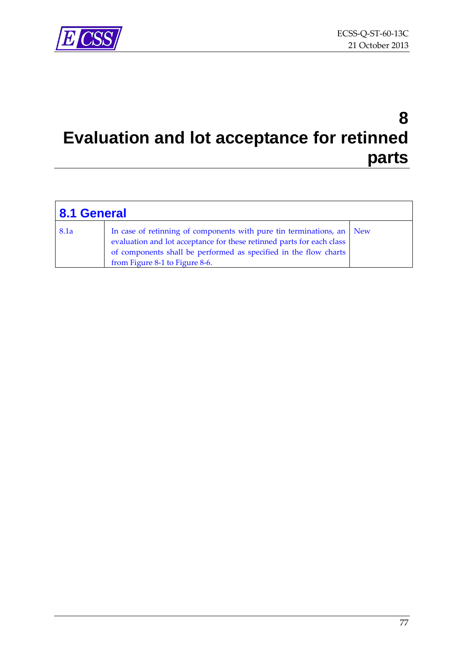

### **8 Evaluation and lot acceptance for retinned parts**

| 8.1 General |                                                                                                                                                                                                                                                        |  |  |
|-------------|--------------------------------------------------------------------------------------------------------------------------------------------------------------------------------------------------------------------------------------------------------|--|--|
| 8.1a        | In case of retinning of components with pure tin terminations, an   New<br>evaluation and lot acceptance for these retinned parts for each class<br>of components shall be performed as specified in the flow charts<br>from Figure 8-1 to Figure 8-6. |  |  |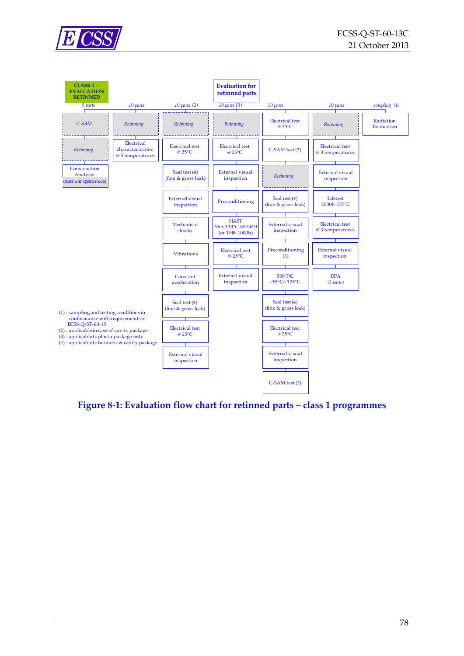



<span id="page-77-0"></span>**Figure 8-1: Evaluation flow chart for retinned parts – class 1 programmes**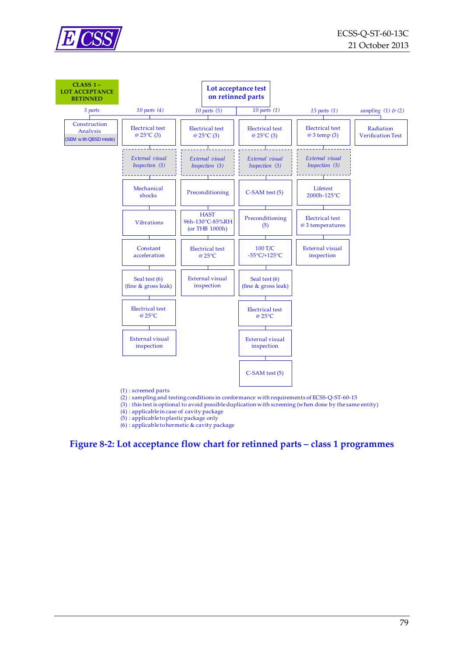



(2) : sampling and testing conditions in conformance with requirements of ECSS-Q-ST-60-15

(3) : this test is optional to avoid possible duplication with screening (when done by the same entity)

(4) : applicable in case of cavity package

(5) : applicable to plastic package only

(6) : applicable to hermetic & cavity package

**Figure 8-2: Lot acceptance flow chart for retinned parts – class 1 programmes**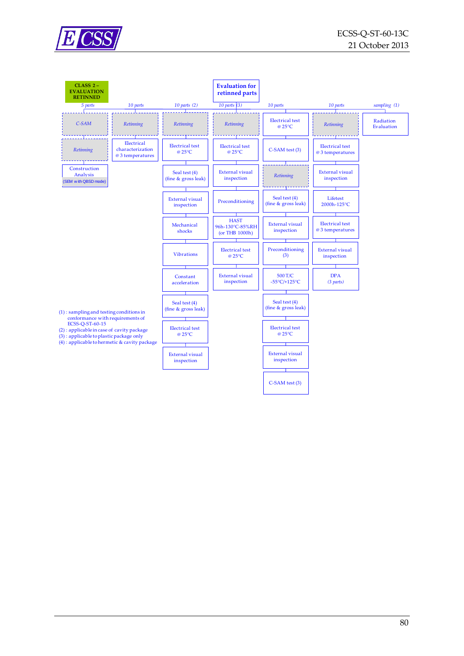

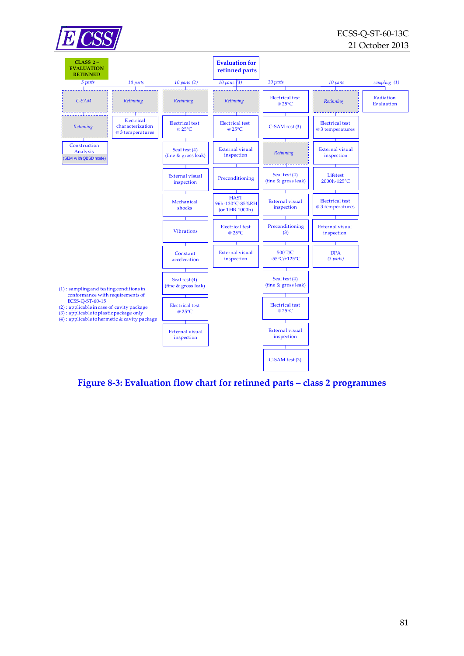



**Figure 8-3: Evaluation flow chart for retinned parts – class 2 programmes**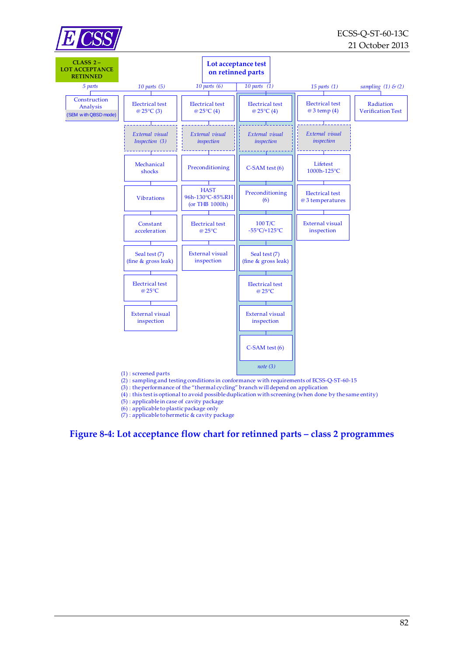

 $(2)$ : sampling and testing conditions in conformance with requirements of ECSS-Q-ST-60-15

(3) : the performance of the "thermal cycling" branch will depend on application

- (4) : this test is optional to avoid possible duplication with screening (when done by the same entity)
- (5) : applicable in case of cavity package
- (6) : applicable to plastic package only
- $(7)$ : applicable to hermetic & cavity package

**Figure 8-4: Lot acceptance flow chart for retinned parts – class 2 programmes**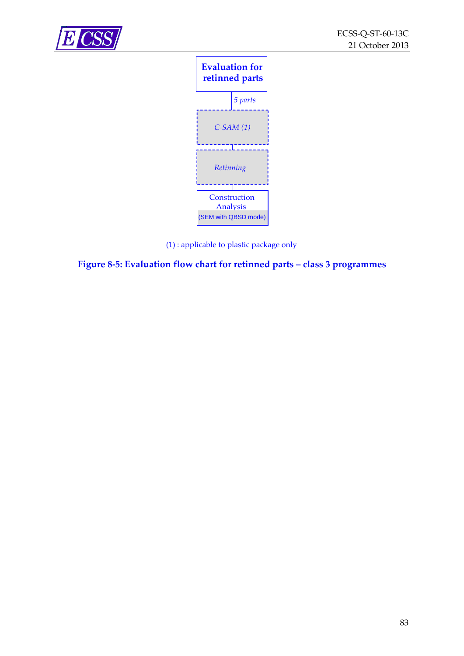



(1) : applicable to plastic package only

#### **Figure 8-5: Evaluation flow chart for retinned parts – class 3 programmes**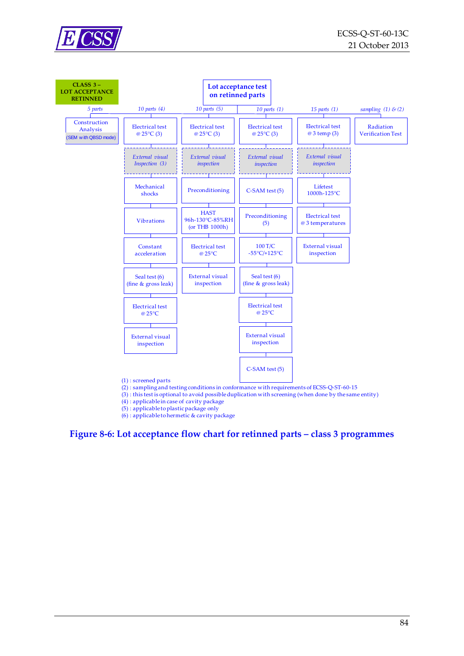



(3) : this test is optional to avoid possible duplication with screening (when done by the same entity)

(4) : applicable in case of cavity package

(5) : applicable to plastic package only

 $(6)$ : applicable to hermetic & cavity package

<span id="page-83-0"></span>**Figure 8-6: Lot acceptance flow chart for retinned parts – class 3 programmes**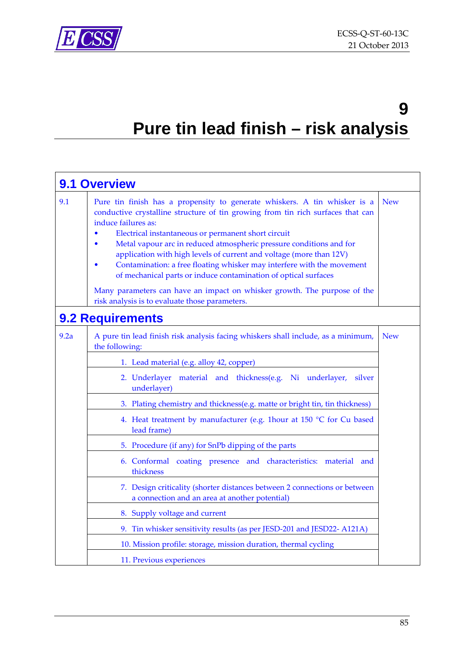

#### **9 Pure tin lead finish – risk analysis**

|      | <b>9.1 Overview</b>                                                                                                                                                                                                                                                                                                                                                                                                                                                                                                                                                                                                                                                                                                                                                                                                                                                                        |            |
|------|--------------------------------------------------------------------------------------------------------------------------------------------------------------------------------------------------------------------------------------------------------------------------------------------------------------------------------------------------------------------------------------------------------------------------------------------------------------------------------------------------------------------------------------------------------------------------------------------------------------------------------------------------------------------------------------------------------------------------------------------------------------------------------------------------------------------------------------------------------------------------------------------|------------|
| 9.1  | Pure tin finish has a propensity to generate whiskers. A tin whisker is a<br>conductive crystalline structure of tin growing from tin rich surfaces that can<br>induce failures as:<br>Electrical instantaneous or permanent short circuit<br>Metal vapour arc in reduced atmospheric pressure conditions and for<br>application with high levels of current and voltage (more than 12V)<br>Contamination: a free floating whisker may interfere with the movement<br>$\bullet$<br>of mechanical parts or induce contamination of optical surfaces<br>Many parameters can have an impact on whisker growth. The purpose of the<br>risk analysis is to evaluate those parameters.                                                                                                                                                                                                           | <b>New</b> |
|      | <b>9.2 Requirements</b>                                                                                                                                                                                                                                                                                                                                                                                                                                                                                                                                                                                                                                                                                                                                                                                                                                                                    |            |
| 9.2a | A pure tin lead finish risk analysis facing whiskers shall include, as a minimum,<br>the following:<br>1. Lead material (e.g. alloy 42, copper)<br>2. Underlayer material and thickness(e.g. Ni underlayer,<br>silver<br>underlayer)<br>3. Plating chemistry and thickness(e.g. matte or bright tin, tin thickness)<br>4. Heat treatment by manufacturer (e.g. 1hour at 150 °C for Cu based<br>lead frame)<br>5. Procedure (if any) for SnPb dipping of the parts<br>6. Conformal coating presence and characteristics: material and<br>thickness<br>7. Design criticality (shorter distances between 2 connections or between<br>a connection and an area at another potential)<br>8. Supply voltage and current<br>9. Tin whisker sensitivity results (as per JESD-201 and JESD22- A121A)<br>10. Mission profile: storage, mission duration, thermal cycling<br>11. Previous experiences | <b>New</b> |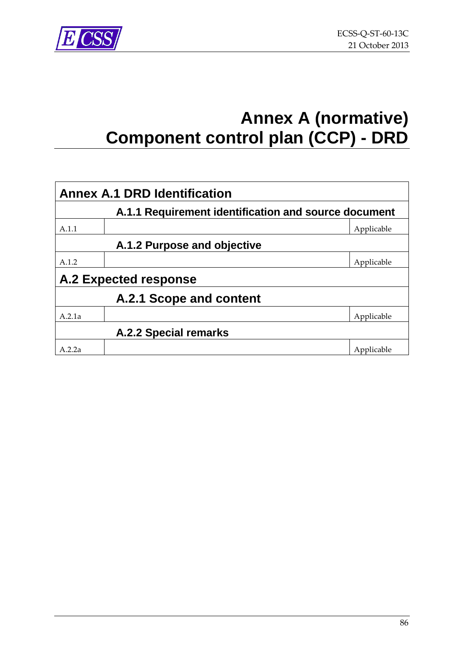

## **Annex A (normative) Component control plan (CCP) - DRD**

| <b>Annex A.1 DRD Identification</b>                  |                             |            |  |
|------------------------------------------------------|-----------------------------|------------|--|
| A.1.1 Requirement identification and source document |                             |            |  |
| A.1.1                                                |                             | Applicable |  |
|                                                      | A.1.2 Purpose and objective |            |  |
| A.1.2                                                |                             | Applicable |  |
| <b>A.2 Expected response</b>                         |                             |            |  |
|                                                      | A.2.1 Scope and content     |            |  |
| A.2.1a                                               |                             | Applicable |  |
| <b>A.2.2 Special remarks</b>                         |                             |            |  |
| A.2.2a                                               |                             | Applicable |  |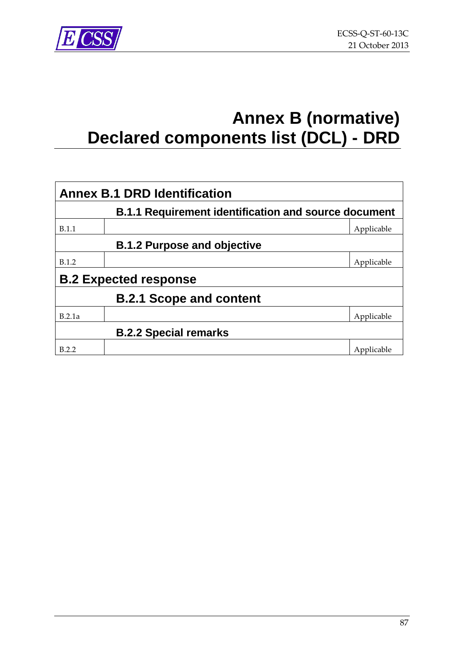

## **Annex B (normative) Declared components list (DCL) - DRD**

| <b>Annex B.1 DRD Identification</b>                         |                                    |            |  |
|-------------------------------------------------------------|------------------------------------|------------|--|
| <b>B.1.1 Requirement identification and source document</b> |                                    |            |  |
| <b>B.1.1</b>                                                |                                    | Applicable |  |
|                                                             | <b>B.1.2 Purpose and objective</b> |            |  |
| B.1.2                                                       |                                    | Applicable |  |
| <b>B.2 Expected response</b>                                |                                    |            |  |
|                                                             | <b>B.2.1 Scope and content</b>     |            |  |
| B.2.1a                                                      |                                    | Applicable |  |
| <b>B.2.2 Special remarks</b>                                |                                    |            |  |
| B.2.2                                                       |                                    | Applicable |  |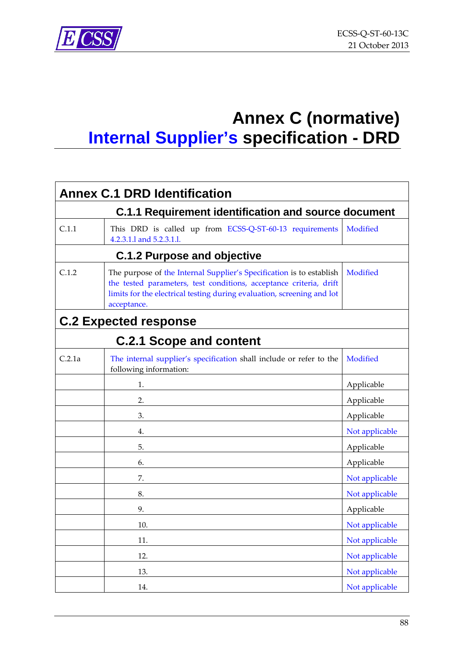

## **Annex C (normative) Internal Supplier's specification - DRD**

| <b>Annex C.1 DRD Identification</b>                         |                                                                                                                                                                                                                                     |                |  |
|-------------------------------------------------------------|-------------------------------------------------------------------------------------------------------------------------------------------------------------------------------------------------------------------------------------|----------------|--|
| <b>C.1.1 Requirement identification and source document</b> |                                                                                                                                                                                                                                     |                |  |
| C.1.1                                                       | This DRD is called up from ECSS-Q-ST-60-13 requirements<br>4.2.3.1.1 and 5.2.3.1.1.                                                                                                                                                 | Modified       |  |
|                                                             | C.1.2 Purpose and objective                                                                                                                                                                                                         |                |  |
| C.1.2                                                       | The purpose of the Internal Supplier's Specification is to establish<br>the tested parameters, test conditions, acceptance criteria, drift<br>limits for the electrical testing during evaluation, screening and lot<br>acceptance. | Modified       |  |
|                                                             | <b>C.2 Expected response</b>                                                                                                                                                                                                        |                |  |
|                                                             | <b>C.2.1 Scope and content</b>                                                                                                                                                                                                      |                |  |
| C.2.1a                                                      | The internal supplier's specification shall include or refer to the<br>following information:                                                                                                                                       | Modified       |  |
|                                                             | $\mathbf{1}$ .                                                                                                                                                                                                                      | Applicable     |  |
|                                                             | 2.                                                                                                                                                                                                                                  | Applicable     |  |
|                                                             | 3.                                                                                                                                                                                                                                  | Applicable     |  |
|                                                             | 4.                                                                                                                                                                                                                                  | Not applicable |  |
|                                                             | 5.                                                                                                                                                                                                                                  | Applicable     |  |
|                                                             | 6.                                                                                                                                                                                                                                  | Applicable     |  |
|                                                             | 7.                                                                                                                                                                                                                                  | Not applicable |  |
|                                                             | 8.                                                                                                                                                                                                                                  | Not applicable |  |
|                                                             | 9.                                                                                                                                                                                                                                  | Applicable     |  |
|                                                             | 10.                                                                                                                                                                                                                                 | Not applicable |  |
|                                                             | 11.                                                                                                                                                                                                                                 | Not applicable |  |
|                                                             | 12.                                                                                                                                                                                                                                 | Not applicable |  |
|                                                             | 13.                                                                                                                                                                                                                                 | Not applicable |  |
|                                                             | 14.                                                                                                                                                                                                                                 | Not applicable |  |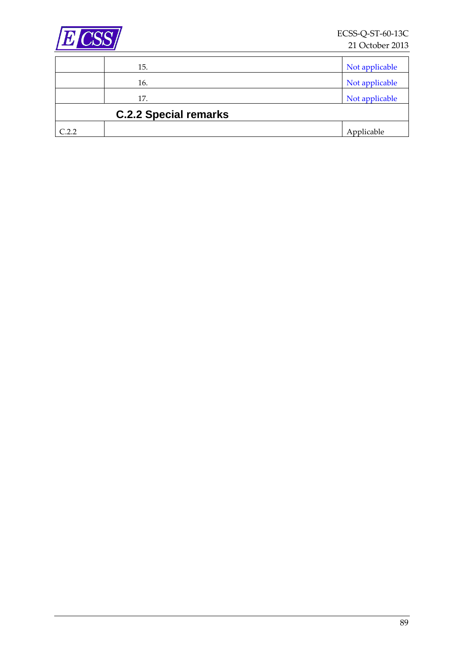

|       | 15.                          | Not applicable |
|-------|------------------------------|----------------|
|       | 16.                          | Not applicable |
|       | 17.                          | Not applicable |
|       | <b>C.2.2 Special remarks</b> |                |
| C.2.2 |                              | Applicable     |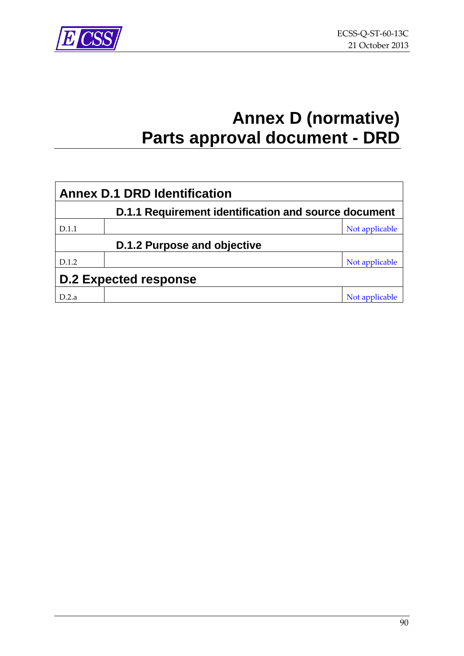

## **Annex D (normative) Parts approval document - DRD**

| <b>Annex D.1 DRD Identification</b>                  |  |                |  |
|------------------------------------------------------|--|----------------|--|
| D.1.1 Requirement identification and source document |  |                |  |
| D.1.1                                                |  | Not applicable |  |
| D.1.2 Purpose and objective                          |  |                |  |
| D.1.2                                                |  | Not applicable |  |
| <b>D.2 Expected response</b>                         |  |                |  |
| D.2.a                                                |  | Not applicable |  |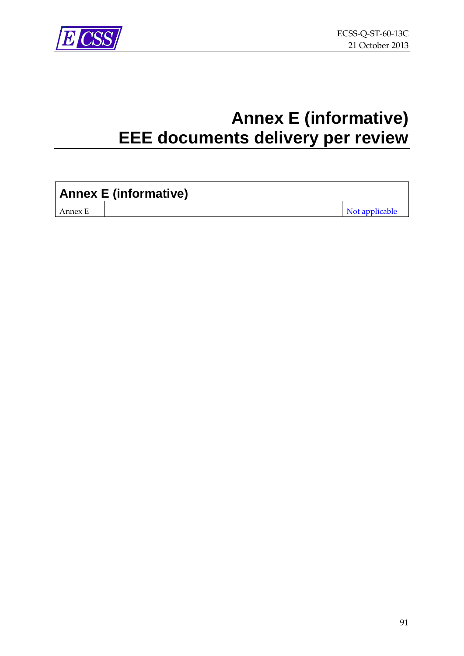

## **Annex E (informative) EEE documents delivery per review**

| <b>Annex E (informative)</b> |  |                |
|------------------------------|--|----------------|
| Annex E                      |  | Not applicable |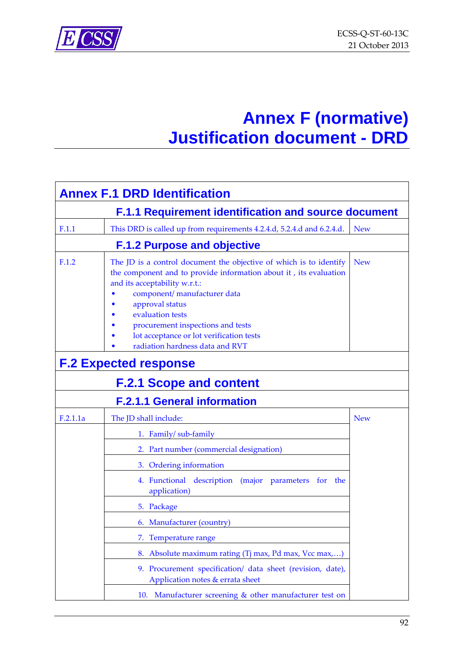## **Annex F (normative) Justification document - DRD**

| <b>Annex F.1 DRD Identification</b> |                                                                                                                                                                                                                                                                                                                                                                     |            |
|-------------------------------------|---------------------------------------------------------------------------------------------------------------------------------------------------------------------------------------------------------------------------------------------------------------------------------------------------------------------------------------------------------------------|------------|
|                                     | <b>F.1.1 Requirement identification and source document</b>                                                                                                                                                                                                                                                                                                         |            |
| F.1.1                               | This DRD is called up from requirements 4.2.4.d, 5.2.4.d and 6.2.4.d.                                                                                                                                                                                                                                                                                               | <b>New</b> |
|                                     | <b>F.1.2 Purpose and objective</b>                                                                                                                                                                                                                                                                                                                                  |            |
| F.1.2                               | The JD is a control document the objective of which is to identify<br>the component and to provide information about it, its evaluation<br>and its acceptability w.r.t.:<br>component/ manufacturer data<br>approval status<br>evaluation tests<br>procurement inspections and tests<br>lot acceptance or lot verification tests<br>radiation hardness data and RVT | <b>New</b> |
|                                     | <b>F.2 Expected response</b>                                                                                                                                                                                                                                                                                                                                        |            |
|                                     | <b>F.2.1 Scope and content</b>                                                                                                                                                                                                                                                                                                                                      |            |
|                                     | <b>F.2.1.1 General information</b>                                                                                                                                                                                                                                                                                                                                  |            |
| F.2.1.1a                            | The JD shall include:                                                                                                                                                                                                                                                                                                                                               | <b>New</b> |
|                                     | 1. Family/ sub-family                                                                                                                                                                                                                                                                                                                                               |            |
|                                     | 2. Part number (commercial designation)                                                                                                                                                                                                                                                                                                                             |            |
|                                     | 3. Ordering information                                                                                                                                                                                                                                                                                                                                             |            |
|                                     | 4. Functional<br>description (major parameters for<br>the<br>application)                                                                                                                                                                                                                                                                                           |            |
|                                     | 5. Package                                                                                                                                                                                                                                                                                                                                                          |            |
|                                     | 6. Manufacturer (country)                                                                                                                                                                                                                                                                                                                                           |            |
|                                     | 7. Temperature range                                                                                                                                                                                                                                                                                                                                                |            |
|                                     | Absolute maximum rating (Tj max, Pd max, Vcc max,)<br>8.                                                                                                                                                                                                                                                                                                            |            |
|                                     | 9. Procurement specification/ data sheet (revision, date),<br>Application notes & errata sheet                                                                                                                                                                                                                                                                      |            |
|                                     | 10. Manufacturer screening & other manufacturer test on                                                                                                                                                                                                                                                                                                             |            |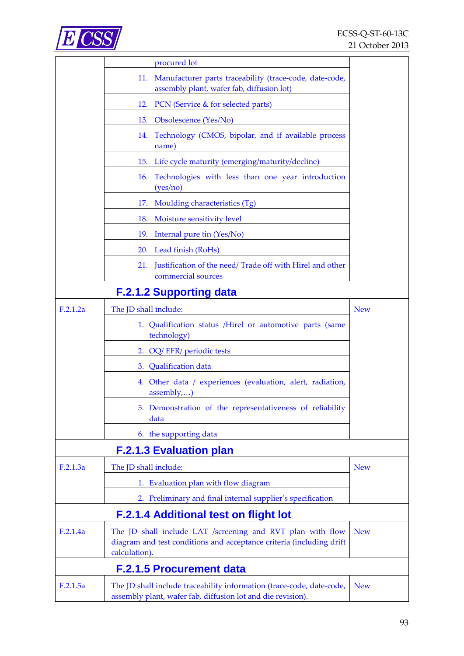

|          | procured lot                                                                                                                                        |            |
|----------|-----------------------------------------------------------------------------------------------------------------------------------------------------|------------|
|          | Manufacturer parts traceability (trace-code, date-code,<br>11.<br>assembly plant, wafer fab, diffusion lot)                                         |            |
|          | PCN (Service & for selected parts)<br>12.                                                                                                           |            |
|          | Obsolescence (Yes/No)<br>13.                                                                                                                        |            |
|          | Technology (CMOS, bipolar, and if available process<br>14.<br>name)                                                                                 |            |
|          | Life cycle maturity (emerging/maturity/decline)<br>15.                                                                                              |            |
|          | Technologies with less than one year introduction<br><b>16.</b><br>(yes/no)                                                                         |            |
|          | Moulding characteristics (Tg)<br>17.                                                                                                                |            |
|          | Moisture sensitivity level<br>18.                                                                                                                   |            |
|          | 19.<br>Internal pure tin (Yes/No)                                                                                                                   |            |
|          | Lead finish (RoHs)<br><b>20.</b>                                                                                                                    |            |
|          | Justification of the need/Trade off with Hirel and other<br>21.<br>commercial sources                                                               |            |
|          | <b>F.2.1.2 Supporting data</b>                                                                                                                      |            |
| F.2.1.2a | The JD shall include:                                                                                                                               | <b>New</b> |
|          | 1. Qualification status /Hirel or automotive parts (same<br>technology)                                                                             |            |
|          | OQ/EFR/ periodic tests<br>2.                                                                                                                        |            |
|          | Qualification data<br>3.                                                                                                                            |            |
|          | 4. Other data / experiences (evaluation, alert, radiation,<br>assembly,)                                                                            |            |
|          | 5. Demonstration of the representativeness of reliability<br>data                                                                                   |            |
|          | 6. the supporting data                                                                                                                              |            |
|          | <b>F.2.1.3 Evaluation plan</b>                                                                                                                      |            |
| F.2.1.3a | The JD shall include:                                                                                                                               | <b>New</b> |
|          | 1. Evaluation plan with flow diagram                                                                                                                |            |
|          | 2. Preliminary and final internal supplier's specification                                                                                          |            |
|          | <b>F.2.1.4 Additional test on flight lot</b>                                                                                                        |            |
| F.2.1.4a | The JD shall include LAT /screening and RVT plan with flow<br>diagram and test conditions and acceptance criteria (including drift<br>calculation). | <b>New</b> |
|          | <b>F.2.1.5 Procurement data</b>                                                                                                                     |            |
| F.2.1.5a | The JD shall include traceability information (trace-code, date-code,<br>assembly plant, wafer fab, diffusion lot and die revision).                | <b>New</b> |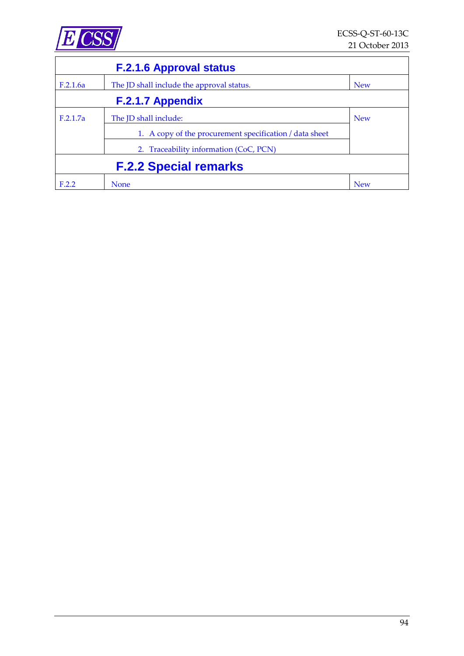

|          | <b>F.2.1.6 Approval status</b>                          |            |
|----------|---------------------------------------------------------|------------|
| F.2.1.6a | The JD shall include the approval status.               | <b>New</b> |
|          | F.2.1.7 Appendix                                        |            |
| F.2.1.7a | The JD shall include:                                   | <b>New</b> |
|          | 1. A copy of the procurement specification / data sheet |            |
|          | 2. Traceability information (CoC, PCN)                  |            |
|          | <b>F.2.2 Special remarks</b>                            |            |
| F.2.2    | <b>None</b>                                             | <b>New</b> |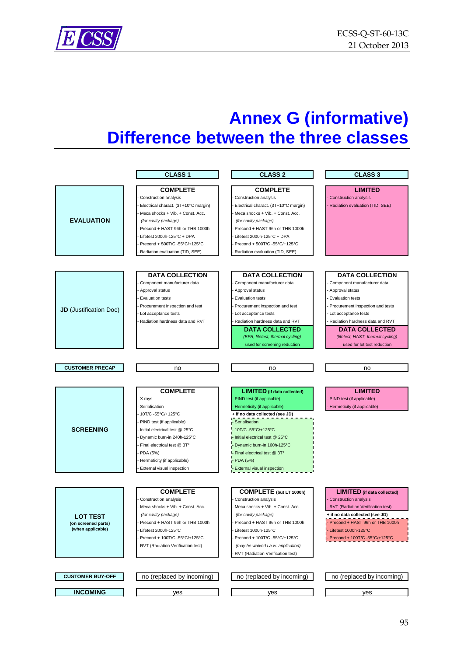

#### **Annex G (informative) Difference between the three classes**

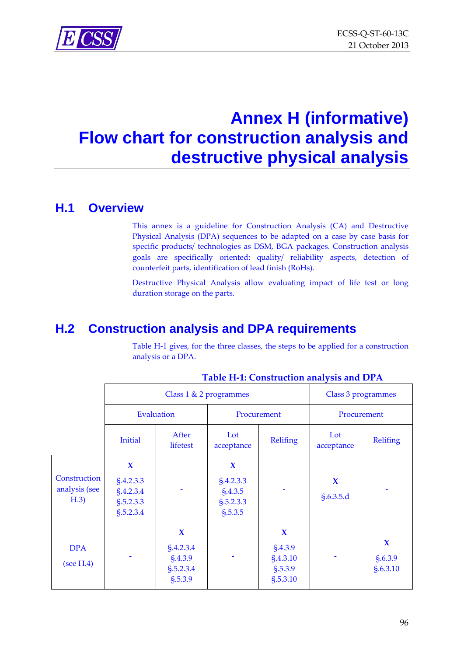## **Annex H (informative) Flow chart for construction analysis and destructive physical analysis**

#### **H.1 Overview**

This annex is a guideline for Construction Analysis (CA) and Destructive Physical Analysis (DPA) sequences to be adapted on a case by case basis for specific products/ technologies as DSM, BGA packages. Construction analysis goals are specifically oriented: quality/ reliability aspects, detection of counterfeit parts, identification of lead finish (RoHs).

Destructive Physical Analysis allow evaluating impact of life test or long duration storage on the parts.

#### **H.2 Construction analysis and DPA requirements**

[Table H-1](#page-95-0) gives, for the three classes, the steps to be applied for a construction analysis or a DPA.

<span id="page-95-0"></span>

|                                       |                                                                         | Class $1 \& 2$ programmes                                    | Class 3 programmes                                          |                                                 |                          |                                    |
|---------------------------------------|-------------------------------------------------------------------------|--------------------------------------------------------------|-------------------------------------------------------------|-------------------------------------------------|--------------------------|------------------------------------|
|                                       |                                                                         | Evaluation                                                   |                                                             | Procurement                                     | Procurement              |                                    |
|                                       | Initial                                                                 | After<br>lifetest                                            | Lot<br>acceptance                                           | Relifing                                        | Lot<br>acceptance        | Relifing                           |
| Construction<br>analysis (see<br>H.3) | $\boldsymbol{\chi}$<br>§.4.2.3.3<br>§.4.2.3.4<br>§.5.2.3.3<br>§.5.2.3.4 |                                                              | $\mathbf x$<br>§.4.2.3.3<br>§.4.3.5<br>§.5.2.3.3<br>§.5.3.5 |                                                 | $\mathbf x$<br>§.6.3.5.d |                                    |
| <b>DPA</b><br>(see H.4)               |                                                                         | $\mathbf x$<br>§.4.2.3.4<br>§.4.3.9<br>§.5.2.3.4<br>\$.5.3.9 |                                                             | X<br>§.4.3.9<br>§.4.3.10<br>§.5.3.9<br>§.5.3.10 |                          | $\mathbf x$<br>§.6.3.9<br>§.6.3.10 |

#### **Table H-1: Construction analysis and DPA**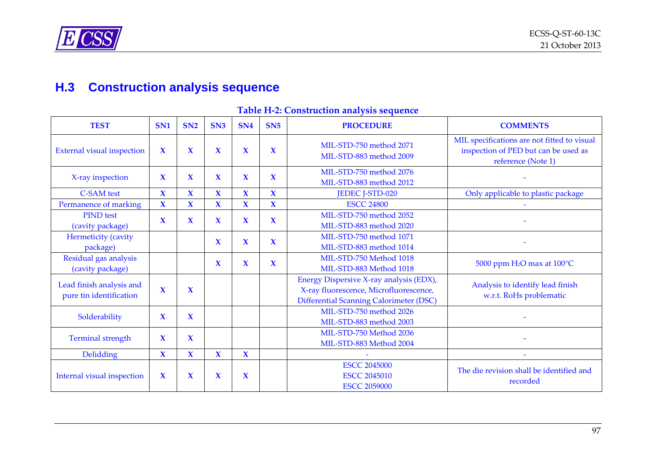

#### <span id="page-96-1"></span>**H.3 Construction analysis sequence**

<span id="page-96-0"></span>

| <b>TEST</b>                                         | SN <sub>1</sub> | SN2          | SN <sub>3</sub> | SN <sub>4</sub> | SN5                | <b>PROCEDURE</b>                                                                                                                    | <b>COMMENTS</b>                                                                                           |
|-----------------------------------------------------|-----------------|--------------|-----------------|-----------------|--------------------|-------------------------------------------------------------------------------------------------------------------------------------|-----------------------------------------------------------------------------------------------------------|
| <b>External visual inspection</b>                   | $\mathbf x$     | $\mathbf x$  | $\mathbf x$     | $\mathbf x$     | $\mathbf{\hat{X}}$ | MIL-STD-750 method 2071<br>MIL-STD-883 method 2009                                                                                  | MIL specifications are not fitted to visual<br>inspection of PED but can be used as<br>reference (Note 1) |
| X-ray inspection                                    | $\mathbf x$     | X            | $\mathbf x$     | $\mathbf x$     | $\mathbf x$        | MIL-STD-750 method 2076<br>MIL-STD-883 method 2012                                                                                  |                                                                                                           |
| <b>C-SAM</b> test                                   | $\mathbf x$     | $\mathbf{x}$ | $\mathbf{x}$    | $\mathbf x$     | $\mathbf{x}$       | JEDEC J-STD-020                                                                                                                     | Only applicable to plastic package                                                                        |
| Permanence of marking                               | $\mathbf x$     | $\mathbf{x}$ | $\mathbf x$     | $\mathbf x$     | $\mathbf x$        | <b>ESCC 24800</b>                                                                                                                   |                                                                                                           |
| <b>PIND</b> test<br>(cavity package)                | $\mathbf x$     | $\mathbf x$  | $\mathbf x$     | $\mathbf x$     | $\mathbf x$        | MIL-STD-750 method 2052<br>MIL-STD-883 method 2020                                                                                  |                                                                                                           |
| Hermeticity (cavity<br>package)                     |                 |              | $\mathbf x$     | $\mathbf x$     | $\mathbf x$        | MIL-STD-750 method 1071<br>MIL-STD-883 method 1014                                                                                  | Ξ                                                                                                         |
| Residual gas analysis<br>(cavity package)           |                 |              | $\mathbf x$     | $\mathbf x$     | $\mathbf x$        | MIL-STD-750 Method 1018<br>MIL-STD-883 Method 1018                                                                                  | 5000 ppm H <sub>2</sub> O max at 100°C                                                                    |
| Lead finish analysis and<br>pure tin identification | $\mathbf x$     | X            |                 |                 |                    | Energy Dispersive X-ray analysis (EDX),<br>X-ray fluorescence, Microfluorescence,<br><b>Differential Scanning Calorimeter (DSC)</b> | Analysis to identify lead finish<br>w.r.t. RoHs problematic                                               |
| Solderability                                       | $\mathbf x$     | $\mathbf x$  |                 |                 |                    | MIL-STD-750 method 2026<br>MIL-STD-883 method 2003                                                                                  |                                                                                                           |
| <b>Terminal strength</b>                            | $\mathbf x$     | X            |                 |                 |                    | MIL-STD-750 Method 2036<br>MIL-STD-883 Method 2004                                                                                  |                                                                                                           |
| Delidding                                           | $\mathbf x$     | $\mathbf{x}$ | $\mathbf{x}$    | $\mathbf x$     |                    |                                                                                                                                     |                                                                                                           |
| Internal visual inspection                          | $\mathbf x$     | $\mathbf x$  | $\mathbf x$     | $\mathbf x$     |                    | <b>ESCC 2045000</b><br><b>ESCC 2045010</b><br><b>ESCC 2059000</b>                                                                   | The die revision shall be identified and<br>recorded                                                      |

#### **Table H-2: Construction analysis sequence**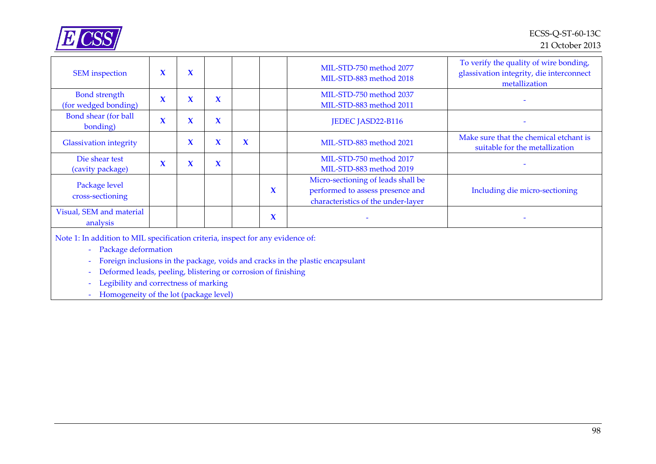

| <b>SEM</b> inspection                                                                                  | $\mathbf x$ | $\mathbf x$ |             |             |             | MIL-STD-750 method 2077<br>MIL-STD-883 method 2018                                                           | To verify the quality of wire bonding,<br>glassivation integrity, die interconnect<br>metallization |
|--------------------------------------------------------------------------------------------------------|-------------|-------------|-------------|-------------|-------------|--------------------------------------------------------------------------------------------------------------|-----------------------------------------------------------------------------------------------------|
| <b>Bond</b> strength<br>(for wedged bonding)                                                           | $\mathbf x$ | $\mathbf x$ | $\mathbf x$ |             |             | MIL-STD-750 method 2037<br>MIL-STD-883 method 2011                                                           |                                                                                                     |
| Bond shear (for ball<br>bonding)                                                                       | $\mathbf x$ | $\mathbf x$ | $\mathbf x$ |             |             | JEDEC JASD22-B116                                                                                            |                                                                                                     |
| <b>Glassivation integrity</b>                                                                          |             | $\mathbf x$ | $\mathbf x$ | $\mathbf x$ |             | MIL-STD-883 method 2021                                                                                      | Make sure that the chemical etchant is<br>suitable for the metallization                            |
| Die shear test<br>(cavity package)                                                                     | $\mathbf x$ | $\mathbf x$ | $\mathbf x$ |             |             | MIL-STD-750 method 2017<br>MIL-STD-883 method 2019                                                           |                                                                                                     |
| Package level<br>cross-sectioning                                                                      |             |             |             |             | $\mathbf x$ | Micro-sectioning of leads shall be<br>performed to assess presence and<br>characteristics of the under-layer | Including die micro-sectioning                                                                      |
| Visual, SEM and material<br>analysis                                                                   |             |             |             |             | $\mathbf x$ |                                                                                                              |                                                                                                     |
| Note 1: In addition to MIL specification criteria, inspect for any evidence of:<br>Prokago defermation |             |             |             |             |             |                                                                                                              |                                                                                                     |

- Package deformation

- Foreign inclusions in the package, voids and cracks in the plastic encapsulant
- Deformed leads, peeling, blistering or corrosion of finishing
- Legibility and correctness of marking
- Homogeneity of the lot (package level)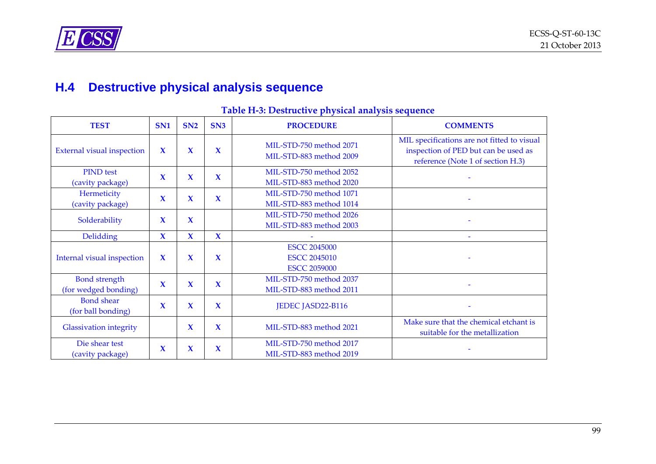#### **H.4 Destructive physical analysis sequence**

<span id="page-98-0"></span>

| <b>TEST</b>                                  | <b>SN1</b>  | SN2          | SN <sub>3</sub>         | <b>PROCEDURE</b>                                                  | <b>COMMENTS</b>                                                                                                          |
|----------------------------------------------|-------------|--------------|-------------------------|-------------------------------------------------------------------|--------------------------------------------------------------------------------------------------------------------------|
| <b>External visual inspection</b>            | $\mathbf x$ | $\mathbf x$  | $\mathbf x$             | MIL-STD-750 method 2071<br>MIL-STD-883 method 2009                | MIL specifications are not fitted to visual<br>inspection of PED but can be used as<br>reference (Note 1 of section H.3) |
| <b>PIND</b> test<br>(cavity package)         | $\mathbf x$ | $\mathbf x$  | $\mathbf x$             | MIL-STD-750 method 2052<br>MIL-STD-883 method 2020                |                                                                                                                          |
| Hermeticity<br>(cavity package)              | $\mathbf x$ | $\mathbf x$  | $\mathbf{\overline{X}}$ | MIL-STD-750 method 1071<br>MIL-STD-883 method 1014                |                                                                                                                          |
| Solderability                                | $\mathbf x$ | $\mathbf x$  |                         | MIL-STD-750 method 2026<br>MIL-STD-883 method 2003                |                                                                                                                          |
| <b>Delidding</b>                             | $\mathbf x$ | $\mathbf x$  | $\mathbf{\overline{X}}$ |                                                                   | $\equiv$                                                                                                                 |
| Internal visual inspection                   | $\mathbf x$ | $\mathbf x$  | $\mathbf x$             | <b>ESCC 2045000</b><br><b>ESCC 2045010</b><br><b>ESCC 2059000</b> |                                                                                                                          |
| <b>Bond strength</b><br>(for wedged bonding) | $\mathbf x$ | $\mathbf x$  | $\mathbf x$             | MIL-STD-750 method 2037<br>MIL-STD-883 method 2011                |                                                                                                                          |
| <b>Bond</b> shear<br>(for ball bonding)      | $\mathbf x$ | $\mathbf{x}$ | $\mathbf x$             | JEDEC JASD22-B116                                                 |                                                                                                                          |
| <b>Glassivation integrity</b>                |             | $\mathbf x$  | $\mathbf{\overline{X}}$ | MIL-STD-883 method 2021                                           | Make sure that the chemical etchant is<br>suitable for the metallization                                                 |
| Die shear test<br>(cavity package)           | $\mathbf x$ | $\mathbf x$  | $\mathbf x$             | MIL-STD-750 method 2017<br>MIL-STD-883 method 2019                |                                                                                                                          |

#### **Table H-3: Destructive physical analysis sequence**